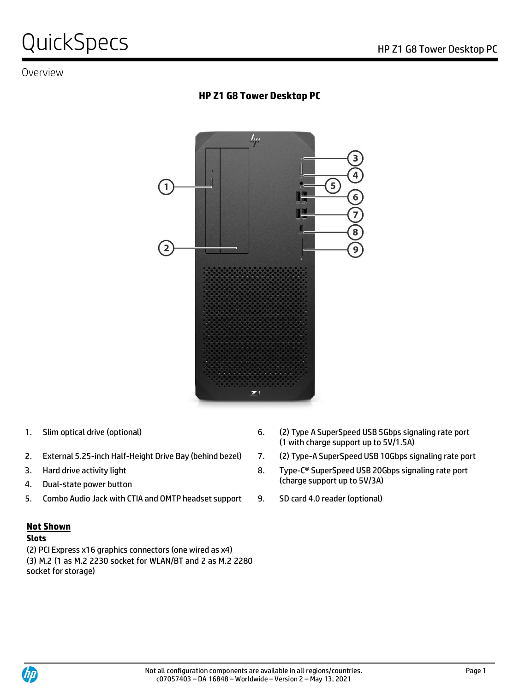# QuickSpecs Notes Alternative Contract the Contract of the Z1 G8 Tower Desktop PC

# Overview

# **HP Z1 G8 Tower Desktop PC**



- 
- 2. External 5.25-inch Half-Height Drive Bay (behind bezel) 7. (2) Type-A SuperSpeed USB 10Gbps signaling rate port
- 
- 
- 5. Combo Audio Jack with CTIA and OMTP headset support 9. SD card 4.0 reader (optional)

#### **Not Shown**

#### **Slots**

(2) PCI Express x16 graphics connectors (one wired as x4) (3) M.2 (1 as M.2 2230 socket for WLAN/BT and 2 as M.2 2280 socket for storage)

- 1. Slim optical drive (optional) 6. (2) Type A SuperSpeed USB 5Gbps signaling rate port (1 with charge support up to 5V/1.5A)
	-
- 3. Hard drive activity light and the state of the state of the Super-C® SuperSpeed USB 20Gbps signaling rate port (charge support up to 5V/3A) 4. Dual-state power button
	-

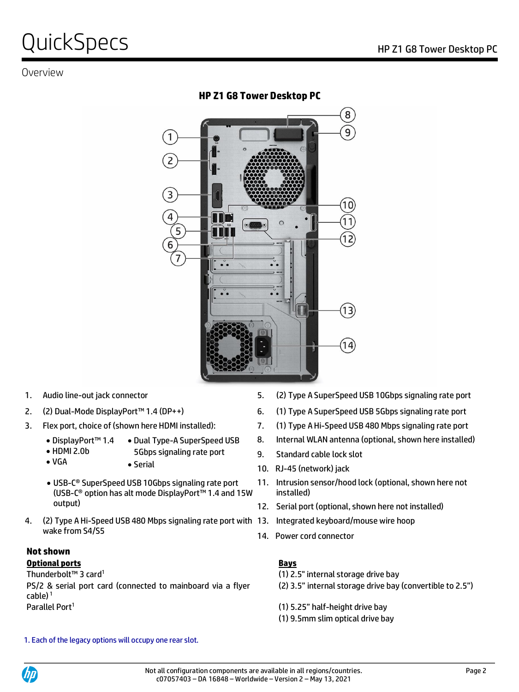# QuickSpecs Notes Alternative Contract the Reserve Contract of the Z1 G8 Tower Desktop PC

# Overview

**HP Z1 G8 Tower Desktop PC**



- 
- 
- - DisplayPort™ 1.4 • Dual Type-A SuperSpeed USB
	- HDMI 2.0b • VGA 5Gbps signaling rate port
		- Serial
	- USB-C® SuperSpeed USB 10Gbps signaling rate port (USB-C® option has alt mode DisplayPort™ 1.4 and 15W output)
- 4. (2) Type A Hi-Speed USB 480 Mbps signaling rate port with 13. Integrated keyboard/mouse wire hoop wake from S4/S5

### **Not shown**

### **Optional ports Bays**

Thunderbolt™ 3 card<sup>1</sup>

PS/2 & serial port card (connected to mainboard via a flyer  $cable)$ <sup>1</sup> Parallel Port<sup>1</sup>

- 1. Audio line-out jack connector 5. (2) Type A SuperSpeed USB 10Gbps signaling rate port
- 2. (2) Dual-Mode DisplayPort™ 1.4 (DP++) 6. (1) Type A SuperSpeed USB 5Gbps signaling rate port
- 3. Flex port, choice of (shown here HDMI installed): 7. (1) Type A Hi-Speed USB 480 Mbps signaling rate port
	- 8. Internal WLAN antenna (optional, shown here installed)
	- 9. Standard cable lock slot
	- 10. RJ-45 (network) jack
	- 11. Intrusion sensor/hood lock (optional, shown here not installed)
	- 12. Serial port (optional, shown here not installed)
	-
	- 14. Power cord connector

- (1) 2.5" internal storage drive bay
- (2) 3.5" internal storage drive bay (convertible to 2.5")
- (1) 5.25" half-height drive bay
- (1) 9.5mm slim optical drive bay

1. Each of the legacy options will occupy one rear slot.

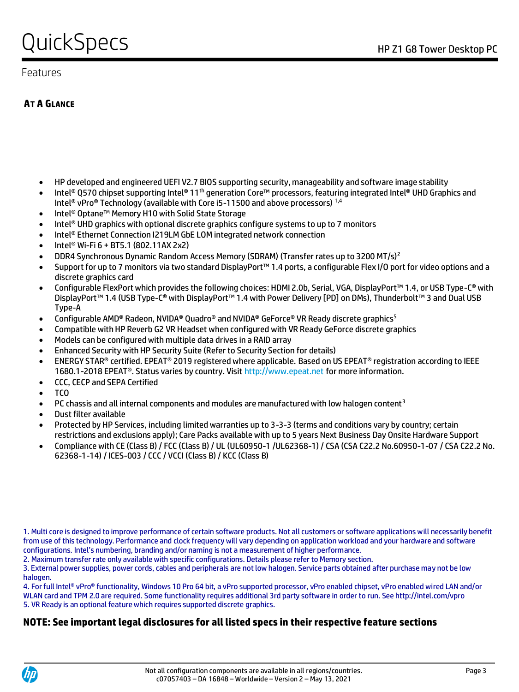# QuickSpecs Notes Alternative Contract Contract Application PC

### Features

# **AT A GLANCE**

- HP developed and engineered UEFI V2.7 BIOS supporting security, manageability and software image stability
- Intel® Q570 chipset supporting Intel® 11<sup>th</sup> generation Core™ processors, featuring integrated Intel® UHD Graphics and Intel<sup>®</sup> vPro<sup>®</sup> Technology (available with Core i5-11500 and above processors)<sup>1,4</sup>
- Intel® Optane™ Memory H10 with Solid State Storage
- Intel® UHD graphics with optional discrete graphics configure systems to up to 7 monitors
- Intel® Ethernet Connection I219LM GbE LOM integrated network connection
- Intel® Wi-Fi 6 + BT5.1 (802.11AX 2x2)
- DDR4 Synchronous Dynamic Random Access Memory (SDRAM) (Transfer rates up to 3200 MT/s)<sup>2</sup>
- Support for up to 7 monitors via two standard DisplayPort™ 1.4 ports, a configurable Flex I/O port for video options and a discrete graphics card
- Configurable FlexPort which provides the following choices: HDMI 2.0b, Serial, VGA, DisplayPort™ 1.4, or USB Type-C® with DisplayPort™ 1.4 (USB Type-C® with DisplayPort™ 1.4 with Power Delivery [PD] on DMs), Thunderbolt™ 3 and Dual USB Type-A
- Configurable AMD® Radeon, NVIDA® Quadro® and NVIDA® GeForce® VR Ready discrete graphics<sup>5</sup>
- Compatible with HP Reverb G2 VR Headset when configured with VR Ready GeForce discrete graphics
- Models can be configured with multiple data drives in a RAID array
- Enhanced Security with HP Security Suite (Refer to Security Section for details)
- ENERGY STAR® certified. EPEAT® 2019 registered where applicable. Based on US EPEAT® registration according to IEEE 1680.1-2018 EPEAT®. Status varies by country. Visit http://www.epeat.net for more information.
- CCC, CECP and SEPA Certified
- TCO
- PC chassis and all internal components and modules are manufactured with low halogen content<sup>3</sup>
- Dust filter available
- Protected by HP Services, including limited warranties up to 3-3-3 (terms and conditions vary by country; certain restrictions and exclusions apply); Care Packs available with up to 5 years Next Business Day Onsite Hardware Support
- Compliance with CE (Class B) / FCC (Class B) / UL (UL60950-1 /UL62368-1) / CSA (CSA C22.2 No.60950-1-07 / CSA C22.2 No. 62368-1-14) / ICES-003 / CCC / VCCI (Class B) / KCC (Class B)

2. Maximum transfer rate only available with specific configurations. Details please refer to Memory section.

3. External power supplies, power cords, cables and peripherals are not low halogen. Service parts obtained after purchase may not be low halogen.

4. For full Intel® vPro® functionality, Windows 10 Pro 64 bit, a vPro supported processor, vPro enabled chipset, vPro enabled wired LAN and/or WLAN card and TPM 2.0 are required. Some functionality requires additional 3rd party software in order to run. See http://intel.com/vpro 5. VR Ready is an optional feature which requires supported discrete graphics.

## **NOTE: See important legal disclosures for all listed specs in their respective feature sections**



<sup>1.</sup> Multi core is designed to improve performance of certain software products. Not all customers or software applications will necessarily benefit from use of this technology. Performance and clock frequency will vary depending on application workload and your hardware and software configurations. Intel's numbering, branding and/or naming is not a measurement of higher performance.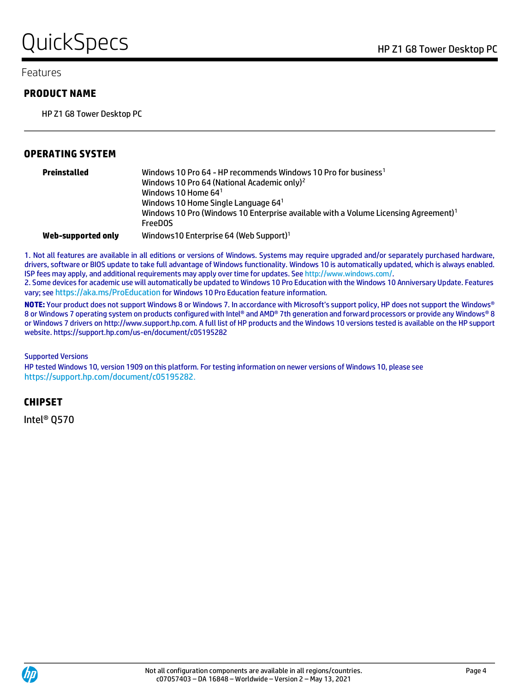# QuickSpecs Notes Alternative Contract the Reserve Contract of the Z1 G8 Tower Desktop PC

#### Features

#### **PRODUCT NAME**

HP Z1 G8 Tower Desktop PC

#### **OPERATING SYSTEM**

| Preinstalled       | Windows 10 Pro 64 - HP recommends Windows 10 Pro for business1<br>Windows 10 Pro 64 (National Academic only) <sup>2</sup><br>Windows 10 Home $641$<br>Windows 10 Home Single Language $64^{\circ}$<br>Windows 10 Pro (Windows 10 Enterprise available with a Volume Licensing Agreement) <sup>1</sup><br><b>FreeDOS</b> |
|--------------------|-------------------------------------------------------------------------------------------------------------------------------------------------------------------------------------------------------------------------------------------------------------------------------------------------------------------------|
| Web-supported only | Windows10 Enterprise 64 (Web Support) <sup>1</sup>                                                                                                                                                                                                                                                                      |

1. Not all features are available in all editions or versions of Windows. Systems may require upgraded and/or separately purchased hardware, drivers, software or BIOS update to take full advantage of Windows functionality. Windows 10 is automatically updated, which is always enabled. ISP fees may apply, and additional requirements may apply over time for updates. Se[e http://www.windows.com/.](http://www.windows.com/)

2. Some devices for academic use will automatically be updated to Windows 10 Pro Education with the Windows 10 Anniversary Update. Features vary; see <https://aka.ms/ProEducation> for Windows 10 Pro Education feature information.

**NOTE:** Your product does not support Windows 8 or Windows 7. In accordance with Microsoft's support policy, HP does not support the Windows® 8 or Windows 7 operating system on products configured with Intel® and AMD® 7th generation and forward processors or provide any Windows® 8 or Windows 7 drivers on http://www.support.hp.com. A full list of HP products and the Windows 10 versions tested is available on the HP support website. https://support.hp.com/us-en/document/c05195282

#### Supported Versions

HP tested Windows 10, version 1909 on this platform. For testing information on newer versions of Windows 10, please see <https://support.hp.com/document/c05195282>.

#### **CHIPSET**

Intel® Q570

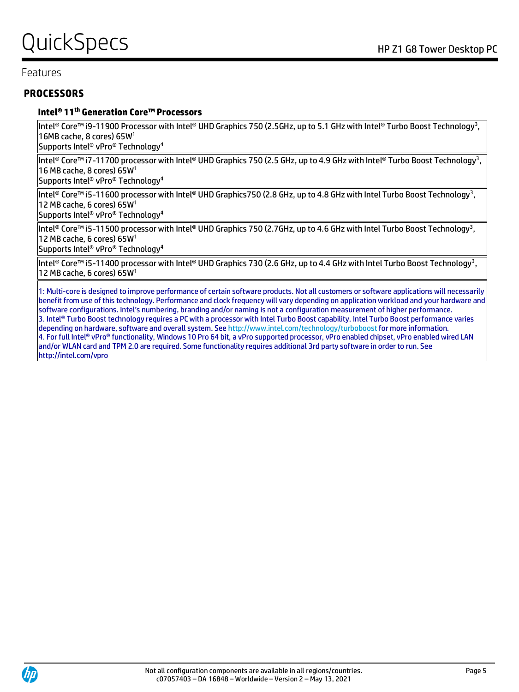### Features

### **PROCESSORS**

#### **Intel® 11 th Generation Core™ Processors**

Intel® Core™ i9-11900 Processor with Intel® UHD Graphics 750 (2.5GHz, up to 5.1 GHz with Intel® Turbo Boost Technology<sup>3</sup> , 16MB cache, 8 cores) 65W<sup>1</sup>

Supports Intel® vPro® Technology<sup>4</sup>

Intel® Core™ i7-11700 processor with Intel® UHD Graphics 750 (2.5 GHz, up to 4.9 GHz with Intel® Turbo Boost Technology<sup>3</sup>, 16 MB cache, 8 cores) 65W<sup>1</sup>

Supports Intel® vPro® Technology<sup>4</sup>

Intel® Core™ i5-11600 processor with Intel® UHD Graphics750 (2.8 GHz, up to 4.8 GHz with Intel Turbo Boost Technology<sup>3</sup>, 12 MB cache, 6 cores) 65W<sup>1</sup>

Supports Intel® vPro® Technology<sup>4</sup>

Intel® Core™ i5-11500 processor with Intel® UHD Graphics 750 (2.7GHz, up to 4.6 GHz with Intel Turbo Boost Technology<sup>3</sup> , 12 MB cache, 6 cores) 65W<sup>1</sup>

Supports Intel® vPro® Technology<sup>4</sup>

Intel® Core™ i5-11400 processor with Intel® UHD Graphics 730 (2.6 GHz, up to 4.4 GHz with Intel Turbo Boost Technology<sup>3</sup>, 12 MB cache, 6 cores) 65W<sup>1</sup>

1: Multi-core is designed to improve performance of certain software products. Not all customers or software applications will necessarily benefit from use of this technology. Performance and clock frequency will vary depending on application workload and your hardware and software configurations. Intel's numbering, branding and/or naming is not a configuration measurement of higher performance. 3. Intel® Turbo Boost technology requires a PC with a processor with Intel Turbo Boost capability. Intel Turbo Boost performance varies depending on hardware, software and overall system. See http://www.intel.com/technology/turboboostfor more information. 4. For full Intel® vPro® functionality, Windows 10 Pro 64 bit, a vPro supported processor, vPro enabled chipset, vPro enabled wired LAN and/or WLAN card and TPM 2.0 are required. Some functionality requires additional 3rd party software in order to run. See http://intel.com/vpro

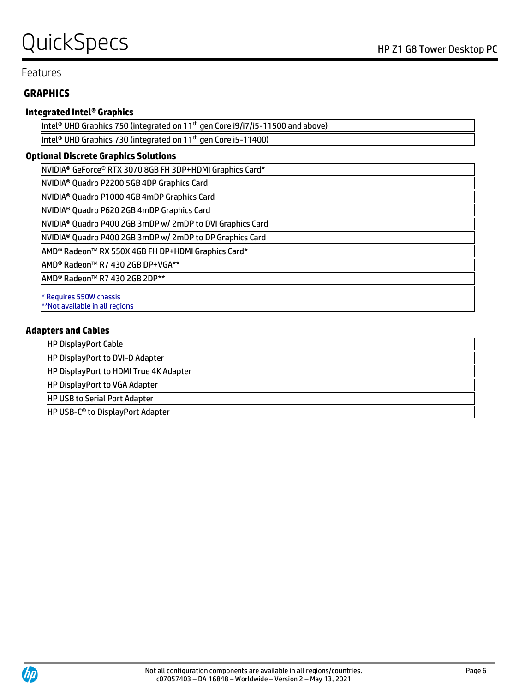# QuickSpecs Notes Alternative Contract Contract Application PC

### Features

### **GRAPHICS**

#### **Integrated Intel® Graphics**

Intel® UHD Graphics 750 (integrated on 11<sup>th</sup> gen Core i9/i7/i5-11500 and above) Intel<sup>®</sup> UHD Graphics 730 (integrated on 11<sup>th</sup> gen Core i5-11400)

#### **Optional Discrete Graphics Solutions**

NVIDIA® GeForce® RTX 3070 8GB FH 3DP+HDMI Graphics Card\*

NVIDIA® Quadro P2200 5GB 4DP Graphics Card

NVIDIA® Quadro P1000 4GB 4mDP Graphics Card

NVIDIA® Quadro P620 2GB 4mDP Graphics Card

NVIDIA® Quadro P400 2GB 3mDP w/ 2mDP to DVI Graphics Card

NVIDIA® Quadro P400 2GB 3mDP w/ 2mDP to DP Graphics Card

AMD® Radeon™ RX 550X 4GB FH DP+HDMI Graphics Card\*

AMD® Radeon™ R7 430 2GB DP+VGA\*\*

AMD® Radeon™ R7 430 2GB 2DP\*\*

\* Requires 550W chassis

\*\*Not available in all regions

#### **Adapters and Cables**

HP DisplayPort Cable

HP DisplayPort to DVI-D Adapter

HP DisplayPort to HDMI True 4K Adapter

HP DisplayPort to VGA Adapter

HP USB to Serial Port Adapter

HP USB-C® to DisplayPort Adapter

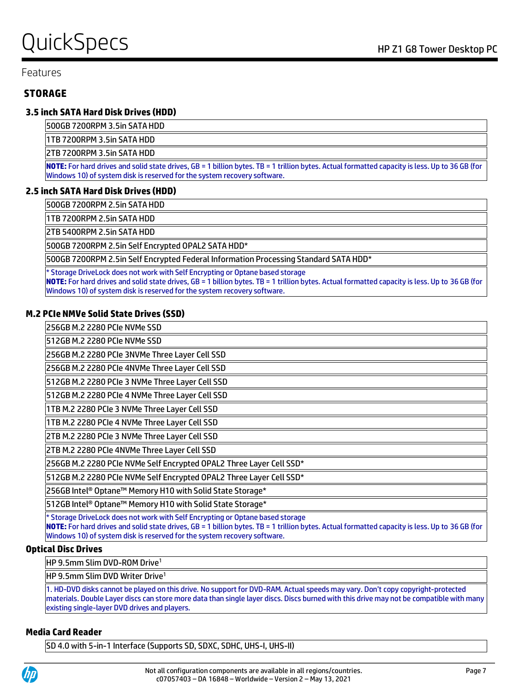# QuickSpecs Notes Alternative Contract the Reserve Contract of the Z1 G8 Tower Desktop PC

#### Features

### **STORAGE**

#### **3.5 inch SATA Hard Disk Drives (HDD)**

500GB 7200RPM 3.5in SATA HDD

1TB 7200RPM 3.5in SATA HDD

2TB 7200RPM 3.5in SATA HDD

**NOTE:** For hard drives and solid state drives, GB = 1 billion bytes. TB = 1 trillion bytes. Actual formatted capacity is less. Up to 36 GB (for Windows 10) of system disk is reserved for the system recovery software.

#### **2.5 inch SATA Hard Disk Drives (HDD)**

500GB 7200RPM 2.5in SATA HDD

1TB 7200RPM 2.5in SATA HDD

2TB 5400RPM 2.5in SATA HDD

500GB 7200RPM 2.5in Self Encrypted OPAL2 SATA HDD\*

500GB 7200RPM 2.5in Self Encrypted Federal Information Processing Standard SATA HDD\*

\* Storage DriveLock does not work with Self Encrypting or Optane based storage **NOTE:** For hard drives and solid state drives, GB = 1 billion bytes. TB = 1 trillion bytes. Actual formatted capacity is less. Up to 36 GB (for Windows 10) of system disk is reserved for the system recovery software.

#### **M.2 PCIe NMVe Solid State Drives (SSD)**

256GB M.2 2280 PCIe NVMe SSD

512GB M.2 2280 PCIe NVMe SSD

256GB M.2 2280 PCIe 3NVMe Three Layer Cell SSD

256GB M.2 2280 PCIe 4NVMe Three Layer Cell SSD

512GB M.2 2280 PCIe 3 NVMe Three Layer Cell SSD

512GB M.2 2280 PCIe 4 NVMe Three Layer Cell SSD

1TB M.2 2280 PCIe 3 NVMe Three Layer Cell SSD

1TB M.2 2280 PCIe 4 NVMe Three Layer Cell SSD

2TB M.2 2280 PCIe 3 NVMe Three Layer Cell SSD

2TB M.2 2280 PCIe 4NVMe Three Layer Cell SSD

256GB M.2 2280 PCIe NVMe Self Encrypted OPAL2 Three Layer Cell SSD\*

512GB M.2 2280 PCIe NVMe Self Encrypted OPAL2 Three Layer Cell SSD\*

256GB Intel® Optane™ Memory H10 with Solid State Storage\*

512GB Intel® Optane™ Memory H10 with Solid State Storage\*

\* Storage DriveLock does not work with Self Encrypting or Optane based storage

**NOTE:** For hard drives and solid state drives, GB = 1 billion bytes. TB = 1 trillion bytes. Actual formatted capacity is less. Up to 36 GB (for Windows 10) of system disk is reserved for the system recovery software.

#### **Optical Disc Drives**

HP 9.5mm Slim DVD-ROM Drive<sup>1</sup>

HP 9.5mm Slim DVD Writer Drive<sup>1</sup>

1. HD-DVD disks cannot be played on this drive. No support for DVD-RAM. Actual speeds may vary. Don't copy copyright-protected materials. Double Layer discs can store more data than single layer discs. Discs burned with this drive may not be compatible with many existing single-layer DVD drives and players.

#### **Media Card Reader**

SD 4.0 with 5-in-1 Interface (Supports SD, SDXC, SDHC, UHS-I, UHS-II)

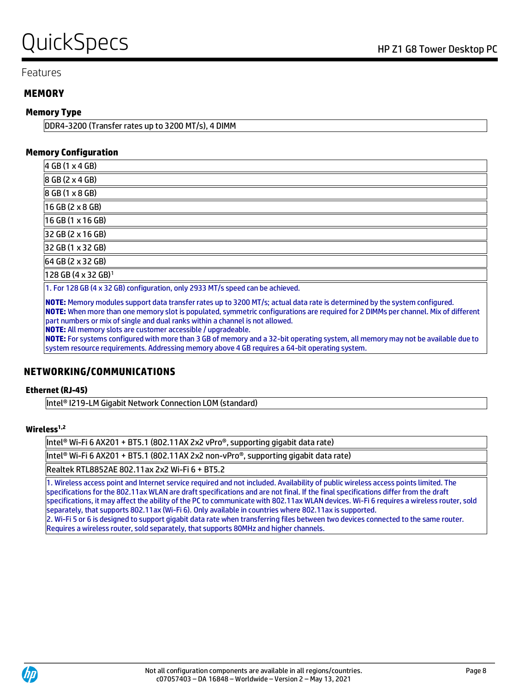# QuickSpecs Notes Alternative Contract the Reserve Contract of the Z1 G8 Tower Desktop PC

#### Features

#### **MEMORY**

#### **Memory Type**

DDR4-3200 (Transfer rates up to 3200 MT/s), 4 DIMM

#### **Memory Configuration**

| 4 GB (1 x 4 GB)                                                                                                                                                                                                                                                                |  |  |
|--------------------------------------------------------------------------------------------------------------------------------------------------------------------------------------------------------------------------------------------------------------------------------|--|--|
| 8 GB (2 x 4 GB)                                                                                                                                                                                                                                                                |  |  |
| 8 GB (1 x 8 GB)                                                                                                                                                                                                                                                                |  |  |
| $16$ GB (2 $\times$ 8 GB)                                                                                                                                                                                                                                                      |  |  |
| 16 GB (1 x 16 GB)                                                                                                                                                                                                                                                              |  |  |
| 32 GB (2 x 16 GB)                                                                                                                                                                                                                                                              |  |  |
| 32 GB (1 x 32 GB)                                                                                                                                                                                                                                                              |  |  |
| 64 GB (2 x 32 GB)                                                                                                                                                                                                                                                              |  |  |
| $128$ GB (4 x 32 GB) <sup>1</sup>                                                                                                                                                                                                                                              |  |  |
| 1. For 128 GB (4 x 32 GB) configuration, only 2933 MT/s speed can be achieved.                                                                                                                                                                                                 |  |  |
| <b>NOTE:</b> Memory modules support data transfer rates up to 3200 MT/s; actual data rate is determined by the system configured.<br><b>NOTE:</b> When more than one memory slot is populated, symmetric configurations are reguired for 2 DIMMs per channel. Mix of different |  |  |

part numbers or mix of single and dual ranks within a channel is not allowed.

**NOTE:** All memory slots are customer accessible / upgradeable.

**NOTE:** For systems configured with more than 3 GB of memory and a 32-bit operating system, all memory may not be available due to system resource requirements. Addressing memory above 4 GB requires a 64-bit operating system.

#### **NETWORKING/COMMUNICATIONS**

#### **Ethernet (RJ-45)**

Intel® I219-LM Gigabit Network Connection LOM (standard)

#### **Wireless1,2**

Intel® Wi-Fi 6 AX201 + BT5.1 (802.11AX 2x2 vPro®, supporting gigabit data rate)

Intel® Wi-Fi 6 AX201 + BT5.1 (802.11AX 2x2 non-vPro®, supporting gigabit data rate)

Realtek RTL8852AE 802.11ax 2x2 Wi-Fi 6 + BT5.2

1. Wireless access point and Internet service required and not included. Availability of public wireless access points limited. The specifications for the 802.11ax WLAN are draft specifications and are not final. If the final specifications differ from the draft specifications, it may affect the ability of the PC to communicate with 802.11ax WLAN devices. Wi-Fi 6 requires a wireless router, sold separately, that supports 802.11ax (Wi-Fi 6). Only available in countries where 802.11ax is supported. 2. Wi-Fi 5 or 6 is designed to support gigabit data rate when transferring files between two devices connected to the same router. Requires a wireless router, sold separately, that supports 80MHz and higher channels.

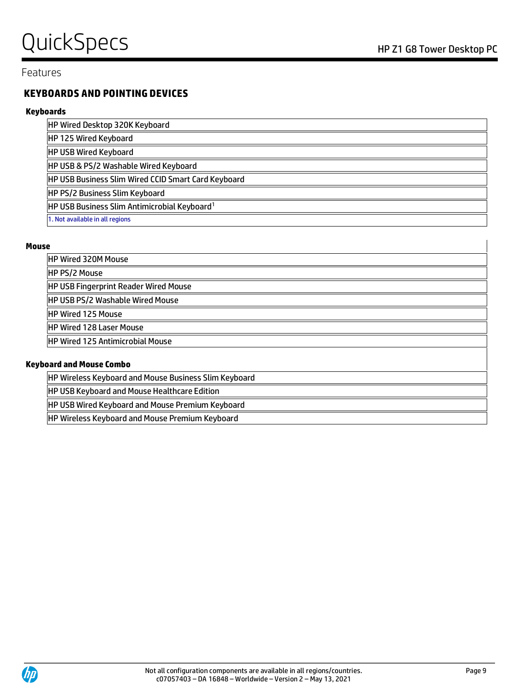### Features

### **KEYBOARDS AND POINTING DEVICES**

#### **Keyboards**

| HP Wired Desktop 320K Keyboard                             |
|------------------------------------------------------------|
| HP 125 Wired Keyboard                                      |
| <b>HP USB Wired Keyboard</b>                               |
| HP USB & PS/2 Washable Wired Keyboard                      |
| <b>HP USB Business Slim Wired CCID Smart Card Keyboard</b> |
| HP PS/2 Business Slim Keyboard                             |
| HP USB Business Slim Antimicrobial Keyboard <sup>1</sup>   |
| 1. Not available in all regions                            |

#### **Mouse**

| <b>HP Wired 320M Mouse</b>                                   |  |  |
|--------------------------------------------------------------|--|--|
| <b>HP PS/2 Mouse</b>                                         |  |  |
| <b>HP USB Fingerprint Reader Wired Mouse</b>                 |  |  |
| <b>HP USB PS/2 Washable Wired Mouse</b>                      |  |  |
| <b>HP Wired 125 Mouse</b>                                    |  |  |
| <b>IHP Wired 128 Laser Mouse</b>                             |  |  |
| <b>IHP Wired 125 Antimicrobial Mouse</b>                     |  |  |
|                                                              |  |  |
| <b>Keyboard and Mouse Combo</b>                              |  |  |
| <b>HP Wireless Keyboard and Mouse Business Slim Keyboard</b> |  |  |
| <b>HP USB Keyboard and Mouse Healthcare Edition</b>          |  |  |
| <b>HP USB Wired Keyboard and Mouse Premium Keyboard</b>      |  |  |
| <b>HP Wireless Keyboard and Mouse Premium Keyboard</b>       |  |  |

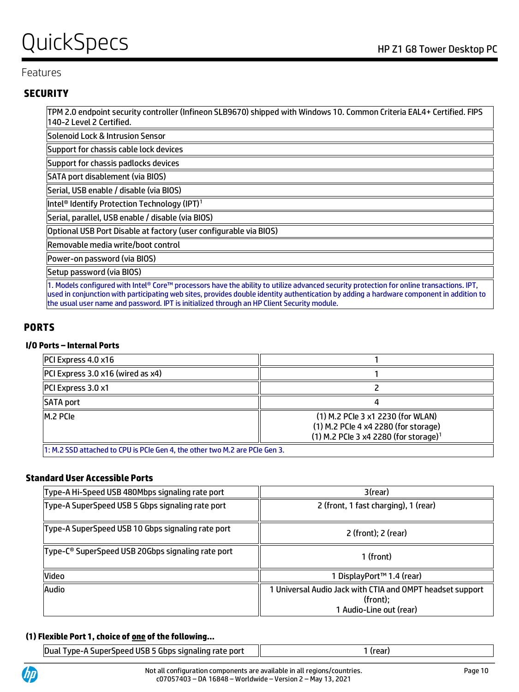# QuickSpecs Notes Alternative Contract the Reserve Contract of the Z1 G8 Tower Desktop PC

### Features

### **SECURITY**

TPM 2.0 endpoint security controller (Infineon SLB9670) shipped with Windows 10. Common Criteria EAL4+ Certified. FIPS 140-2 Level 2 Certified.

Solenoid Lock & Intrusion Sensor

Support for chassis cable lock devices

Support for chassis padlocks devices

SATA port disablement (via BIOS)

Serial, USB enable / disable (via BIOS)

Intel® Identify Protection Technology (IPT)<sup>1</sup>

Serial, parallel, USB enable / disable (via BIOS)

Optional USB Port Disable at factory (user configurable via BIOS)

Removable media write/boot control

Power-on password (via BIOS)

Setup password (via BIOS)

1. Models configured with Intel® Core™ processors have the ability to utilize advanced security protection for online transactions. IPT, used in conjunction with participating web sites, provides double identity authentication by adding a hardware component in addition to the usual user name and password. IPT is initialized through an HP Client Security module.

### **PORTS**

#### **I/O Ports – Internal Ports**

| $ PC$ Express 4.0 x16                                                                                                                       |  |  |  |
|---------------------------------------------------------------------------------------------------------------------------------------------|--|--|--|
| PCI Express 3.0 x16 (wired as x4)                                                                                                           |  |  |  |
| <b>PCI Express 3.0 x1</b>                                                                                                                   |  |  |  |
| SATA port                                                                                                                                   |  |  |  |
| (1) M.2 PCle 3 x1 2230 (for WLAN)<br>IM.2 PCIe<br>(1) M.2 PCle 4 x4 2280 (for storage)<br>(1) M.2 PCle 3 x4 2280 (for storage) <sup>1</sup> |  |  |  |
| 1. M 2 SSD attached to CDU is DCIA Gen 4 the other two M 2 are DCIA Gen 3                                                                   |  |  |  |

: SSD attached to CPU is PCIe Gen 4, the other two M.2 are PCIe Gen 3.

#### **Standard User Accessible Ports**

| Type-A Hi-Speed USB 480Mbps signaling rate port   | 3(rear)                                                                                          |  |
|---------------------------------------------------|--------------------------------------------------------------------------------------------------|--|
| Type-A SuperSpeed USB 5 Gbps signaling rate port  | 2 (front, 1 fast charging), 1 (rear)                                                             |  |
| Type-A SuperSpeed USB 10 Gbps signaling rate port | 2 (front); 2 (rear)                                                                              |  |
| Type-C® SuperSpeed USB 20Gbps signaling rate port | 1 (front)                                                                                        |  |
| Video                                             | 1 DisplayPort™ 1.4 (rear)                                                                        |  |
| Audio                                             | 1 Universal Audio Jack with CTIA and OMPT headset support<br>(front);<br>1 Audio-Line out (rear) |  |

#### **(1) Flexible Port 1, choice of one of the following…**

| Type-A SuperSpeed USB 5 Gbps signaling rate port<br><b>Dual</b> | (rear) |  |
|-----------------------------------------------------------------|--------|--|
|                                                                 |        |  |

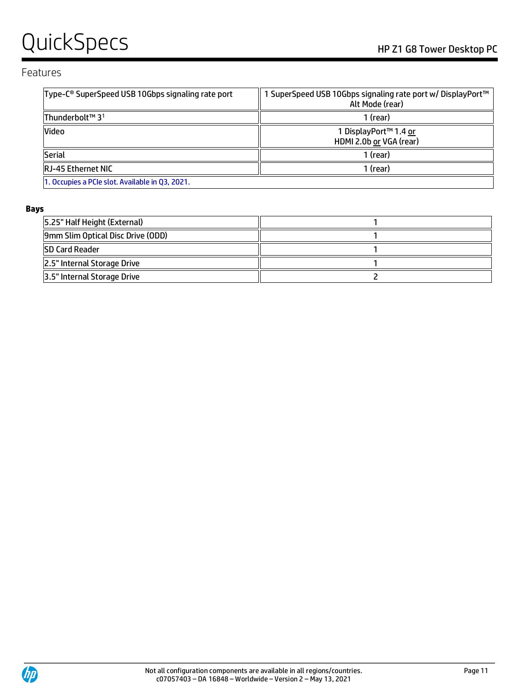# QUICKSPECS HP Z1 G8 Tower Desktop PC

### Features

| Type-C <sup>®</sup> SuperSpeed USB 10Gbps signaling rate port | I SuperSpeed USB 10Gbps signaling rate port w/ DisplayPort™<br>Alt Mode (rear) |  |
|---------------------------------------------------------------|--------------------------------------------------------------------------------|--|
| Thunderbolt™ 3 <sup>1</sup>                                   | 1 (rear)                                                                       |  |
| Video                                                         | 1 DisplayPort™ 1.4 or<br>HDMI 2.0b or VGA (rear)                               |  |
| <b>Serial</b>                                                 | 1 (rear)                                                                       |  |
| <b>RJ-45 Ethernet NIC</b>                                     | 1 (rear)                                                                       |  |
| 1. Occupies a PCIe slot. Available in Q3, 2021.               |                                                                                |  |

#### **Bays**

| 5.25" Half Height (External)      |  |
|-----------------------------------|--|
| 9mm Slim Optical Disc Drive (ODD) |  |
| <b>SD Card Reader</b>             |  |
| 2.5" Internal Storage Drive       |  |
| 3.5" Internal Storage Drive       |  |

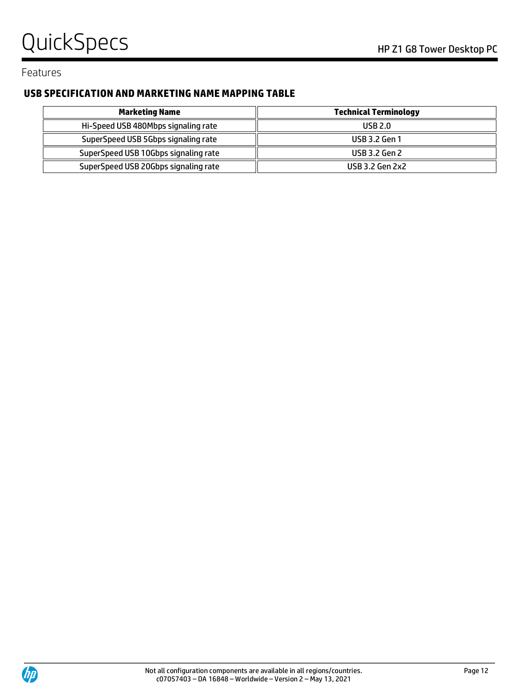# QuickSpecs
Band Company of the Company of the Company of the Company of the Company of the Company of the Company of the Company of the Company of the Company of the Company of the Company of the Company of the Company of

Features

# **USB SPECIFICATION AND MARKETING NAME MAPPING TABLE**

| Marketing Name                       | <b>Technical Terminology</b> |  |
|--------------------------------------|------------------------------|--|
| Hi-Speed USB 480Mbps signaling rate  | <b>USB 2.0</b>               |  |
| SuperSpeed USB 5Gbps signaling rate  | <b>USB 3.2 Gen 1</b>         |  |
| SuperSpeed USB 10Gbps signaling rate | <b>USB 3.2 Gen 2</b>         |  |
| SuperSpeed USB 20Gbps signaling rate | USB 3.2 Gen 2x2              |  |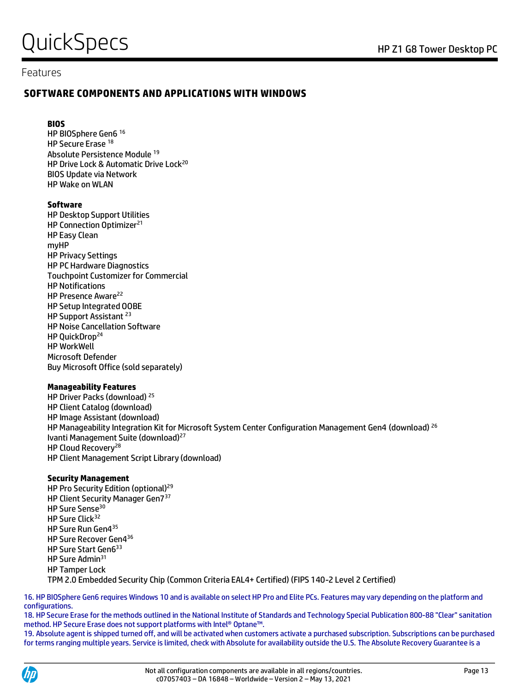### Features

#### **SOFTWARE COMPONENTS AND APPLICATIONS WITH WINDOWS**

#### **BIOS**

HP BIOSphere Gen6 <sup>16</sup> HP Secure Erase <sup>18</sup> Absolute Persistence Module <sup>19</sup> HP Drive Lock & Automatic Drive Lock<sup>20</sup> BIOS Update via Network HP Wake on WLAN

#### **Software**

HP Desktop Support Utilities HP Connection Optimizer<sup>21</sup> HP Easy Clean myHP HP Privacy Settings HP PC Hardware Diagnostics Touchpoint Customizer for Commercial HP Notifications HP Presence Aware<sup>22</sup> HP Setup Integrated OOBE HP Support Assistant <sup>23</sup> HP Noise Cancellation Software HP QuickDrop<sup>24</sup> HP WorkWell Microsoft Defender Buy Microsoft Office (sold separately)

#### **Manageability Features**

HP Driver Packs (download) <sup>25</sup> HP Client Catalog (download) HP Image Assistant (download) HP Manageability Integration Kit for Microsoft System Center Configuration Management Gen4 (download)<sup>26</sup> Ivanti Management Suite (download)<sup>27</sup> HP Cloud Recovery<sup>28</sup> HP Client Management Script Library (download)

#### **Security Management**

HP Pro Security Edition (optional)<sup>29</sup> HP Client Security Manager Gen7<sup>37</sup> HP Sure Sense<sup>30</sup> HP Sure Click<sup>32</sup> HP Sure Run Gen4<sup>35</sup> HP Sure Recover Gen4<sup>36</sup> HP Sure Start Gen6<sup>33</sup> HP Sure Admin<sup>31</sup> HP Tamper Lock TPM 2.0 Embedded Security Chip (Common Criteria EAL4+ Certified) (FIPS 140-2 Level 2 Certified)

16. HP BIOSphere Gen6 requires Windows 10 and is available on select HP Pro and Elite PCs. Features may vary depending on the platform and configurations.

18. HP Secure Erase for the methods outlined in the National Institute of Standards and Technology Special Publication 800-88 "Clear" sanitation method. HP Secure Erase does not support platforms with Intel® Optane™.

19. Absolute agent is shipped turned off, and will be activated when customers activate a purchased subscription. Subscriptions can be purchased for terms ranging multiple years. Service is limited, check with Absolute for availability outside the U.S. The Absolute Recovery Guarantee is a

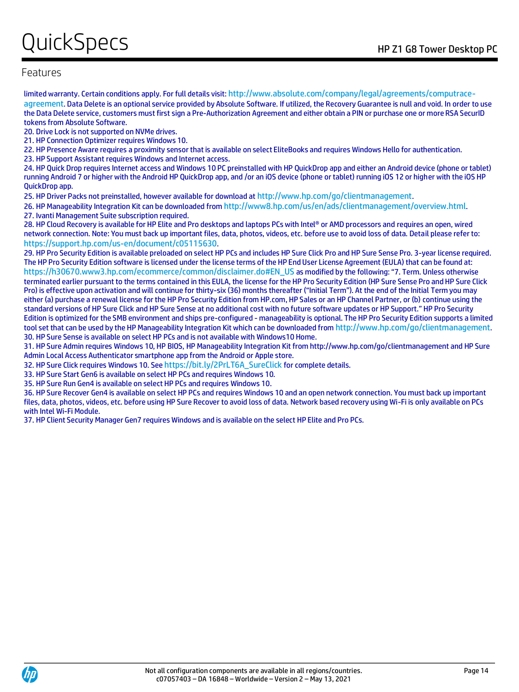# $\mathsf{Quick}$ Specs  $\mathsf{Q}$ uick $\mathsf{Spec}$

### Features

limited warranty. Certain conditions apply. For full details visit: [http://www.absolute.com/company/legal/agreements/computrace](http://www.absolute.com/company/legal/agreements/computrace-agreement)[agreement](http://www.absolute.com/company/legal/agreements/computrace-agreement). Data Delete is an optional service provided by Absolute Software. If utilized, the Recovery Guarantee is null and void. In order to use the Data Delete service, customers must first sign a Pre-Authorization Agreement and either obtain a PIN or purchase one or more RSA SecurID tokens from Absolute Software.

20. Drive Lock is not supported on NVMe drives.

21. HP Connection Optimizer requires Windows 10.

22. HP Presence Aware requires a proximity sensor that is available on select EliteBooks and requires Windows Hello for authentication.

23. HP Support Assistant requires Windows and Internet access.

24. HP Quick Drop requires Internet access and Windows 10 PC preinstalled with HP QuickDrop app and either an Android device (phone or tablet) running Android 7 or higher with the Android HP QuickDrop app, and /or an iOS device (phone or tablet) running iOS 12 or higher with the iOS HP QuickDrop app.

25. HP Driver Packs not preinstalled, however available for download at <http://www.hp.com/go/clientmanagement>.

26. HP Manageability Integration Kit can be downloaded from <http://www8.hp.com/us/en/ads/clientmanagement/overview.html>. 27. Ivanti Management Suite subscription required.

28. HP Cloud Recovery is available for HP Elite and Pro desktops and laptops PCs with Intel® or AMD processors and requires an open, wired network connection. Note: You must back up important files, data, photos, videos, etc. before use to avoid loss of data. Detail please refer to: <https://support.hp.com/us-en/document/c05115630>.

29. HP Pro Security Edition is available preloaded on select HP PCs and includes HP Sure Click Pro and HP Sure Sense Pro. 3-year license required. The HP Pro Security Edition software is licensed under the license terms of the HP End User License Agreement (EULA) that can be found at: [https://h30670.www3.hp.com/ecommerce/common/disclaimer.do#EN\\_US](https://h30670.www3.hp.com/ecommerce/common/disclaimer.do#EN_US) as modified by the following: "7. Term. Unless otherwise terminated earlier pursuant to the terms contained in this EULA, the license for the HP Pro Security Edition (HP Sure Sense Pro and HP Sure Click Pro) is effective upon activation and will continue for thirty-six (36) months thereafter ("Initial Term"). At the end of the Initial Term you may either (a) purchase a renewal license for the HP Pro Security Edition from HP.com, HP Sales or an HP Channel Partner, or (b) continue using the standard versions of HP Sure Click and HP Sure Sense at no additional cost with no future software updates or HP Support." HP Pro Security Edition is optimized for the SMB environment and ships pre-configured - manageability is optional. The HP Pro Security Edition supports a limited tool set that can be used by the HP Manageability Integration Kit which can be downloaded from <http://www.hp.com/go/clientmanagement>. 30. HP Sure Sense is available on select HP PCs and is not available with Windows10 Home.

31. HP Sure Admin requires Windows 10, HP BIOS, HP Manageability Integration Kit from http://www.hp.com/go/clientmanagement and HP Sure Admin Local Access Authenticator smartphone app from the Android or Apple store.

32. HP Sure Click requires Windows 10. See [https://bit.ly/2PrLT6A\\_SureClick](https://bit.ly/2PrLT6A_SureClick) for complete details.

33. HP Sure Start Gen6 is available on select HP PCs and requires Windows 10.

35. HP Sure Run Gen4 is available on select HP PCs and requires Windows 10.

36. HP Sure Recover Gen4 is available on select HP PCs and requires Windows 10 and an open network connection. You must back up important files, data, photos, videos, etc. before using HP Sure Recover to avoid loss of data. Network based recovery using Wi-Fi is only available on PCs with Intel Wi-Fi Module.

37. HP Client Security Manager Gen7 requires Windows and is available on the select HP Elite and Pro PCs.

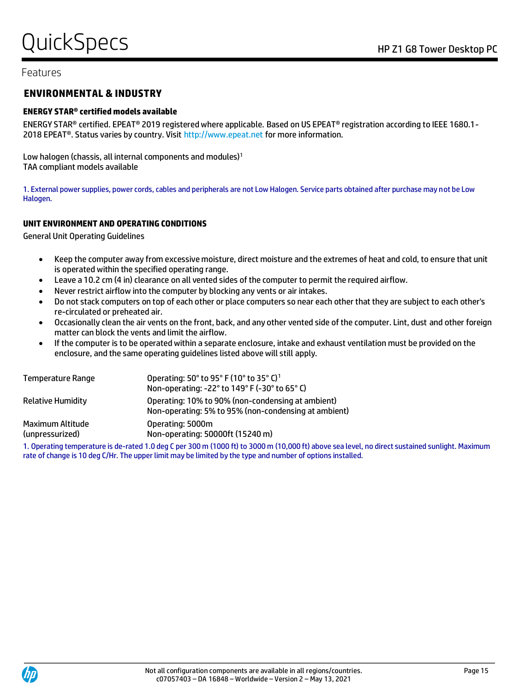### Features

#### **ENVIRONMENTAL & INDUSTRY**

#### **ENERGY STAR® certified models available**

ENERGY STAR® certified. EPEAT® 2019 registered where applicable. Based on US EPEAT® registration according to IEEE 1680.1- 2018 EPEAT<sup>®</sup>. Status varies by country. Visit http://www.epeat.net for more information.

Low halogen (chassis, all internal components and modules)<sup>1</sup> TAA compliant models available

1. External power supplies, power cords, cables and peripherals are not Low Halogen. Service parts obtained after purchase may not be Low Halogen.

#### **UNIT ENVIRONMENT AND OPERATING CONDITIONS**

General Unit Operating Guidelines

- Keep the computer away from excessive moisture, direct moisture and the extremes of heat and cold, to ensure that unit is operated within the specified operating range.
- Leave a 10.2 cm (4 in) clearance on all vented sides of the computer to permit the required airflow.
- Never restrict airflow into the computer by blocking any vents or air intakes.
- Do not stack computers on top of each other or place computers so near each other that they are subject to each other's re-circulated or preheated air.
- Occasionally clean the air vents on the front, back, and any other vented side of the computer. Lint, dust and other foreign matter can block the vents and limit the airflow.
- If the computer is to be operated within a separate enclosure, intake and exhaust ventilation must be provided on the enclosure, and the same operating guidelines listed above will still apply.

| Temperature Range                   | Operating: 50° to 95° F (10° to 35° C) <sup>1</sup><br>Non-operating: -22° to 149° F (-30° to 65° C)      |
|-------------------------------------|-----------------------------------------------------------------------------------------------------------|
| <b>Relative Humidity</b>            | Operating: 10% to 90% (non-condensing at ambient)<br>Non-operating: 5% to 95% (non-condensing at ambient) |
| Maximum Altitude<br>(unpressurized) | Operating: 5000m<br>Non-operating: 50000ft (15240 m)                                                      |

1. Operating temperature is de-rated 1.0 deg C per 300 m (1000 ft) to 3000 m (10,000 ft) above sea level, no direct sustained sunlight. Maximum rate of change is 10 deg C/Hr. The upper limit may be limited by the type and number of options installed.

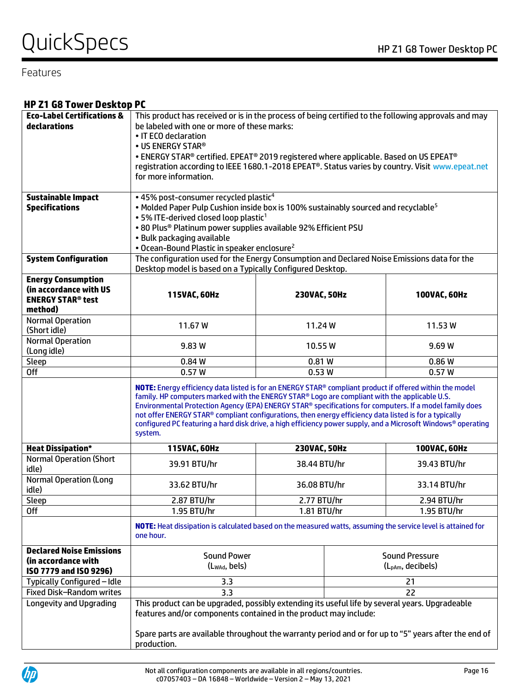# QuickSpecs
Band Company of the Company of the Company of the Company of the Company of the Company of the Company of the Company of the Company of the Company of the Company of the Company of the Company of the Company of

### Features

### **HP Z1 G8 Tower Desktop PC**

| <b>Eco-Label Certifications &amp;</b>  | This product has received or is in the process of being certified to the following approvals and may                                                                                                                                                                                                                                                                                                                                                                                                                                                       |                                                                                                |                       |  |
|----------------------------------------|------------------------------------------------------------------------------------------------------------------------------------------------------------------------------------------------------------------------------------------------------------------------------------------------------------------------------------------------------------------------------------------------------------------------------------------------------------------------------------------------------------------------------------------------------------|------------------------------------------------------------------------------------------------|-----------------------|--|
| declarations                           | be labeled with one or more of these marks:                                                                                                                                                                                                                                                                                                                                                                                                                                                                                                                |                                                                                                |                       |  |
|                                        | • IT ECO declaration                                                                                                                                                                                                                                                                                                                                                                                                                                                                                                                                       |                                                                                                |                       |  |
|                                        | • US ENERGY STAR®                                                                                                                                                                                                                                                                                                                                                                                                                                                                                                                                          |                                                                                                |                       |  |
|                                        |                                                                                                                                                                                                                                                                                                                                                                                                                                                                                                                                                            | . ENERGY STAR® certified. EPEAT® 2019 registered where applicable. Based on US EPEAT®          |                       |  |
|                                        | registration according to IEEE 1680.1-2018 EPEAT®. Status varies by country. Visit www.epeat.net                                                                                                                                                                                                                                                                                                                                                                                                                                                           |                                                                                                |                       |  |
|                                        | for more information.                                                                                                                                                                                                                                                                                                                                                                                                                                                                                                                                      |                                                                                                |                       |  |
|                                        |                                                                                                                                                                                                                                                                                                                                                                                                                                                                                                                                                            |                                                                                                |                       |  |
| <b>Sustainable Impact</b>              | . 45% post-consumer recycled plastic <sup>4</sup>                                                                                                                                                                                                                                                                                                                                                                                                                                                                                                          |                                                                                                |                       |  |
| <b>Specifications</b>                  |                                                                                                                                                                                                                                                                                                                                                                                                                                                                                                                                                            | • Molded Paper Pulp Cushion inside box is 100% sustainably sourced and recyclable <sup>5</sup> |                       |  |
|                                        | • 5% ITE-derived closed loop plastic <sup>1</sup>                                                                                                                                                                                                                                                                                                                                                                                                                                                                                                          |                                                                                                |                       |  |
|                                        | . 80 Plus® Platinum power supplies available 92% Efficient PSU                                                                                                                                                                                                                                                                                                                                                                                                                                                                                             |                                                                                                |                       |  |
|                                        | · Bulk packaging available                                                                                                                                                                                                                                                                                                                                                                                                                                                                                                                                 |                                                                                                |                       |  |
|                                        | • Ocean-Bound Plastic in speaker enclosure <sup>2</sup>                                                                                                                                                                                                                                                                                                                                                                                                                                                                                                    |                                                                                                |                       |  |
| <b>System Configuration</b>            |                                                                                                                                                                                                                                                                                                                                                                                                                                                                                                                                                            | The configuration used for the Energy Consumption and Declared Noise Emissions data for the    |                       |  |
|                                        | Desktop model is based on a Typically Configured Desktop.                                                                                                                                                                                                                                                                                                                                                                                                                                                                                                  |                                                                                                |                       |  |
| <b>Energy Consumption</b>              |                                                                                                                                                                                                                                                                                                                                                                                                                                                                                                                                                            |                                                                                                |                       |  |
| (in accordance with US                 | 115VAC, 60Hz                                                                                                                                                                                                                                                                                                                                                                                                                                                                                                                                               | 230VAC, 50Hz                                                                                   | 100VAC, 60Hz          |  |
| <b>ENERGY STAR<sup>®</sup> test</b>    |                                                                                                                                                                                                                                                                                                                                                                                                                                                                                                                                                            |                                                                                                |                       |  |
| method)<br><b>Normal Operation</b>     |                                                                                                                                                                                                                                                                                                                                                                                                                                                                                                                                                            |                                                                                                |                       |  |
| (Short idle)                           | 11.67 W                                                                                                                                                                                                                                                                                                                                                                                                                                                                                                                                                    | 11.24W                                                                                         | 11.53W                |  |
| <b>Normal Operation</b>                |                                                                                                                                                                                                                                                                                                                                                                                                                                                                                                                                                            |                                                                                                |                       |  |
| (Long idle)                            | 9.83 W                                                                                                                                                                                                                                                                                                                                                                                                                                                                                                                                                     | 10.55 W<br>9.69W                                                                               |                       |  |
| Sleep                                  | 0.84 W                                                                                                                                                                                                                                                                                                                                                                                                                                                                                                                                                     | 0.81W                                                                                          | 0.86W                 |  |
| <b>Off</b>                             | 0.57W                                                                                                                                                                                                                                                                                                                                                                                                                                                                                                                                                      | 0.53W                                                                                          | 0.57W                 |  |
|                                        | NOTE: Energy efficiency data listed is for an ENERGY STAR® compliant product if offered within the model<br>family. HP computers marked with the ENERGY STAR® Logo are compliant with the applicable U.S.<br>Environmental Protection Agency (EPA) ENERGY STAR® specifications for computers. If a model family does<br>not offer ENERGY STAR® compliant configurations, then energy efficiency data listed is for a typically<br>configured PC featuring a hard disk drive, a high efficiency power supply, and a Microsoft Windows® operating<br>system. |                                                                                                |                       |  |
| <b>Heat Dissipation*</b>               | 100VAC, 60Hz<br>115VAC, 60Hz<br>230VAC, 50Hz                                                                                                                                                                                                                                                                                                                                                                                                                                                                                                               |                                                                                                |                       |  |
| <b>Normal Operation (Short</b>         | 39.91 BTU/hr                                                                                                                                                                                                                                                                                                                                                                                                                                                                                                                                               | 38.44 BTU/hr                                                                                   | 39.43 BTU/hr          |  |
| idle)                                  |                                                                                                                                                                                                                                                                                                                                                                                                                                                                                                                                                            |                                                                                                |                       |  |
| <b>Normal Operation (Long</b><br>idle) | 33.62 BTU/hr                                                                                                                                                                                                                                                                                                                                                                                                                                                                                                                                               | 33.14 BTU/hr<br>36.08 BTU/hr                                                                   |                       |  |
| Sleep                                  | 2.87 BTU/hr<br>2.77 BTU/hr                                                                                                                                                                                                                                                                                                                                                                                                                                                                                                                                 |                                                                                                | 2.94 BTU/hr           |  |
| 0ff                                    | 1.95 BTU/hr<br>1.81 BTU/hr<br>1.95 BTU/hr                                                                                                                                                                                                                                                                                                                                                                                                                                                                                                                  |                                                                                                |                       |  |
|                                        | NOTE: Heat dissipation is calculated based on the measured watts, assuming the service level is attained for<br>one hour.                                                                                                                                                                                                                                                                                                                                                                                                                                  |                                                                                                |                       |  |
| <b>Declared Noise Emissions</b>        | <b>Sound Power</b><br><b>Sound Pressure</b>                                                                                                                                                                                                                                                                                                                                                                                                                                                                                                                |                                                                                                |                       |  |
| (in accordance with                    | $(L_{WAd}, \text{bels})$                                                                                                                                                                                                                                                                                                                                                                                                                                                                                                                                   |                                                                                                | $(L_{pAm},$ decibels) |  |
| ISO 7779 and ISO 9296)                 |                                                                                                                                                                                                                                                                                                                                                                                                                                                                                                                                                            |                                                                                                |                       |  |
| Typically Configured - Idle            | 3.3<br>21                                                                                                                                                                                                                                                                                                                                                                                                                                                                                                                                                  |                                                                                                |                       |  |
| <b>Fixed Disk-Random writes</b>        | 22<br>3.3                                                                                                                                                                                                                                                                                                                                                                                                                                                                                                                                                  |                                                                                                |                       |  |
| Longevity and Upgrading                | This product can be upgraded, possibly extending its useful life by several years. Upgradeable<br>features and/or components contained in the product may include:<br>Spare parts are available throughout the warranty period and or for up to "5" years after the end of                                                                                                                                                                                                                                                                                 |                                                                                                |                       |  |
|                                        | production.                                                                                                                                                                                                                                                                                                                                                                                                                                                                                                                                                |                                                                                                |                       |  |

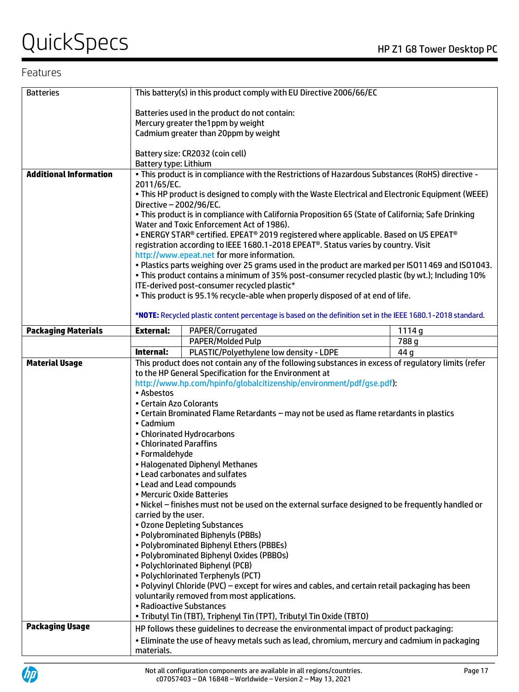# QuickSpecs Notes Alternative Contract the Contract of the Z1 G8 Tower Desktop PC

# Features

| <b>Batteries</b>              |                                                                                         | This battery(s) in this product comply with EU Directive 2006/66/EC                                                                             |       |
|-------------------------------|-----------------------------------------------------------------------------------------|-------------------------------------------------------------------------------------------------------------------------------------------------|-------|
|                               |                                                                                         |                                                                                                                                                 |       |
|                               | Batteries used in the product do not contain:                                           |                                                                                                                                                 |       |
|                               | Mercury greater the1ppm by weight<br>Cadmium greater than 20ppm by weight               |                                                                                                                                                 |       |
|                               |                                                                                         |                                                                                                                                                 |       |
|                               |                                                                                         | Battery size: CR2032 (coin cell)                                                                                                                |       |
|                               | Battery type: Lithium                                                                   |                                                                                                                                                 |       |
| <b>Additional Information</b> |                                                                                         | . This product is in compliance with the Restrictions of Hazardous Substances (RoHS) directive -                                                |       |
|                               | 2011/65/EC.                                                                             |                                                                                                                                                 |       |
|                               |                                                                                         | . This HP product is designed to comply with the Waste Electrical and Electronic Equipment (WEEE)                                               |       |
|                               | Directive - 2002/96/EC.                                                                 |                                                                                                                                                 |       |
|                               |                                                                                         | . This product is in compliance with California Proposition 65 (State of California; Safe Drinking<br>Water and Toxic Enforcement Act of 1986). |       |
|                               |                                                                                         | . ENERGY STAR® certified. EPEAT® 2019 registered where applicable. Based on US EPEAT®                                                           |       |
|                               |                                                                                         | registration according to IEEE 1680.1-2018 EPEAT®. Status varies by country. Visit                                                              |       |
|                               |                                                                                         | http://www.epeat.net for more information.                                                                                                      |       |
|                               |                                                                                         | . Plastics parts weighing over 25 grams used in the product are marked per ISO11469 and ISO1043.                                                |       |
|                               |                                                                                         | . This product contains a minimum of 35% post-consumer recycled plastic (by wt.); Including 10%                                                 |       |
|                               |                                                                                         | ITE-derived post-consumer recycled plastic*                                                                                                     |       |
|                               |                                                                                         | . This product is 95.1% recycle-able when properly disposed of at end of life.                                                                  |       |
|                               |                                                                                         | *NOTE: Recycled plastic content percentage is based on the definition set in the IEEE 1680.1-2018 standard.                                     |       |
| <b>Packaging Materials</b>    | <b>External:</b>                                                                        | PAPER/Corrugated                                                                                                                                | 1114g |
|                               |                                                                                         | PAPER/Molded Pulp                                                                                                                               | 788 g |
|                               | Internal:                                                                               | PLASTIC/Polyethylene low density - LDPE                                                                                                         | 44 q  |
| <b>Material Usage</b>         |                                                                                         | This product does not contain any of the following substances in excess of regulatory limits (refer                                             |       |
|                               |                                                                                         | to the HP General Specification for the Environment at                                                                                          |       |
|                               |                                                                                         | http://www.hp.com/hpinfo/globalcitizenship/environment/pdf/gse.pdf):                                                                            |       |
|                               | • Asbestos                                                                              |                                                                                                                                                 |       |
|                               | • Certain Azo Colorants                                                                 |                                                                                                                                                 |       |
|                               | . Certain Brominated Flame Retardants - may not be used as flame retardants in plastics |                                                                                                                                                 |       |
|                               | • Cadmium                                                                               |                                                                                                                                                 |       |
|                               | • Chlorinated Hydrocarbons<br>• Chlorinated Paraffins                                   |                                                                                                                                                 |       |
|                               | • Formaldehyde                                                                          |                                                                                                                                                 |       |
|                               | • Halogenated Diphenyl Methanes                                                         |                                                                                                                                                 |       |
|                               | • Lead carbonates and sulfates                                                          |                                                                                                                                                 |       |
|                               | • Lead and Lead compounds                                                               |                                                                                                                                                 |       |
|                               | • Mercuric Oxide Batteries                                                              |                                                                                                                                                 |       |
|                               | carried by the user.                                                                    | . Nickel - finishes must not be used on the external surface designed to be frequently handled or                                               |       |
|                               |                                                                                         | • Ozone Depleting Substances                                                                                                                    |       |
|                               |                                                                                         | • Polybrominated Biphenyls (PBBs)                                                                                                               |       |
|                               |                                                                                         | • Polybrominated Biphenyl Ethers (PBBEs)                                                                                                        |       |
|                               |                                                                                         | · Polybrominated Biphenyl Oxides (PBBOs)                                                                                                        |       |
|                               |                                                                                         | · Polychlorinated Biphenyl (PCB)                                                                                                                |       |
|                               |                                                                                         | · Polychlorinated Terphenyls (PCT)                                                                                                              |       |
|                               |                                                                                         | . Polyvinyl Chloride (PVC) - except for wires and cables, and certain retail packaging has been                                                 |       |
|                               | voluntarily removed from most applications.<br>• Radioactive Substances                 |                                                                                                                                                 |       |
|                               |                                                                                         | • Tributyl Tin (TBT), Triphenyl Tin (TPT), Tributyl Tin Oxide (TBTO)                                                                            |       |
| <b>Packaging Usage</b>        |                                                                                         | HP follows these guidelines to decrease the environmental impact of product packaging:                                                          |       |
|                               |                                                                                         | . Eliminate the use of heavy metals such as lead, chromium, mercury and cadmium in packaging                                                    |       |
|                               | materials.                                                                              |                                                                                                                                                 |       |

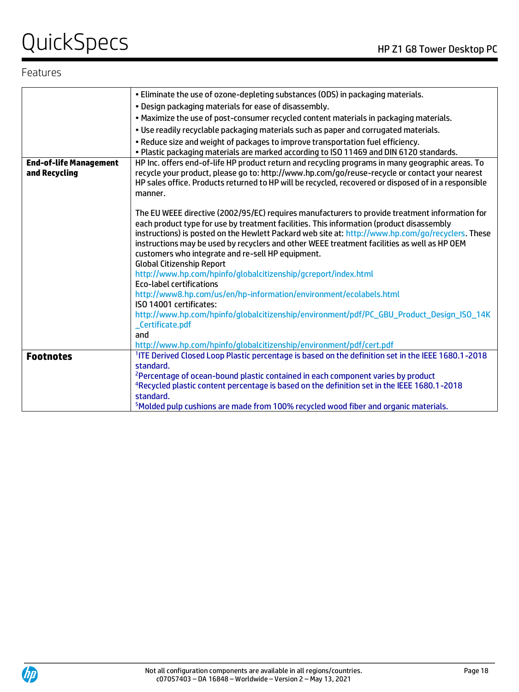# QuickSpecs Notes Alternative Contract the Contract of the Z1 G8 Tower Desktop PC

### Features

|                               | . Eliminate the use of ozone-depleting substances (ODS) in packaging materials.                                                                                                            |
|-------------------------------|--------------------------------------------------------------------------------------------------------------------------------------------------------------------------------------------|
|                               | . Design packaging materials for ease of disassembly.                                                                                                                                      |
|                               | . Maximize the use of post-consumer recycled content materials in packaging materials.                                                                                                     |
|                               | . Use readily recyclable packaging materials such as paper and corrugated materials.                                                                                                       |
|                               | . Reduce size and weight of packages to improve transportation fuel efficiency.                                                                                                            |
|                               | . Plastic packaging materials are marked according to ISO 11469 and DIN 6120 standards.                                                                                                    |
| <b>End-of-life Management</b> | HP Inc. offers end-of-life HP product return and recycling programs in many geographic areas. To                                                                                           |
| and Recycling                 | recycle your product, please go to: http://www.hp.com/go/reuse-recycle or contact your nearest                                                                                             |
|                               | HP sales office. Products returned to HP will be recycled, recovered or disposed of in a responsible                                                                                       |
|                               | manner.                                                                                                                                                                                    |
|                               |                                                                                                                                                                                            |
|                               | The EU WEEE directive (2002/95/EC) requires manufacturers to provide treatment information for<br>each product type for use by treatment facilities. This information (product disassembly |
|                               | instructions) is posted on the Hewlett Packard web site at: http://www.hp.com/go/recyclers. These                                                                                          |
|                               | instructions may be used by recyclers and other WEEE treatment facilities as well as HP OEM                                                                                                |
|                               | customers who integrate and re-sell HP equipment.                                                                                                                                          |
|                               | <b>Global Citizenship Report</b>                                                                                                                                                           |
|                               | http://www.hp.com/hpinfo/globalcitizenship/gcreport/index.html                                                                                                                             |
|                               | <b>Eco-label certifications</b>                                                                                                                                                            |
|                               | http://www8.hp.com/us/en/hp-information/environment/ecolabels.html                                                                                                                         |
|                               | ISO 14001 certificates:                                                                                                                                                                    |
|                               | http://www.hp.com/hpinfo/globalcitizenship/environment/pdf/PC_GBU_Product_Design_ISO_14K                                                                                                   |
|                               | Certificate.pdf                                                                                                                                                                            |
|                               | and                                                                                                                                                                                        |
|                               | http://www.hp.com/hpinfo/globalcitizenship/environment/pdf/cert.pdf                                                                                                                        |
| <b>Footnotes</b>              | <sup>1</sup> ITE Derived Closed Loop Plastic percentage is based on the definition set in the IEEE 1680.1-2018                                                                             |
|                               | standard.                                                                                                                                                                                  |
|                               | <sup>2</sup> Percentage of ocean-bound plastic contained in each component varies by product                                                                                               |
|                               | <sup>4</sup> Recycled plastic content percentage is based on the definition set in the IEEE 1680.1-2018                                                                                    |
|                               | standard.                                                                                                                                                                                  |
|                               | <sup>5</sup> Molded pulp cushions are made from 100% recycled wood fiber and organic materials.                                                                                            |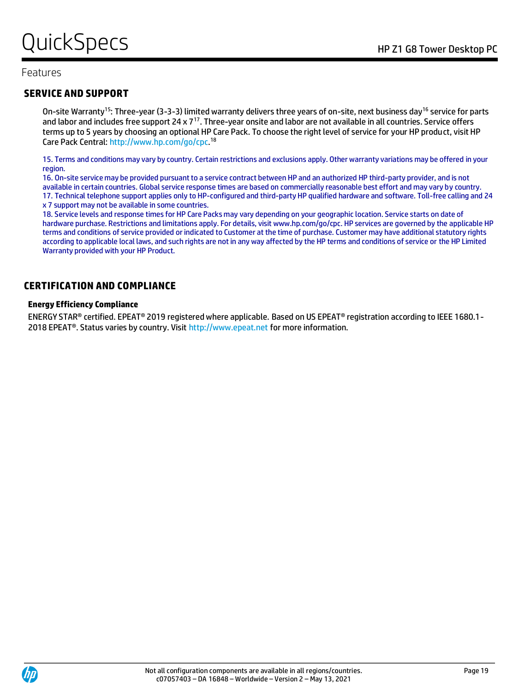### Features

### **SERVICE AND SUPPORT**

On-site Warranty<sup>15</sup>: Three-year (3-3-3) limited warranty delivers three years of on-site, next business day<sup>16</sup> service for parts and labor and includes free support 24 x  $7^{17}$ . Three-year onsite and labor are not available in all countries. Service offers terms up to 5 years by choosing an optional HP Care Pack. To choose the right level of service for your HP product, visit HP Care Pack Central[: http://www.hp.com/go/cpc.](http://www.hp.com/go/cpc)<sup>18</sup>

15. Terms and conditions may vary by country. Certain restrictions and exclusions apply. Other warranty variations may be offered in your region.

16. On-site service may be provided pursuant to a service contract between HP and an authorized HP third-party provider, and is not available in certain countries. Global service response times are based on commercially reasonable best effort and may vary by country. 17. Technical telephone support applies only to HP-configured and third-party HP qualified hardware and software. Toll-free calling and 24 x 7 support may not be available in some countries.

18. Service levels and response times for HP Care Packs may vary depending on your geographic location. Service starts on date of hardware purchase. Restrictions and limitations apply. For details, visit www.hp.com/go/cpc. HP services are governed by the applicable HP terms and conditions of service provided or indicated to Customer at the time of purchase. Customer may have additional statutory rights according to applicable local laws, and such rights are not in any way affected by the HP terms and conditions of service or the HP Limited Warranty provided with your HP Product.

#### **CERTIFICATION AND COMPLIANCE**

#### **Energy Efficiency Compliance**

ENERGY STAR® certified. EPEAT® 2019 registered where applicable. Based on US EPEAT® registration according to IEEE 1680.1- 2018 EPEAT®. Status varies by country. Visit http://www.epeat.net for more information.

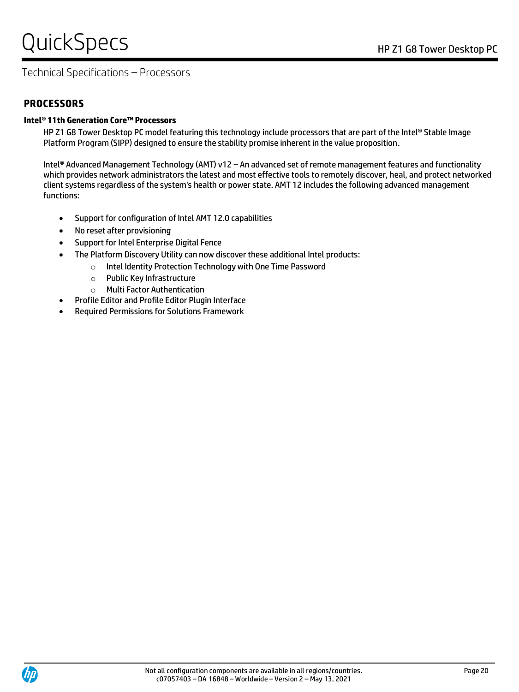# QuickSpecs Notes Alternative Contract the Reserve Contract of the Z1 G8 Tower Desktop PC

# Technical Specifications – Processors

### **PROCESSORS**

#### **Intel® 11th Generation Core™ Processors**

HP Z1 G8 Tower Desktop PC model featuring this technology include processors that are part of the Intel® Stable Image Platform Program (SIPP) designed to ensure the stability promise inherent in the value proposition.

Intel® Advanced Management Technology (AMT) v12 – An advanced set of remote management features and functionality which provides network administrators the latest and most effective tools to remotely discover, heal, and protect networked client systems regardless of the system's health or power state. AMT 12 includes the following advanced management functions:

- Support for configuration of Intel AMT 12.0 capabilities
- No reset after provisioning
- Support for Intel Enterprise Digital Fence
- The Platform Discovery Utility can now discover these additional Intel products:
	- o Intel Identity Protection Technology with One Time Password
	- o Public Key Infrastructure
	- o Multi Factor Authentication
- Profile Editor and Profile Editor Plugin Interface
- Required Permissions for Solutions Framework

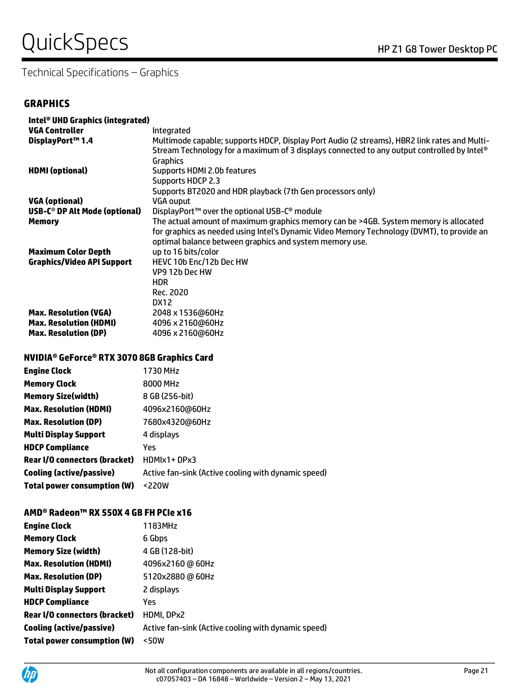# QUICKS DECS HP Z1 G8 Tower Desktop PC

# Technical Specifications – Graphics

### **GRAPHICS**

| Intel <sup>®</sup> UHD Graphics (integrated) |                                                                                              |
|----------------------------------------------|----------------------------------------------------------------------------------------------|
| <b>VGA Controller</b>                        | Integrated                                                                                   |
| DisplayPort™1.4                              | Multimode capable; supports HDCP, Display Port Audio (2 streams), HBR2 link rates and Multi- |
|                                              | Stream Technology for a maximum of 3 displays connected to any output controlled by Intel®   |
|                                              | Graphics                                                                                     |
| <b>HDMI</b> (optional)                       | Supports HDMI 2.0b features                                                                  |
|                                              | Supports HDCP 2.3                                                                            |
|                                              | Supports BT2020 and HDR playback (7th Gen processors only)                                   |
| <b>VGA (optional)</b>                        | VGA ouput                                                                                    |
| USB-C® DP Alt Mode (optional)                | DisplayPort™ over the optional USB-C® module                                                 |
| <b>Memory</b>                                | The actual amount of maximum graphics memory can be >4GB. System memory is allocated         |
|                                              | for graphics as needed using Intel's Dynamic Video Memory Technology (DVMT), to provide an   |
|                                              | optimal balance between graphics and system memory use.                                      |
| <b>Maximum Color Depth</b>                   | up to 16 bits/color                                                                          |
| <b>Graphics/Video API Support</b>            | HEVC 10b Enc/12b Dec HW                                                                      |
|                                              | VP9 12b Dec HW                                                                               |
|                                              | HDR.                                                                                         |
|                                              | Rec. 2020                                                                                    |
|                                              | DX12                                                                                         |
| <b>Max. Resolution (VGA)</b>                 | 2048 x 1536@60Hz                                                                             |
| <b>Max. Resolution (HDMI)</b>                | 4096 x 2160@60Hz                                                                             |
|                                              |                                                                                              |
| <b>Max. Resolution (DP)</b>                  | 4096 x 2160@60Hz                                                                             |

#### **NVIDIA® GeForce® RTX 3070 8GB Graphics Card**

| <b>Engine Clock</b>                  | 1730 MHz                                            |
|--------------------------------------|-----------------------------------------------------|
| <b>Memory Clock</b>                  | 8000 MHz                                            |
| <b>Memory Size(width)</b>            | 8 GB (256-bit)                                      |
| <b>Max. Resolution (HDMI)</b>        | 4096x2160@60Hz                                      |
| <b>Max. Resolution (DP)</b>          | 7680x4320@60Hz                                      |
| <b>Multi Display Support</b>         | 4 displays                                          |
| <b>HDCP Compliance</b>               | Yes                                                 |
| <b>Rear I/O connectors (bracket)</b> | HDMIx1+DPx3                                         |
| Cooling (active/passive)             | Active fan-sink (Active cooling with dynamic speed) |
| <b>Total power consumption (W)</b>   | <220W                                               |

#### **AMD® Radeon™ RX 550X 4 GB FH PCIe x16**

| <b>Engine Clock</b>                  | 1183MHz                                             |
|--------------------------------------|-----------------------------------------------------|
| <b>Memory Clock</b>                  | 6 Gbps                                              |
| <b>Memory Size (width)</b>           | 4 GB (128-bit)                                      |
| <b>Max. Resolution (HDMI)</b>        | 4096x2160 @ 60Hz                                    |
| <b>Max. Resolution (DP)</b>          | 5120x2880 @ 60Hz                                    |
| <b>Multi Display Support</b>         | 2 displays                                          |
| <b>HDCP Compliance</b>               | Yes                                                 |
| <b>Rear I/O connectors (bracket)</b> | HDMI, DPx2                                          |
| Cooling (active/passive)             | Active fan-sink (Active cooling with dynamic speed) |
| <b>Total power consumption (W)</b>   | <50W                                                |

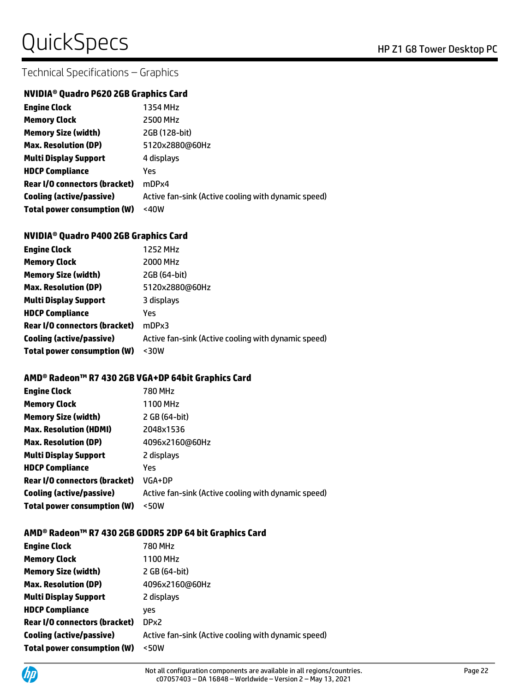# QUICKS DECS HP Z1 G8 Tower Desktop PC

# Technical Specifications – Graphics

#### **NVIDIA® Quadro P620 2GB Graphics Card**

| <b>Engine Clock</b>                | 1354 MHz                                            |
|------------------------------------|-----------------------------------------------------|
| <b>Memory Clock</b>                | 2500 MHz                                            |
| <b>Memory Size (width)</b>         | 2GB (128-bit)                                       |
| <b>Max. Resolution (DP)</b>        | 5120x2880@60Hz                                      |
| <b>Multi Display Support</b>       | 4 displays                                          |
| <b>HDCP Compliance</b>             | Yes                                                 |
| Rear I/O connectors (bracket)      | mDPx4                                               |
| Cooling (active/passive)           | Active fan-sink (Active cooling with dynamic speed) |
| <b>Total power consumption (W)</b> | <40W                                                |

#### **NVIDIA® Quadro P400 2GB Graphics Card**

| <b>Engine Clock</b>                  | 1252 MHz                                            |
|--------------------------------------|-----------------------------------------------------|
| <b>Memory Clock</b>                  | 2000 MHz                                            |
| <b>Memory Size (width)</b>           | 2GB (64-bit)                                        |
| <b>Max. Resolution (DP)</b>          | 5120x2880@60Hz                                      |
| <b>Multi Display Support</b>         | 3 displays                                          |
| <b>HDCP Compliance</b>               | Yes                                                 |
| <b>Rear I/O connectors (bracket)</b> | mDPx3                                               |
| Cooling (active/passive)             | Active fan-sink (Active cooling with dynamic speed) |
| <b>Total power consumption (W)</b>   | $30W$                                               |

#### **AMD® Radeon™ R7 430 2GB VGA+DP 64bit Graphics Card**

| <b>Engine Clock</b>                  | 780 MHz                                             |
|--------------------------------------|-----------------------------------------------------|
| <b>Memory Clock</b>                  | 1100 MHz                                            |
| <b>Memory Size (width)</b>           | 2 GB (64-bit)                                       |
| <b>Max. Resolution (HDMI)</b>        | 2048x1536                                           |
| <b>Max. Resolution (DP)</b>          | 4096x2160@60Hz                                      |
| <b>Multi Display Support</b>         | 2 displays                                          |
| <b>HDCP Compliance</b>               | Yes                                                 |
| <b>Rear I/O connectors (bracket)</b> | VGA+DP                                              |
| <b>Cooling (active/passive)</b>      | Active fan-sink (Active cooling with dynamic speed) |
| <b>Total power consumption (W)</b>   | $<$ 50W                                             |

#### **AMD® Radeon™ R7 430 2GB GDDR5 2DP 64 bit Graphics Card**

| <b>Engine Clock</b>                | 780 MHz                                             |
|------------------------------------|-----------------------------------------------------|
| <b>Memory Clock</b>                | 1100 MHz                                            |
| <b>Memory Size (width)</b>         | 2 GB (64-bit)                                       |
| <b>Max. Resolution (DP)</b>        | 4096x2160@60Hz                                      |
| <b>Multi Display Support</b>       | 2 displays                                          |
| <b>HDCP Compliance</b>             | ves                                                 |
| Rear I/O connectors (bracket)      | DP <sub>x2</sub>                                    |
| Cooling (active/passive)           | Active fan-sink (Active cooling with dynamic speed) |
| <b>Total power consumption (W)</b> | $<$ 50W                                             |

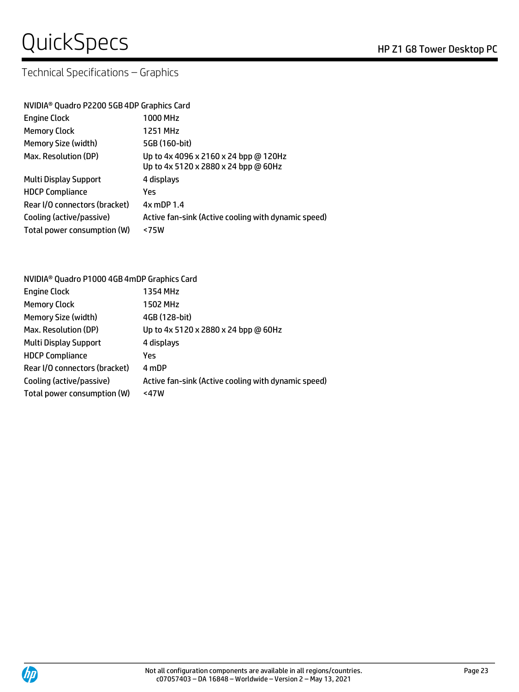# QuickSpecs
Band Company of the Company of the Company of the Company of the Company of the Company of the Company of the Company of the Company of the Company of the Company of the Company of the Company of the Company of

# Technical Specifications – Graphics

| NVIDIA <sup>®</sup> Quadro P2200 5GB 4DP Graphics Card                        |  |  |
|-------------------------------------------------------------------------------|--|--|
| 1000 MHz                                                                      |  |  |
| 1251 MHz                                                                      |  |  |
| 5GB (160-bit)                                                                 |  |  |
| Up to 4x 4096 x 2160 x 24 bpp @ 120Hz<br>Up to 4x 5120 x 2880 x 24 bpp @ 60Hz |  |  |
| 4 displays                                                                    |  |  |
| Yes                                                                           |  |  |
| $4x$ mDP 1.4                                                                  |  |  |
| Active fan-sink (Active cooling with dynamic speed)                           |  |  |
| < 75W                                                                         |  |  |
|                                                                               |  |  |

| NVIDIA <sup>®</sup> Quadro P1000 4GB 4mDP Graphics Card |                                                     |  |
|---------------------------------------------------------|-----------------------------------------------------|--|
| <b>Engine Clock</b>                                     | 1354 MHz                                            |  |
| <b>Memory Clock</b>                                     | 1502 MHz                                            |  |
| <b>Memory Size (width)</b>                              | 4GB (128-bit)                                       |  |
| Max. Resolution (DP)                                    | Up to 4x 5120 x 2880 x 24 bpp @ 60Hz                |  |
| <b>Multi Display Support</b>                            | 4 displays                                          |  |
| <b>HDCP Compliance</b>                                  | Yes                                                 |  |
| Rear I/O connectors (bracket)                           | 4 mDP                                               |  |
| Cooling (active/passive)                                | Active fan-sink (Active cooling with dynamic speed) |  |
| Total power consumption (W)                             | <47W                                                |  |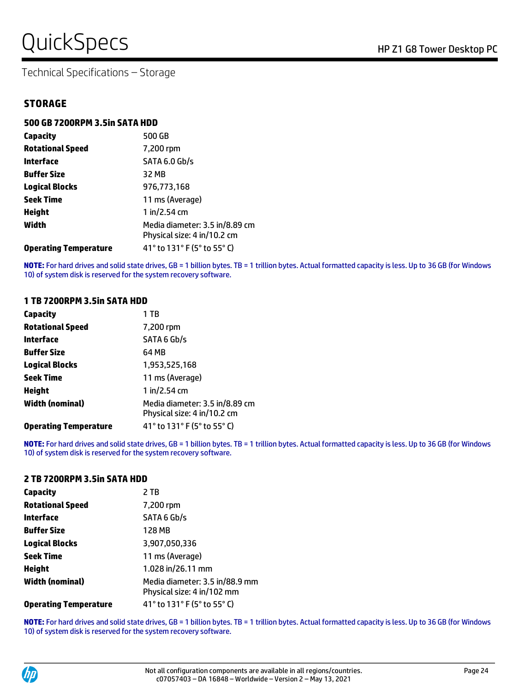# QuickSpecs HP Z1 G8 Tower Desktop PC

Technical Specifications – Storage

| 500 GB 7200RPM 3.5in SATA HDD |                                                               |  |
|-------------------------------|---------------------------------------------------------------|--|
| <b>Capacity</b>               | 500 GB                                                        |  |
| <b>Rotational Speed</b>       | 7,200 rpm                                                     |  |
| Interface                     | <b>SATA 6.0 Gb/s</b>                                          |  |
| <b>Buffer Size</b>            | 32 MB                                                         |  |
| <b>Logical Blocks</b>         | 976,773,168                                                   |  |
| <b>Seek Time</b>              | 11 ms (Average)                                               |  |
| Height                        | 1 in/2.54 cm                                                  |  |
| Width                         | Media diameter: 3.5 in/8.89 cm<br>Physical size: 4 in/10.2 cm |  |
| <b>Operating Temperature</b>  | 41° to 131° F (5° to 55° C)                                   |  |

**NOTE:** For hard drives and solid state drives, GB = 1 billion bytes. TB = 1 trillion bytes. Actual formatted capacity is less. Up to 36 GB (for Windows 10) of system disk is reserved for the system recovery software.

#### **1 TB 7200RPM 3.5in SATA HDD**

| Capacity                     | 1 TB                                                          |
|------------------------------|---------------------------------------------------------------|
| <b>Rotational Speed</b>      | 7,200 rpm                                                     |
| <b>Interface</b>             | SATA 6 Gb/s                                                   |
| <b>Buffer Size</b>           | 64 MB                                                         |
| <b>Logical Blocks</b>        | 1,953,525,168                                                 |
| <b>Seek Time</b>             | 11 ms (Average)                                               |
| <b>Height</b>                | 1 in/2.54 cm                                                  |
| <b>Width (nominal)</b>       | Media diameter: 3.5 in/8.89 cm<br>Physical size: 4 in/10.2 cm |
| <b>Operating Temperature</b> | 41° to 131° F (5° to 55° C)                                   |

**NOTE:** For hard drives and solid state drives, GB = 1 billion bytes. TB = 1 trillion bytes. Actual formatted capacity is less. Up to 36 GB (for Windows 10) of system disk is reserved for the system recovery software.

#### **2 TB 7200RPM 3.5in SATA HDD**

| <b>Capacity</b>              | 2 TB                                                         |
|------------------------------|--------------------------------------------------------------|
| <b>Rotational Speed</b>      | 7,200 rpm                                                    |
| <b>Interface</b>             | SATA 6 Gb/s                                                  |
| <b>Buffer Size</b>           | 128 MB                                                       |
| <b>Logical Blocks</b>        | 3,907,050,336                                                |
| <b>Seek Time</b>             | 11 ms (Average)                                              |
| <b>Height</b>                | 1.028 in/26.11 mm                                            |
| <b>Width (nominal)</b>       | Media diameter: 3.5 in/88.9 mm<br>Physical size: 4 in/102 mm |
| <b>Operating Temperature</b> | 41° to 131° F (5° to 55° C)                                  |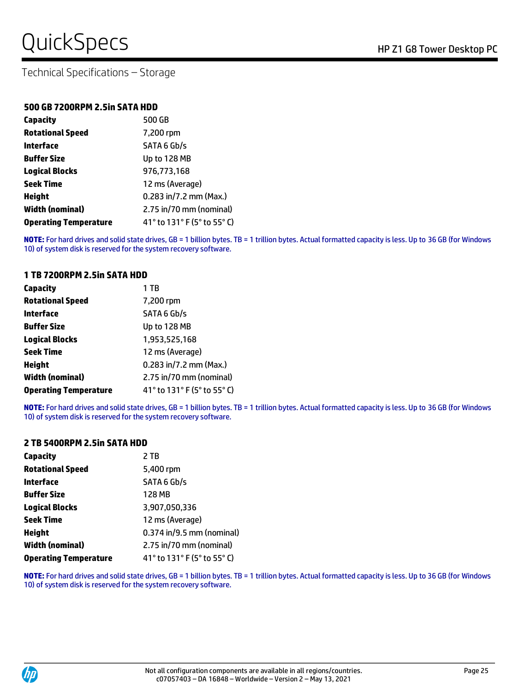#### **500 GB 7200RPM 2.5in SATA HDD**

| Capacity                     | 500 GB                      |
|------------------------------|-----------------------------|
| <b>Rotational Speed</b>      | 7,200 rpm                   |
| Interface                    | SATA 6 Gb/s                 |
| <b>Buffer Size</b>           | Up to 128 MB                |
| <b>Logical Blocks</b>        | 976,773,168                 |
| <b>Seek Time</b>             | 12 ms (Average)             |
| <b>Height</b>                | 0.283 in/7.2 mm (Max.)      |
| <b>Width (nominal)</b>       | 2.75 in/70 mm (nominal)     |
| <b>Operating Temperature</b> | 41° to 131° F (5° to 55° C) |

**NOTE:** For hard drives and solid state drives, GB = 1 billion bytes. TB = 1 trillion bytes. Actual formatted capacity is less. Up to 36 GB (for Windows 10) of system disk is reserved for the system recovery software.

#### **1 TB 7200RPM 2.5in SATA HDD**

| Capacity                     | 1 TB                        |
|------------------------------|-----------------------------|
| <b>Rotational Speed</b>      | 7,200 rpm                   |
| Interface                    | SATA 6 Gb/s                 |
| <b>Buffer Size</b>           | Up to 128 MB                |
| <b>Logical Blocks</b>        | 1,953,525,168               |
| <b>Seek Time</b>             | 12 ms (Average)             |
| <b>Height</b>                | 0.283 in/7.2 mm (Max.)      |
| <b>Width (nominal)</b>       | 2.75 in/70 mm (nominal)     |
| <b>Operating Temperature</b> | 41° to 131° F (5° to 55° C) |

**NOTE:** For hard drives and solid state drives, GB = 1 billion bytes. TB = 1 trillion bytes. Actual formatted capacity is less. Up to 36 GB (for Windows 10) of system disk is reserved for the system recovery software.

#### **2 TB 5400RPM 2.5in SATA HDD**

| <b>Capacity</b>              | 2 TB                        |
|------------------------------|-----------------------------|
| <b>Rotational Speed</b>      | 5,400 rpm                   |
| Interface                    | SATA 6 Gb/s                 |
| <b>Buffer Size</b>           | 128 MB                      |
| <b>Logical Blocks</b>        | 3,907,050,336               |
| <b>Seek Time</b>             | 12 ms (Average)             |
| <b>Height</b>                | 0.374 in/9.5 mm (nominal)   |
| <b>Width (nominal)</b>       | 2.75 in/70 mm (nominal)     |
| <b>Operating Temperature</b> | 41° to 131° F (5° to 55° C) |

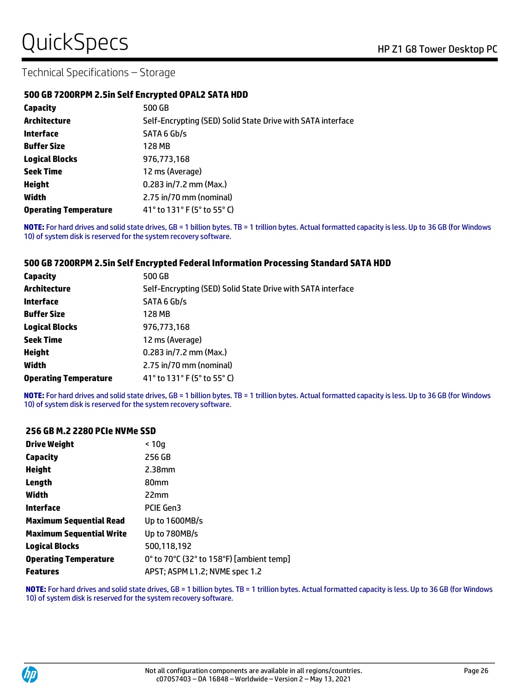#### **500 GB 7200RPM 2.5in Self Encrypted OPAL2 SATA HDD**

| Capacity                     | 500 GB                                                      |
|------------------------------|-------------------------------------------------------------|
| <b>Architecture</b>          | Self-Encrypting (SED) Solid State Drive with SATA interface |
| Interface                    | SATA 6 Gb/s                                                 |
| <b>Buffer Size</b>           | 128 MB                                                      |
| <b>Logical Blocks</b>        | 976,773,168                                                 |
| <b>Seek Time</b>             | 12 ms (Average)                                             |
| <b>Height</b>                | 0.283 in/7.2 mm (Max.)                                      |
| Width                        | 2.75 in/70 mm (nominal)                                     |
| <b>Operating Temperature</b> | 41° to 131° F (5° to 55° C)                                 |

**NOTE:** For hard drives and solid state drives, GB = 1 billion bytes. TB = 1 trillion bytes. Actual formatted capacity is less. Up to 36 GB (for Windows 10) of system disk is reserved for the system recovery software.

#### **500 GB 7200RPM 2.5in Self Encrypted Federal Information Processing Standard SATA HDD**

| Capacity                     | 500 GB                                                      |
|------------------------------|-------------------------------------------------------------|
| Architecture                 | Self-Encrypting (SED) Solid State Drive with SATA interface |
| Interface                    | SATA 6 Gb/s                                                 |
| <b>Buffer Size</b>           | 128 MB                                                      |
| <b>Logical Blocks</b>        | 976,773,168                                                 |
| <b>Seek Time</b>             | 12 ms (Average)                                             |
| <b>Height</b>                | $0.283$ in/7.2 mm (Max.)                                    |
| Width                        | 2.75 in/70 mm (nominal)                                     |
| <b>Operating Temperature</b> | 41° to 131° F (5° to 55° C)                                 |

**NOTE:** For hard drives and solid state drives, GB = 1 billion bytes. TB = 1 trillion bytes. Actual formatted capacity is less. Up to 36 GB (for Windows 10) of system disk is reserved for the system recovery software.

#### **256 GB M.2 2280 PCIe NVMe SSD**

| <b>Drive Weight</b>             | < 10a                                    |
|---------------------------------|------------------------------------------|
| <b>Capacity</b>                 | 256 GB                                   |
| <b>Height</b>                   | $2.38$ mm                                |
| Length                          | 80 <sub>mm</sub>                         |
| Width                           | 22mm                                     |
| Interface                       | PCIE Gen3                                |
| <b>Maximum Sequential Read</b>  | Up to 1600MB/s                           |
| <b>Maximum Sequential Write</b> | Up to 780MB/s                            |
| <b>Logical Blocks</b>           | 500,118,192                              |
| <b>Operating Temperature</b>    | 0° to 70°C (32° to 158°F) [ambient temp] |
| <b>Features</b>                 | APST; ASPM L1.2; NVME spec 1.2           |

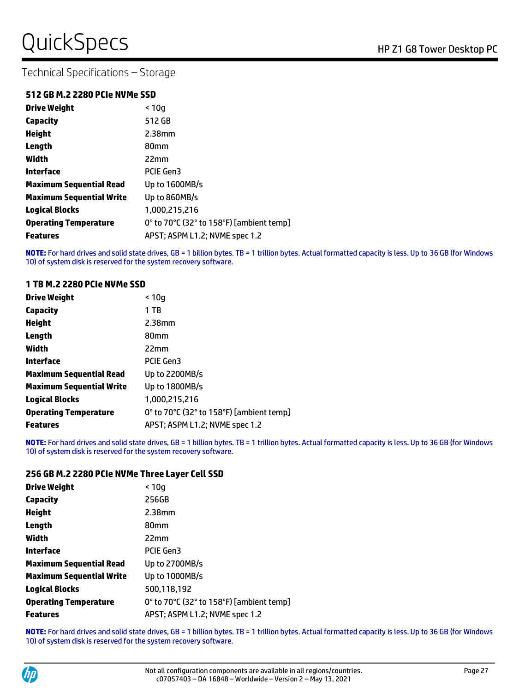### **512 GB M.2 2280 PCIe NVMe SSD**

| <b>Drive Weight</b>             | < 10q                                    |
|---------------------------------|------------------------------------------|
| <b>Capacity</b>                 | 512 GB                                   |
| <b>Height</b>                   | $2.38$ mm                                |
| Length                          | 80 <sub>mm</sub>                         |
| Width                           | 22mm                                     |
| Interface                       | PCIE Gen3                                |
| <b>Maximum Sequential Read</b>  | Up to 1600MB/s                           |
| <b>Maximum Sequential Write</b> | Up to 860MB/s                            |
| <b>Logical Blocks</b>           | 1,000,215,216                            |
| <b>Operating Temperature</b>    | 0° to 70°C (32° to 158°F) [ambient temp] |
| <b>Features</b>                 | APST; ASPM L1.2; NVME spec 1.2           |

**NOTE:** For hard drives and solid state drives, GB = 1 billion bytes. TB = 1 trillion bytes. Actual formatted capacity is less. Up to 36 GB (for Windows 10) of system disk is reserved for the system recovery software.

#### **1 TB M.2 2280 PCIe NVMe SSD**

| <b>Drive Weight</b>             | < 10q                                    |
|---------------------------------|------------------------------------------|
| <b>Capacity</b>                 | 1 TB                                     |
| <b>Height</b>                   | 2.38 <sub>mm</sub>                       |
| Length                          | 80 <sub>mm</sub>                         |
| Width                           | 22mm                                     |
| Interface                       | PCIE Gen3                                |
| <b>Maximum Sequential Read</b>  | Up to 2200MB/s                           |
| <b>Maximum Sequential Write</b> | Up to 1800MB/s                           |
| <b>Logical Blocks</b>           | 1.000.215.216                            |
| <b>Operating Temperature</b>    | 0° to 70°C (32° to 158°F) [ambient temp] |
| <b>Features</b>                 | APST; ASPM L1.2; NVME spec 1.2           |

**NOTE:** For hard drives and solid state drives, GB = 1 billion bytes. TB = 1 trillion bytes. Actual formatted capacity is less. Up to 36 GB (for Windows 10) of system disk is reserved for the system recovery software.

#### **256 GB M.2 2280 PCIe NVMe Three Layer Cell SSD**

| Drive Weight                    | < 10a                                    |
|---------------------------------|------------------------------------------|
| Capacity                        | 256GB                                    |
| Height                          | 2.38 <sub>mm</sub>                       |
| Length                          | 80 <sub>mm</sub>                         |
| Width                           | 22mm                                     |
| Interface                       | <b>PCIE Gen3</b>                         |
| <b>Maximum Sequential Read</b>  | Up to 2700MB/s                           |
| <b>Maximum Sequential Write</b> | Up to 1000MB/s                           |
| <b>Logical Blocks</b>           | 500,118,192                              |
| <b>Operating Temperature</b>    | 0° to 70°C (32° to 158°F) [ambient temp] |
| <b>Features</b>                 | APST; ASPM L1.2; NVME spec 1.2           |

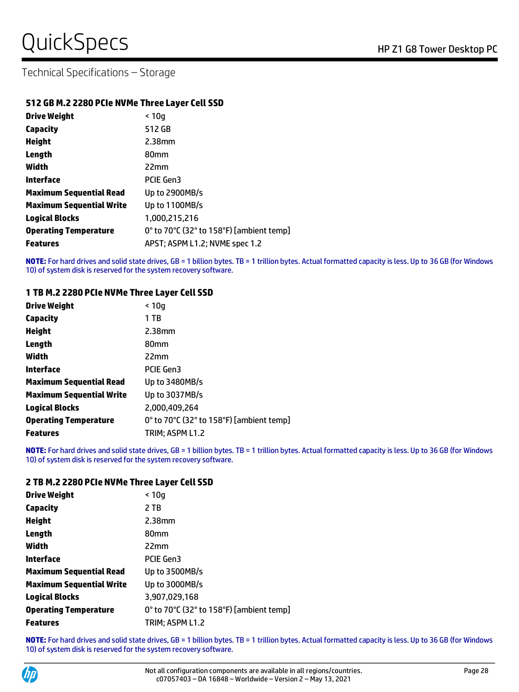#### **512 GB M.2 2280 PCIe NVMe Three Layer Cell SSD**

| <b>Drive Weight</b>             | < 10q                                    |
|---------------------------------|------------------------------------------|
| <b>Capacity</b>                 | 512 GB                                   |
| <b>Height</b>                   | 2.38mm                                   |
| Length                          | 80 <sub>mm</sub>                         |
| Width                           | 22mm                                     |
| Interface                       | PCIE Gen3                                |
| <b>Maximum Sequential Read</b>  | Up to 2900MB/s                           |
| <b>Maximum Sequential Write</b> | Up to 1100MB/s                           |
| <b>Logical Blocks</b>           | 1,000,215,216                            |
| <b>Operating Temperature</b>    | 0° to 70°C (32° to 158°F) [ambient temp] |
| <b>Features</b>                 | APST; ASPM L1.2; NVME spec 1.2           |

**NOTE:** For hard drives and solid state drives, GB = 1 billion bytes. TB = 1 trillion bytes. Actual formatted capacity is less. Up to 36 GB (for Windows 10) of system disk is reserved for the system recovery software.

#### **1 TB M.2 2280 PCIe NVMe Three Layer Cell SSD**

| <b>Drive Weight</b>             | < 10a                                    |
|---------------------------------|------------------------------------------|
| <b>Capacity</b>                 | 1 TB                                     |
| <b>Height</b>                   | $2.38$ mm                                |
| Length                          | 80 <sub>mm</sub>                         |
| Width                           | 22mm                                     |
| Interface                       | <b>PCIE Gen3</b>                         |
| <b>Maximum Sequential Read</b>  | Up to 3480MB/s                           |
| <b>Maximum Sequential Write</b> | Up to 3037MB/s                           |
| <b>Logical Blocks</b>           | 2,000,409,264                            |
| <b>Operating Temperature</b>    | 0° to 70°C (32° to 158°F) [ambient temp] |
| <b>Features</b>                 | TRIM: ASPM L1.2                          |

**NOTE:** For hard drives and solid state drives, GB = 1 billion bytes. TB = 1 trillion bytes. Actual formatted capacity is less. Up to 36 GB (for Windows 10) of system disk is reserved for the system recovery software.

#### **2 TB M.2 2280 PCIe NVMe Three Layer Cell SSD**

| <b>Drive Weight</b>             | < 10q                                    |
|---------------------------------|------------------------------------------|
| <b>Capacity</b>                 | 2 TB                                     |
| <b>Height</b>                   | 2.38mm                                   |
| Length                          | 80 <sub>mm</sub>                         |
| Width                           | 22mm                                     |
| Interface                       | PCIE Gen3                                |
| <b>Maximum Sequential Read</b>  | Up to 3500MB/s                           |
| <b>Maximum Sequential Write</b> | Up to 3000MB/s                           |
| <b>Logical Blocks</b>           | 3,907,029,168                            |
| <b>Operating Temperature</b>    | 0° to 70°C (32° to 158°F) [ambient temp] |
| <b>Features</b>                 | TRIM: ASPM L1.2                          |

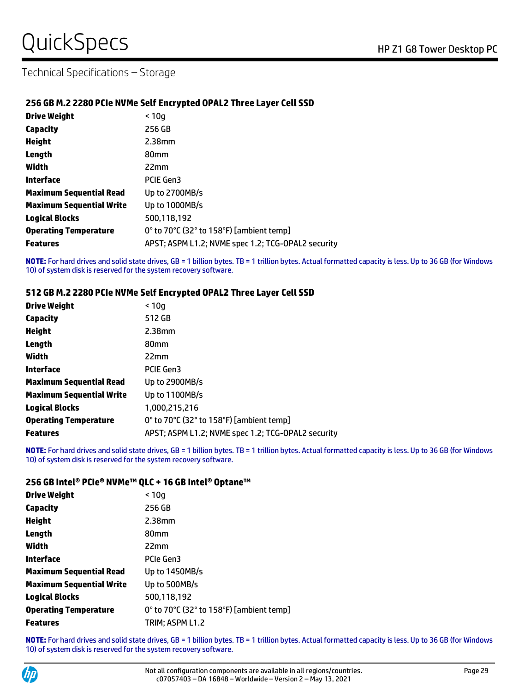#### **256 GB M.2 2280 PCIe NVMe Self Encrypted OPAL2 Three Layer Cell SSD**

| <b>Drive Weight</b>             | < 10a                                              |
|---------------------------------|----------------------------------------------------|
| Capacity                        | 256 GB                                             |
| <b>Height</b>                   | $2.38$ mm                                          |
| Length                          | 80 <sub>mm</sub>                                   |
| Width                           | 22mm                                               |
| Interface                       | PCIE Gen3                                          |
| <b>Maximum Sequential Read</b>  | Up to 2700MB/s                                     |
| <b>Maximum Sequential Write</b> | Up to 1000MB/s                                     |
| <b>Logical Blocks</b>           | 500,118,192                                        |
| <b>Operating Temperature</b>    | 0° to 70°C (32° to 158°F) [ambient temp]           |
| <b>Features</b>                 | APST; ASPM L1.2; NVME spec 1.2; TCG-OPAL2 security |

**NOTE:** For hard drives and solid state drives, GB = 1 billion bytes. TB = 1 trillion bytes. Actual formatted capacity is less. Up to 36 GB (for Windows 10) of system disk is reserved for the system recovery software.

#### **512 GB M.2 2280 PCIe NVMe Self Encrypted OPAL2 Three Layer Cell SSD**

| Drive Weight                    | < 10q                                              |
|---------------------------------|----------------------------------------------------|
| <b>Capacity</b>                 | 512 GB                                             |
| <b>Height</b>                   | 2.38mm                                             |
| Length                          | 80 <sub>mm</sub>                                   |
| Width                           | 22mm                                               |
| Interface                       | PCIE Gen3                                          |
| <b>Maximum Sequential Read</b>  | Up to 2900MB/s                                     |
| <b>Maximum Sequential Write</b> | Up to 1100MB/s                                     |
| <b>Logical Blocks</b>           | 1,000,215,216                                      |
| <b>Operating Temperature</b>    | 0° to 70°C (32° to 158°F) [ambient temp]           |
| <b>Features</b>                 | APST; ASPM L1.2; NVME spec 1.2; TCG-OPAL2 security |

**NOTE:** For hard drives and solid state drives, GB = 1 billion bytes. TB = 1 trillion bytes. Actual formatted capacity is less. Up to 36 GB (for Windows 10) of system disk is reserved for the system recovery software.

#### **256 GB Intel® PCIe® NVMe™ QLC + 16 GB Intel® Optane™**

| Drive Weight                    | < 10q                                    |
|---------------------------------|------------------------------------------|
| Capacity                        | 256 GB                                   |
| Height                          | 2.38mm                                   |
| Length                          | 80 <sub>mm</sub>                         |
| Width                           | 22mm                                     |
| Interface                       | PCIe Gen3                                |
| <b>Maximum Sequential Read</b>  | Up to 1450MB/s                           |
| <b>Maximum Sequential Write</b> | Up to 500MB/s                            |
| Logical Blocks                  | 500.118.192                              |
| <b>Operating Temperature</b>    | 0° to 70°C (32° to 158°F) [ambient temp] |
| <b>Features</b>                 | TRIM; ASPM L1.2                          |

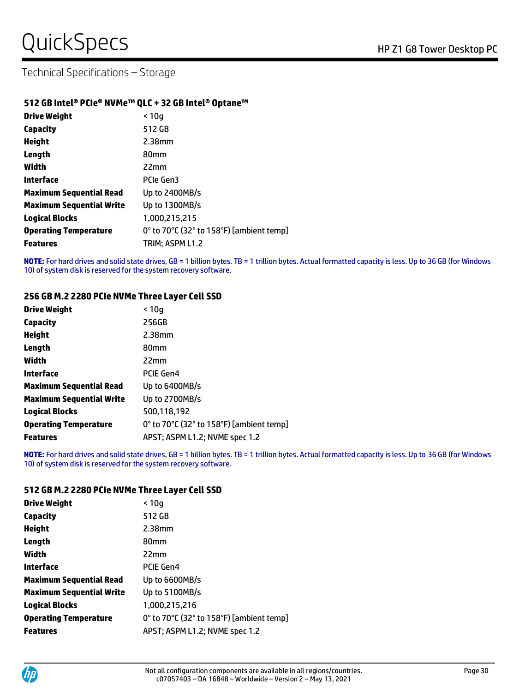#### **512 GB Intel® PCIe® NVMe™ QLC + 32 GB Intel® Optane™**

| <b>Drive Weight</b>             | < 10q                                    |
|---------------------------------|------------------------------------------|
| Capacity                        | 512 GB                                   |
| <b>Height</b>                   | 2.38mm                                   |
| Length                          | 80 <sub>mm</sub>                         |
| Width                           | 22mm                                     |
| Interface                       | PCIe Gen3                                |
| <b>Maximum Sequential Read</b>  | Up to 2400MB/s                           |
| <b>Maximum Sequential Write</b> | Up to 1300MB/s                           |
| <b>Logical Blocks</b>           | 1,000,215,215                            |
| <b>Operating Temperature</b>    | 0° to 70°C (32° to 158°F) [ambient temp] |
| <b>Features</b>                 | TRIM; ASPM L1.2                          |

**NOTE:** For hard drives and solid state drives, GB = 1 billion bytes. TB = 1 trillion bytes. Actual formatted capacity is less. Up to 36 GB (for Windows 10) of system disk is reserved for the system recovery software.

#### **256 GB M.2 2280 PCIe NVMe Three Layer Cell SSD**

| <b>Drive Weight</b>             | < 10q                                    |
|---------------------------------|------------------------------------------|
| <b>Capacity</b>                 | 256GB                                    |
| <b>Height</b>                   | 2.38mm                                   |
| Length                          | 80 <sub>mm</sub>                         |
| Width                           | 22mm                                     |
| Interface                       | <b>PCIE Gen4</b>                         |
| <b>Maximum Sequential Read</b>  | Up to 6400MB/s                           |
| <b>Maximum Sequential Write</b> | Up to 2700MB/s                           |
| <b>Logical Blocks</b>           | 500.118.192                              |
| <b>Operating Temperature</b>    | 0° to 70°C (32° to 158°F) [ambient temp] |
| <b>Features</b>                 | APST; ASPM L1.2; NVME spec 1.2           |

**NOTE:** For hard drives and solid state drives, GB = 1 billion bytes. TB = 1 trillion bytes. Actual formatted capacity is less. Up to 36 GB (for Windows 10) of system disk is reserved for the system recovery software.

#### **512 GB M.2 2280 PCIe NVMe Three Layer Cell SSD**

| <b>Drive Weight</b>          | < 10q                                    |
|------------------------------|------------------------------------------|
| Capacity                     | 512 GB                                   |
| Height                       | 2.38mm                                   |
| Length                       | 80 <sub>mm</sub>                         |
| Width                        | 22mm                                     |
| Interface                    | PCIE Gen4                                |
| Maximum Sequential Read      | Up to 6600MB/s                           |
| Maximum Sequential Write     | Up to 5100MB/s                           |
| <b>Logical Blocks</b>        | 1.000.215.216                            |
| <b>Operating Temperature</b> | 0° to 70°C (32° to 158°F) [ambient temp] |
| <b>Features</b>              | APST; ASPM L1.2; NVME spec 1.2           |

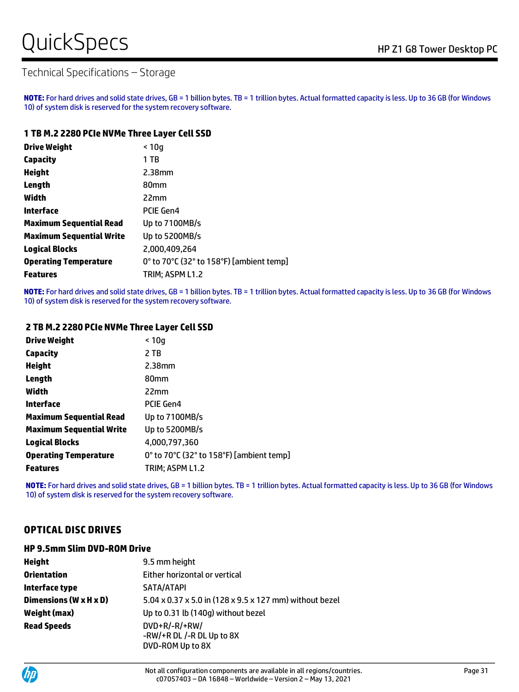# QuickSpecs Notes Alternative Contract the Contract of the Z1 G8 Tower Desktop PC

# Technical Specifications – Storage

**NOTE:** For hard drives and solid state drives, GB = 1 billion bytes. TB = 1 trillion bytes. Actual formatted capacity is less. Up to 36 GB (for Windows 10) of system disk is reserved for the system recovery software.

#### **1 TB M.2 2280 PCIe NVMe Three Layer Cell SSD**

| <b>Drive Weight</b>             | < 10q                                    |
|---------------------------------|------------------------------------------|
| <b>Capacity</b>                 | 1 TB                                     |
| <b>Height</b>                   | 2.38mm                                   |
| Length                          | 80 <sub>mm</sub>                         |
| Width                           | 22mm                                     |
| Interface                       | PCIE Gen4                                |
| <b>Maximum Sequential Read</b>  | Up to 7100MB/s                           |
| <b>Maximum Sequential Write</b> | Up to 5200MB/s                           |
| <b>Logical Blocks</b>           | 2,000,409,264                            |
| <b>Operating Temperature</b>    | 0° to 70°C (32° to 158°F) [ambient temp] |
| <b>Features</b>                 | TRIM; ASPM L1.2                          |

**NOTE:** For hard drives and solid state drives, GB = 1 billion bytes. TB = 1 trillion bytes. Actual formatted capacity is less. Up to 36 GB (for Windows 10) of system disk is reserved for the system recovery software.

#### **2 TB M.2 2280 PCIe NVMe Three Layer Cell SSD**

| <b>Drive Weight</b>             | < 10a                                    |
|---------------------------------|------------------------------------------|
| <b>Capacity</b>                 | 2 TB                                     |
| <b>Height</b>                   | $2.38$ mm                                |
| Length                          | 80 <sub>mm</sub>                         |
| Width                           | 22mm                                     |
| Interface                       | PCIE Gen4                                |
| <b>Maximum Sequential Read</b>  | Up to 7100MB/s                           |
| <b>Maximum Sequential Write</b> | Up to 5200MB/s                           |
| <b>Logical Blocks</b>           | 4,000,797,360                            |
| <b>Operating Temperature</b>    | 0° to 70°C (32° to 158°F) [ambient temp] |
| <b>Features</b>                 | TRIM; ASPM L1.2                          |

**NOTE:** For hard drives and solid state drives, GB = 1 billion bytes. TB = 1 trillion bytes. Actual formatted capacity is less. Up to 36 GB (for Windows 10) of system disk is reserved for the system recovery software.

### **OPTICAL DISC DRIVES**

#### **HP 9.5mm Slim DVD-ROM Drive**

| <b>Height</b>          | 9.5 mm height                                                     |
|------------------------|-------------------------------------------------------------------|
| <b>Orientation</b>     | Either horizontal or vertical                                     |
| Interface type         | SATA/ATAPI                                                        |
| Dimensions (W x H x D) | 5.04 x 0.37 x 5.0 in (128 x 9.5 x 127 mm) without bezel           |
| Weight (max)           | Up to 0.31 lb (140g) without bezel                                |
| <b>Read Speeds</b>     | $DVD+R/-R/+RW/$<br>$-RW/+R DL/-R DL Up to 8X$<br>DVD-ROM Up to 8X |

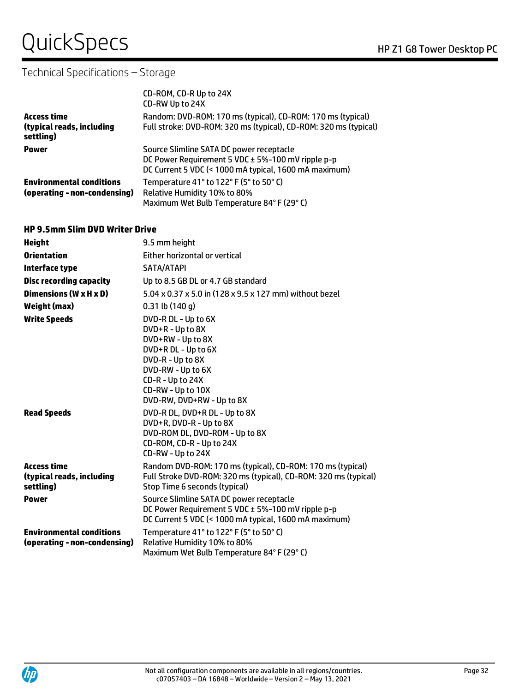# QuickSpecs
Band Company of the Company of the Company of the Company of the Company of the Company of the Company of the Company of the Company of the Company of the Company of the Company of the Company of the Company of

# Technical Specifications – Storage

|                                                                 | CD-ROM, CD-R Up to 24X<br>CD-RW Up to 24X                                                                                                              |
|-----------------------------------------------------------------|--------------------------------------------------------------------------------------------------------------------------------------------------------|
| <b>Access time</b><br>(typical reads, including<br>settling)    | Random: DVD-ROM: 170 ms (typical), CD-ROM: 170 ms (typical)<br>Full stroke: DVD-ROM: 320 ms (typical), CD-ROM: 320 ms (typical)                        |
| <b>Power</b>                                                    | Source Slimline SATA DC power receptacle<br>DC Power Requirement 5 VDC ± 5%-100 mV ripple p-p<br>DC Current 5 VDC (< 1000 mA typical, 1600 mA maximum) |
| <b>Environmental conditions</b><br>(operating - non-condensing) | Temperature 41° to 122° F (5° to 50° C)<br>Relative Humidity 10% to 80%<br>Maximum Wet Bulb Temperature 84°F (29°C)                                    |

#### **HP 9.5mm Slim DVD Writer Drive**

| <b>Height</b>                                                   | 9.5 mm height                                                                                                                                                  |
|-----------------------------------------------------------------|----------------------------------------------------------------------------------------------------------------------------------------------------------------|
| <b>Orientation</b>                                              | Either horizontal or vertical                                                                                                                                  |
| Interface type                                                  | SATA/ATAPI                                                                                                                                                     |
| <b>Disc recording capacity</b>                                  | Up to 8.5 GB DL or 4.7 GB standard                                                                                                                             |
| Dimensions (W x H x D)                                          | 5.04 x 0.37 x 5.0 in (128 x 9.5 x 127 mm) without bezel                                                                                                        |
| <b>Weight (max)</b>                                             | $0.31$ lb $(140q)$                                                                                                                                             |
| <b>Write Speeds</b>                                             | DVD-R DL - Up to 6X                                                                                                                                            |
|                                                                 | DVD+R - Up to 8X<br>DVD+RW - Up to 8X                                                                                                                          |
|                                                                 | DVD+R DL - Up to 6X<br>DVD-R - Up to 8X                                                                                                                        |
|                                                                 | DVD-RW - Up to 6X<br>CD-R - Up to 24X                                                                                                                          |
|                                                                 | CD-RW - Up to 10X<br>DVD-RW, DVD+RW - Up to 8X                                                                                                                 |
| <b>Read Speeds</b>                                              | DVD-R DL, DVD+R DL - Up to 8X<br>DVD+R, DVD-R - Up to 8X<br>DVD-ROM DL, DVD-ROM - Up to 8X<br>CD-ROM, CD-R - Up to 24X<br>CD-RW - Up to 24X                    |
| <b>Access time</b><br>(typical reads, including<br>settling)    | Random DVD-ROM: 170 ms (typical), CD-ROM: 170 ms (typical)<br>Full Stroke DVD-ROM: 320 ms (typical), CD-ROM: 320 ms (typical)<br>Stop Time 6 seconds (typical) |
| <b>Power</b>                                                    | Source Slimline SATA DC power receptacle<br>DC Power Requirement 5 VDC ± 5%-100 mV ripple p-p<br>DC Current 5 VDC (< 1000 mA typical, 1600 mA maximum)         |
| <b>Environmental conditions</b><br>(operating - non-condensing) | Temperature 41° to 122° F (5° to 50° C)<br>Relative Humidity 10% to 80%<br>Maximum Wet Bulb Temperature 84°F (29°C)                                            |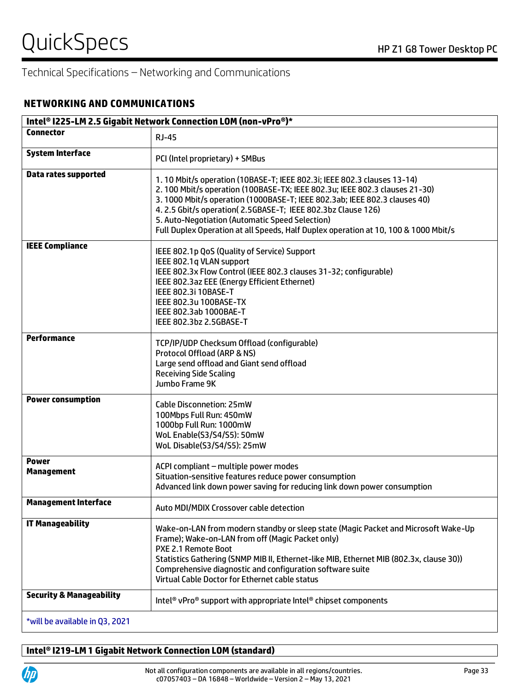### **NETWORKING AND COMMUNICATIONS**

| Intel® I225-LM 2.5 Gigabit Network Connection LOM (non-vPro®)* |                                                                                                                                                                                                                                                                                                                                                                                                                                              |  |
|----------------------------------------------------------------|----------------------------------------------------------------------------------------------------------------------------------------------------------------------------------------------------------------------------------------------------------------------------------------------------------------------------------------------------------------------------------------------------------------------------------------------|--|
| <b>Connector</b>                                               | <b>RJ-45</b>                                                                                                                                                                                                                                                                                                                                                                                                                                 |  |
| <b>System Interface</b>                                        | PCI (Intel proprietary) + SMBus                                                                                                                                                                                                                                                                                                                                                                                                              |  |
| <b>Data rates supported</b>                                    | 1.10 Mbit/s operation (10BASE-T; IEEE 802.3i; IEEE 802.3 clauses 13-14)<br>2. 100 Mbit/s operation (100BASE-TX; IEEE 802.3u; IEEE 802.3 clauses 21-30)<br>3.1000 Mbit/s operation (1000BASE-T; IEEE 802.3ab; IEEE 802.3 clauses 40)<br>4.2.5 Gbit/s operation(2.5GBASE-T; IEEE 802.3bz Clause 126)<br>5. Auto-Negotiation (Automatic Speed Selection)<br>Full Duplex Operation at all Speeds, Half Duplex operation at 10, 100 & 1000 Mbit/s |  |
| <b>IEEE Compliance</b>                                         | IEEE 802.1p QoS (Quality of Service) Support<br>IEEE 802.1q VLAN support<br>IEEE 802.3x Flow Control (IEEE 802.3 clauses 31-32; configurable)<br>IEEE 802.3az EEE (Energy Efficient Ethernet)<br>IEEE 802.3i 10BASE-T<br>IEEE 802.3u 100BASE-TX<br>IEEE 802.3ab 1000BAE-T<br>IEEE 802.3bz 2.5GBASE-T                                                                                                                                         |  |
| <b>Performance</b>                                             | TCP/IP/UDP Checksum Offload (configurable)<br>Protocol Offload (ARP & NS)<br>Large send offload and Giant send offload<br><b>Receiving Side Scaling</b><br>Jumbo Frame 9K                                                                                                                                                                                                                                                                    |  |
| <b>Power consumption</b>                                       | <b>Cable Disconnetion: 25mW</b><br>100Mbps Full Run: 450mW<br>1000bp Full Run: 1000mW<br>WoL Enable(S3/S4/S5): 50mW<br>WoL Disable(S3/S4/S5): 25mW                                                                                                                                                                                                                                                                                           |  |
| <b>Power</b><br><b>Management</b>                              | ACPI compliant - multiple power modes<br>Situation-sensitive features reduce power consumption<br>Advanced link down power saving for reducing link down power consumption                                                                                                                                                                                                                                                                   |  |
| <b>Management Interface</b>                                    | Auto MDI/MDIX Crossover cable detection                                                                                                                                                                                                                                                                                                                                                                                                      |  |
| <b>IT Manageability</b>                                        | Wake-on-LAN from modern standby or sleep state (Magic Packet and Microsoft Wake-Up<br>Frame); Wake-on-LAN from off (Magic Packet only)<br>PXE 2.1 Remote Boot<br>Statistics Gathering (SNMP MIB II, Ethernet-like MIB, Ethernet MIB (802.3x, clause 30))<br>Comprehensive diagnostic and configuration software suite<br>Virtual Cable Doctor for Ethernet cable status                                                                      |  |
| <b>Security &amp; Manageability</b>                            | Intel <sup>®</sup> vPro <sup>®</sup> support with appropriate Intel <sup>®</sup> chipset components                                                                                                                                                                                                                                                                                                                                          |  |
| *will be available in Q3, 2021                                 |                                                                                                                                                                                                                                                                                                                                                                                                                                              |  |

# **Intel® I219-LM 1 Gigabit Network Connection LOM (standard)**

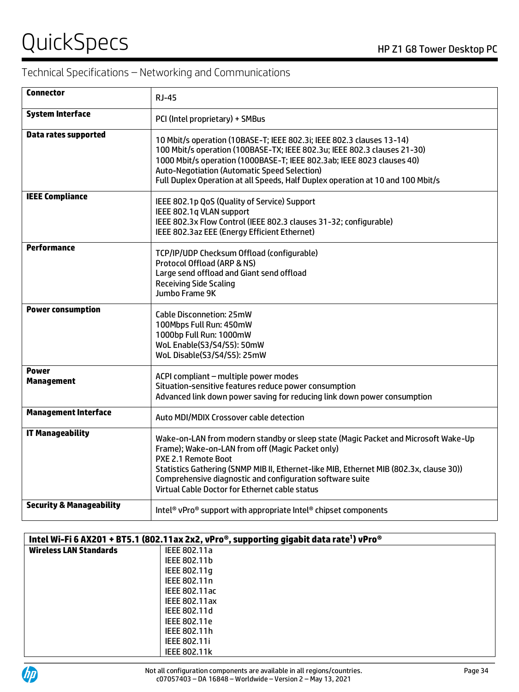# QuickSpecs
Band Company of the Company of the Company of the Company of the Company of the Company of the Company of the Company of the Company of the Company of the Company of the Company of the Company of the Company of

| <b>Connector</b>                    | <b>RJ-45</b>                                                                                                                                                                                                                                                                                                                                                            |
|-------------------------------------|-------------------------------------------------------------------------------------------------------------------------------------------------------------------------------------------------------------------------------------------------------------------------------------------------------------------------------------------------------------------------|
| <b>System Interface</b>             | PCI (Intel proprietary) + SMBus                                                                                                                                                                                                                                                                                                                                         |
| <b>Data rates supported</b>         | 10 Mbit/s operation (10BASE-T; IEEE 802.3i; IEEE 802.3 clauses 13-14)<br>100 Mbit/s operation (100BASE-TX; IEEE 802.3u; IEEE 802.3 clauses 21-30)<br>1000 Mbit/s operation (1000BASE-T; IEEE 802.3ab; IEEE 8023 clauses 40)<br>Auto-Negotiation (Automatic Speed Selection)<br>Full Duplex Operation at all Speeds, Half Duplex operation at 10 and 100 Mbit/s          |
| <b>IEEE Compliance</b>              | IEEE 802.1p QoS (Quality of Service) Support<br>IEEE 802.1q VLAN support<br>IEEE 802.3x Flow Control (IEEE 802.3 clauses 31-32; configurable)<br>IEEE 802.3az EEE (Energy Efficient Ethernet)                                                                                                                                                                           |
| <b>Performance</b>                  | TCP/IP/UDP Checksum Offload (configurable)<br>Protocol Offload (ARP & NS)<br>Large send offload and Giant send offload<br><b>Receiving Side Scaling</b><br>Jumbo Frame 9K                                                                                                                                                                                               |
| <b>Power consumption</b>            | <b>Cable Disconnetion: 25mW</b><br>100Mbps Full Run: 450mW<br>1000bp Full Run: 1000mW<br>WoL Enable(S3/S4/S5): 50mW<br>WoL Disable(S3/S4/S5): 25mW                                                                                                                                                                                                                      |
| <b>Power</b><br><b>Management</b>   | ACPI compliant - multiple power modes<br>Situation-sensitive features reduce power consumption<br>Advanced link down power saving for reducing link down power consumption                                                                                                                                                                                              |
| <b>Management Interface</b>         | Auto MDI/MDIX Crossover cable detection                                                                                                                                                                                                                                                                                                                                 |
| <b>IT Manageability</b>             | Wake-on-LAN from modern standby or sleep state (Magic Packet and Microsoft Wake-Up<br>Frame); Wake-on-LAN from off (Magic Packet only)<br>PXE 2.1 Remote Boot<br>Statistics Gathering (SNMP MIB II, Ethernet-like MIB, Ethernet MIB (802.3x, clause 30))<br>Comprehensive diagnostic and configuration software suite<br>Virtual Cable Doctor for Ethernet cable status |
| <b>Security &amp; Manageability</b> | Intel <sup>®</sup> vPro® support with appropriate Intel® chipset components                                                                                                                                                                                                                                                                                             |

| Intel Wi-Fi 6 AX201 + BT5.1 (802.11ax 2x2, vPro®, supporting gigabit data rate <sup>1</sup> ) vPro® |                     |
|-----------------------------------------------------------------------------------------------------|---------------------|
| <b>Wireless LAN Standards</b>                                                                       | IEEE 802.11a        |
|                                                                                                     | IEEE 802.11b        |
|                                                                                                     | IEEE 802.11q        |
|                                                                                                     | IEEE 802.11n        |
|                                                                                                     | IEEE 802.11ac       |
|                                                                                                     | IEEE 802.11ax       |
|                                                                                                     | IEEE 802.11d        |
|                                                                                                     | IEEE 802.11e        |
|                                                                                                     | IEEE 802.11h        |
|                                                                                                     | <b>IEEE 802.11i</b> |
|                                                                                                     | <b>IEEE 802.11k</b> |

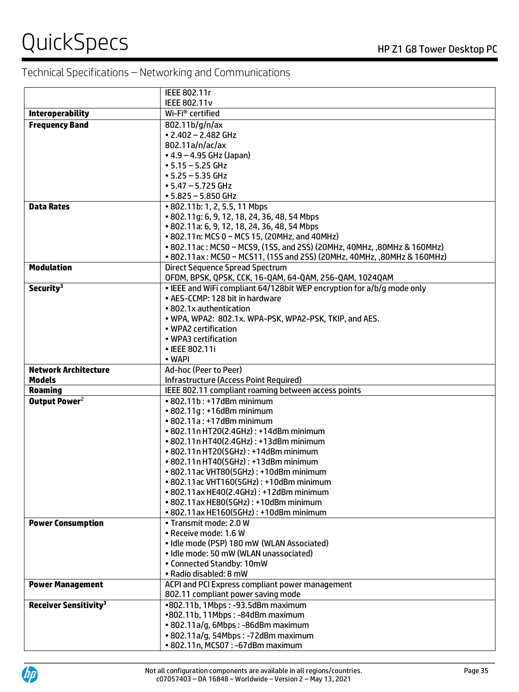|                                         | IEEE 802.11r                                                                                              |
|-----------------------------------------|-----------------------------------------------------------------------------------------------------------|
|                                         | IEEE 802.11v                                                                                              |
| <b>Interoperability</b>                 | Wi-Fi <sup>®</sup> certified                                                                              |
| <b>Frequency Band</b>                   | 802.11b/g/n/ax                                                                                            |
|                                         | $\cdot$ 2.402 - 2.482 GHz                                                                                 |
|                                         | 802.11a/n/ac/ax                                                                                           |
|                                         | $\bullet$ 4.9 – 4.95 GHz (Japan)                                                                          |
|                                         | $• 5.15 - 5.25$ GHz                                                                                       |
|                                         | $-5.25 - 5.35$ GHz                                                                                        |
|                                         | $• 5.47 - 5.725$ GHz                                                                                      |
|                                         | $• 5.825 - 5.850$ GHz                                                                                     |
| <b>Data Rates</b>                       | • 802.11b: 1, 2, 5.5, 11 Mbps                                                                             |
|                                         | • 802.11g: 6, 9, 12, 18, 24, 36, 48, 54 Mbps                                                              |
|                                         | • 802.11a: 6, 9, 12, 18, 24, 36, 48, 54 Mbps                                                              |
|                                         | • 802.11n: MCS 0 ~ MCS 15, (20MHz, and 40MHz)                                                             |
|                                         | • 802.11ac: MCS0 ~ MCS9, (1SS, and 2SS) (20MHz, 40MHz, ,80MHz & 160MHz)                                   |
|                                         | • 802.11ax: MCS0 ~ MCS11, (1SS and 2SS) (20MHz, 40MHz, ,80MHz & 160MHz)                                   |
| <b>Modulation</b>                       | Direct Sequence Spread Spectrum                                                                           |
|                                         | OFDM, BPSK, QPSK, CCK, 16-QAM, 64-QAM, 256-QAM, 1024QAM                                                   |
| Security <sup>3</sup>                   | . IEEE and WiFi compliant 64/128bit WEP encryption for a/b/g mode only<br>• AES-CCMP: 128 bit in hardware |
|                                         |                                                                                                           |
|                                         | • 802.1x authentication                                                                                   |
|                                         | . WPA, WPA2: 802.1x. WPA-PSK, WPA2-PSK, TKIP, and AES.<br>• WPA2 certification                            |
|                                         | • WPA3 certification                                                                                      |
|                                         | • IEEE 802.11i                                                                                            |
|                                         | • WAPI                                                                                                    |
| <b>Network Architecture</b>             | Ad-hoc (Peer to Peer)                                                                                     |
| <b>Models</b>                           | Infrastructure (Access Point Required)                                                                    |
| <b>Roaming</b>                          | IEEE 802.11 compliant roaming between access points                                                       |
| Output Power <sup>2</sup>               | $\cdot$ 802.11b: $+17$ dBm minimum                                                                        |
|                                         | • 802.11g: +16dBm minimum                                                                                 |
|                                         | $\cdot$ 802.11a: +17dBm minimum                                                                           |
|                                         | • 802.11n HT20(2.4GHz): +14dBm minimum                                                                    |
|                                         | • 802.11n HT40(2.4GHz): +13dBm minimum                                                                    |
|                                         | • 802.11n HT20(5GHz): +14dBm minimum                                                                      |
|                                         | • 802.11n HT40(5GHz): +13dBm minimum                                                                      |
|                                         | • 802.11 ac VHT80(5GHz): +10dBm minimum                                                                   |
|                                         | • 802.11 ac VHT160(5GHz): +10dBm minimum                                                                  |
|                                         | • 802.11ax HE40(2.4GHz): +12dBm minimum                                                                   |
|                                         | • 802.11ax HE80(5GHz): +10dBm minimum                                                                     |
|                                         | • 802.11ax HE160(5GHz): +10dBm minimum                                                                    |
| <b>Power Consumption</b>                | • Transmit mode: 2.0 W                                                                                    |
|                                         | · Receive mode: 1.6 W                                                                                     |
|                                         | · Idle mode (PSP) 180 mW (WLAN Associated)                                                                |
|                                         | · Idle mode: 50 mW (WLAN unassociated)                                                                    |
|                                         | • Connected Standby: 10mW                                                                                 |
|                                         | • Radio disabled: 8 mW                                                                                    |
| <b>Power Management</b>                 | ACPI and PCI Express compliant power management                                                           |
|                                         | 802.11 compliant power saving mode                                                                        |
| <b>Receiver Sensitivity<sup>3</sup></b> | •802.11b, 1Mbps: -93.5dBm maximum                                                                         |
|                                         | •802.11b, 11Mbps: -84dBm maximum<br>· 802.11a/g, 6Mbps: -86dBm maximum                                    |
|                                         |                                                                                                           |
|                                         | • 802.11a/g, 54Mbps: -72dBm maximum                                                                       |
|                                         | • 802.11n, MCS07: -67dBm maximum                                                                          |

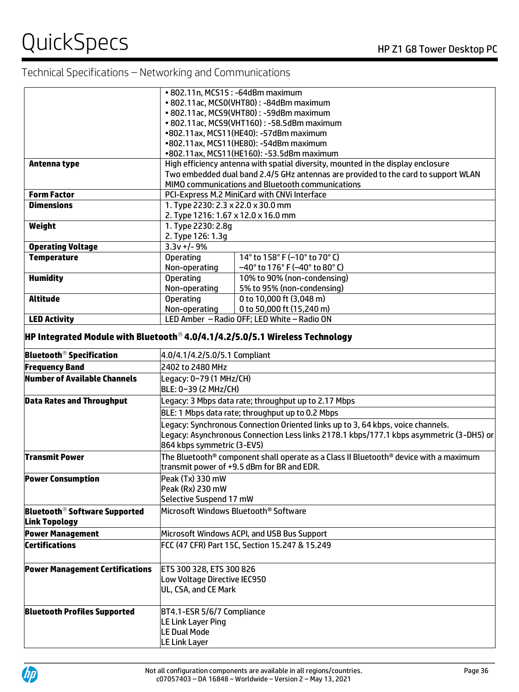|                                                                                          |                                                 | • 802.11n, MCS15: -64dBm maximum                                                        |
|------------------------------------------------------------------------------------------|-------------------------------------------------|-----------------------------------------------------------------------------------------|
|                                                                                          |                                                 | • 802.11ac, MCS0(VHT80): -84dBm maximum                                                 |
|                                                                                          |                                                 | • 802.11ac, MCS9(VHT80): -59dBm maximum                                                 |
|                                                                                          |                                                 | • 802.11ac, MCS9(VHT160): -58.5dBm maximum                                              |
|                                                                                          |                                                 | •802.11ax, MCS11(HE40): -57dBm maximum                                                  |
|                                                                                          |                                                 | •802.11ax, MCS11(HE80): -54dBm maximum                                                  |
|                                                                                          |                                                 | •802.11ax, MCS11(HE160): -53.5dBm maximum                                               |
| Antenna type                                                                             |                                                 | High efficiency antenna with spatial diversity, mounted in the display enclosure        |
|                                                                                          |                                                 | Two embedded dual band 2.4/5 GHz antennas are provided to the card to support WLAN      |
|                                                                                          |                                                 | MIMO communications and Bluetooth communications                                        |
| <b>Form Factor</b>                                                                       |                                                 | PCI-Express M.2 MiniCard with CNVi Interface                                            |
| <b>Dimensions</b>                                                                        | 1. Type 2230: 2.3 x 22.0 x 30.0 mm              |                                                                                         |
|                                                                                          | 2. Type 1216: 1.67 x 12.0 x 16.0 mm             |                                                                                         |
| Weight                                                                                   | 1. Type 2230: 2.8g                              |                                                                                         |
|                                                                                          | 2. Type 126: 1.3g                               |                                                                                         |
| <b>Operating Voltage</b>                                                                 | $3.3v +/- 9%$                                   |                                                                                         |
| <b>Temperature</b>                                                                       | <b>Operating</b>                                | 14° to 158° F (-10° to 70° C)                                                           |
|                                                                                          | Non-operating                                   | $-40^{\circ}$ to 176° F ( $-40^{\circ}$ to 80° C)                                       |
| <b>Humidity</b>                                                                          | <b>Operating</b>                                | 10% to 90% (non-condensing)                                                             |
|                                                                                          | Non-operating                                   | 5% to 95% (non-condensing)                                                              |
| <b>Altitude</b>                                                                          | <b>Operating</b>                                | 0 to 10,000 ft (3,048 m)                                                                |
|                                                                                          | Non-operating                                   | 0 to 50,000 ft (15,240 m)                                                               |
| <b>LED Activity</b>                                                                      |                                                 | LED Amber - Radio OFF; LED White - Radio ON                                             |
|                                                                                          |                                                 |                                                                                         |
| HP Integrated Module with Bluetooth <sup>®</sup> 4.0/4.1/4.2/5.0/5.1 Wireless Technology |                                                 |                                                                                         |
| <b>Bluetooth<sup>®</sup> Specification</b>                                               | 4.0/4.1/4.2/5.0/5.1 Compliant                   |                                                                                         |
| <b>Frequency Band</b>                                                                    | 2402 to 2480 MHz                                |                                                                                         |
| Number of Available Channels                                                             | Legacy: 0~79 (1 MHz/CH)<br>BLE: 0~39 (2 MHz/CH) |                                                                                         |
| <b>Data Rates and Throughput</b>                                                         |                                                 | Legacy: 3 Mbps data rate; throughput up to 2.17 Mbps                                    |
|                                                                                          |                                                 | BLE: 1 Mbps data rate; throughput up to 0.2 Mbps                                        |
|                                                                                          |                                                 | Legacy: Synchronous Connection Oriented links up to 3, 64 kbps, voice channels.         |
|                                                                                          |                                                 | Legacy: Asynchronous Connection Less links 2178.1 kbps/177.1 kbps asymmetric (3-DH5) or |
|                                                                                          | 864 kbps symmetric (3-EV5)                      |                                                                                         |
| <b>Transmit Power</b>                                                                    |                                                 | The Bluetooth® component shall operate as a Class II Bluetooth® device with a maximum   |
|                                                                                          |                                                 | transmit power of +9.5 dBm for BR and EDR.                                              |
| <b>Power Consumption</b>                                                                 | Peak (Tx) 330 mW                                |                                                                                         |
|                                                                                          | Peak (Rx) 230 mW                                |                                                                                         |
|                                                                                          | Selective Suspend 17 mW                         |                                                                                         |
| <b>Bluetooth<sup>®</sup> Software Supported</b>                                          | Microsoft Windows Bluetooth® Software           |                                                                                         |
|                                                                                          |                                                 |                                                                                         |
| <b>Link Topology</b>                                                                     |                                                 |                                                                                         |
| <b>Power Management</b>                                                                  |                                                 | Microsoft Windows ACPI, and USB Bus Support                                             |
| <b>Certifications</b>                                                                    |                                                 | FCC (47 CFR) Part 15C, Section 15.247 & 15.249                                          |
|                                                                                          |                                                 |                                                                                         |
| <b>Power Management Certifications</b>                                                   | ETS 300 328, ETS 300 826                        |                                                                                         |
|                                                                                          | Low Voltage Directive IEC950                    |                                                                                         |
|                                                                                          | UL, CSA, and CE Mark                            |                                                                                         |
|                                                                                          |                                                 |                                                                                         |
| <b>Bluetooth Profiles Supported</b>                                                      | BT4.1-ESR 5/6/7 Compliance                      |                                                                                         |
|                                                                                          | LE Link Layer Ping                              |                                                                                         |
|                                                                                          | LE Dual Mode                                    |                                                                                         |
|                                                                                          | LE Link Layer                                   |                                                                                         |
|                                                                                          |                                                 |                                                                                         |

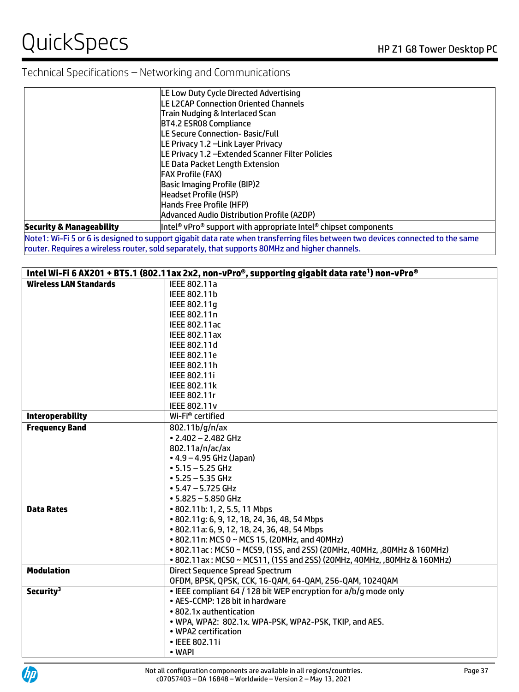|                                     | LE Low Duty Cycle Directed Advertising                          |
|-------------------------------------|-----------------------------------------------------------------|
|                                     | <b>LE L2CAP Connection Oriented Channels</b>                    |
|                                     | Train Nudging & Interlaced Scan                                 |
|                                     | BT4.2 ESR08 Compliance                                          |
|                                     | LE Secure Connection- Basic/Full                                |
|                                     | LE Privacy 1.2 -Link Layer Privacy                              |
|                                     | LE Privacy 1.2 - Extended Scanner Filter Policies               |
|                                     | LE Data Packet Length Extension                                 |
|                                     | lFAX Profile (FAX)                                              |
|                                     | <b>Basic Imaging Profile (BIP)2</b>                             |
|                                     | Headset Profile (HSP)                                           |
|                                     | Hands Free Profile (HFP)                                        |
|                                     | Advanced Audio Distribution Profile (A2DP)                      |
| <b>Security &amp; Manageability</b> | Intel® vPro® support with appropriate Intel® chipset components |
|                                     |                                                                 |

Note1: Wi-Fi 5 or 6 is designed to support gigabit data rate when transferring files between two devices connected to the same router. Requires a wireless router, sold separately, that supports 80MHz and higher channels.

|                               | Intel Wi-Fi 6 AX201 + BT5.1 (802.11ax 2x2, non-vPro®, supporting gigabit data rate <sup>1</sup> ) non-vPro® |
|-------------------------------|-------------------------------------------------------------------------------------------------------------|
| <b>Wireless LAN Standards</b> | IEEE 802.11a                                                                                                |
|                               | IEEE 802.11b                                                                                                |
|                               | IEEE 802.11q                                                                                                |
|                               | IEEE 802.11n                                                                                                |
|                               | IEEE 802.11ac                                                                                               |
|                               | IEEE 802.11ax                                                                                               |
|                               | IEEE 802.11d                                                                                                |
|                               | IEEE 802.11e                                                                                                |
|                               | IEEE 802.11h                                                                                                |
|                               | IEEE 802.11i                                                                                                |
|                               | IEEE 802.11k                                                                                                |
|                               | IEEE 802.11r                                                                                                |
|                               | <b>IEEE 802.11v</b>                                                                                         |
| <b>Interoperability</b>       | Wi-Fi <sup>®</sup> certified                                                                                |
| <b>Frequency Band</b>         | 802.11b/g/n/ax                                                                                              |
|                               | $\cdot$ 2.402 - 2.482 GHz                                                                                   |
|                               | 802.11a/n/ac/ax                                                                                             |
|                               | $-4.9 - 4.95$ GHz (Japan)                                                                                   |
|                               | $-5.15 - 5.25$ GHz                                                                                          |
|                               | $• 5.25 - 5.35$ GHz                                                                                         |
|                               | $\cdot$ 5.47 - 5.725 GHz                                                                                    |
|                               | $• 5.825 - 5.850$ GHz                                                                                       |
| <b>Data Rates</b>             | • 802.11b: 1, 2, 5.5, 11 Mbps                                                                               |
|                               | • 802.11q: 6, 9, 12, 18, 24, 36, 48, 54 Mbps                                                                |
|                               | • 802.11a: 6, 9, 12, 18, 24, 36, 48, 54 Mbps                                                                |
|                               | • 802.11n: MCS 0 ~ MCS 15, (20MHz, and 40MHz)                                                               |
|                               | • 802.11ac: MCS0 ~ MCS9, (1SS, and 2SS) (20MHz, 40MHz, ,80MHz & 160MHz)                                     |
|                               | • 802.11ax: MCS0 ~ MCS11, (1SS and 2SS) (20MHz, 40MHz, ,80MHz & 160MHz)                                     |
| <b>Modulation</b>             | <b>Direct Sequence Spread Spectrum</b>                                                                      |
|                               | OFDM, BPSK, QPSK, CCK, 16-QAM, 64-QAM, 256-QAM, 1024QAM                                                     |
| Security <sup>3</sup>         | . IEEE compliant 64 / 128 bit WEP encryption for a/b/g mode only                                            |
|                               | • AES-CCMP: 128 bit in hardware                                                                             |
|                               | • 802.1x authentication                                                                                     |
|                               | . WPA, WPA2: 802.1x. WPA-PSK, WPA2-PSK, TKIP, and AES.                                                      |
|                               | • WPA2 certification                                                                                        |
|                               | • IEEE 802.11i                                                                                              |
|                               | • WAPI                                                                                                      |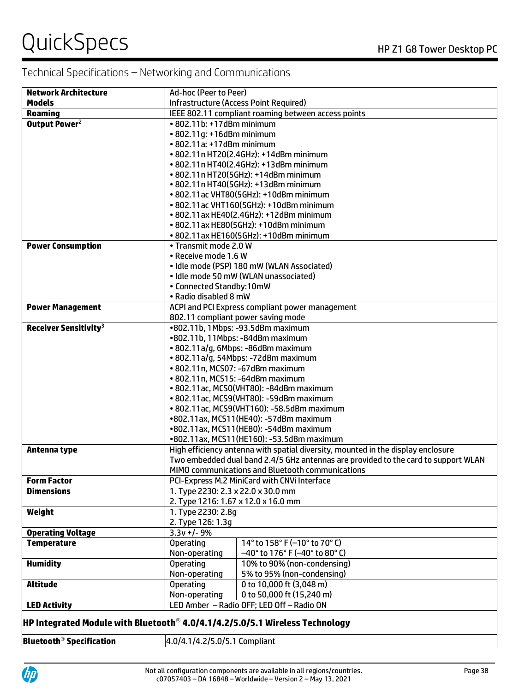| <b>Network Architecture</b>                                                                 | Ad-hoc (Peer to Peer)               |                                                                                    |
|---------------------------------------------------------------------------------------------|-------------------------------------|------------------------------------------------------------------------------------|
| <b>Models</b>                                                                               |                                     | Infrastructure (Access Point Required)                                             |
| <b>Roaming</b>                                                                              |                                     | IEEE 802.11 compliant roaming between access points                                |
| Output Power <sup>2</sup>                                                                   | • 802.11b: +17dBm minimum           |                                                                                    |
|                                                                                             | • 802.11g: +16dBm minimum           |                                                                                    |
|                                                                                             | • 802.11a: +17dBm minimum           |                                                                                    |
|                                                                                             |                                     | • 802.11n HT20(2.4GHz): +14dBm minimum                                             |
|                                                                                             |                                     | • 802.11n HT40(2.4GHz): +13dBm minimum                                             |
|                                                                                             |                                     | • 802.11n HT20(5GHz): +14dBm minimum                                               |
|                                                                                             |                                     | • 802.11n HT40(5GHz): +13dBm minimum                                               |
|                                                                                             |                                     | • 802.11ac VHT80(5GHz): +10dBm minimum                                             |
|                                                                                             |                                     | • 802.11ac VHT160(5GHz): +10dBm minimum                                            |
|                                                                                             |                                     | • 802.11ax HE40(2.4GHz): +12dBm minimum                                            |
|                                                                                             |                                     | • 802.11ax HE80(5GHz): +10dBm minimum                                              |
|                                                                                             |                                     | • 802.11ax HE160(5GHz): +10dBm minimum                                             |
| <b>Power Consumption</b>                                                                    | • Transmit mode 2.0 W               |                                                                                    |
|                                                                                             | • Receive mode 1.6 W                |                                                                                    |
|                                                                                             |                                     | · Idle mode (PSP) 180 mW (WLAN Associated)                                         |
|                                                                                             |                                     | · Idle mode 50 mW (WLAN unassociated)                                              |
|                                                                                             | • Connected Standby:10mW            |                                                                                    |
|                                                                                             | · Radio disabled 8 mW               |                                                                                    |
| <b>Power Management</b>                                                                     |                                     | ACPI and PCI Express compliant power management                                    |
|                                                                                             |                                     | 802.11 compliant power saving mode                                                 |
| <b>Receiver Sensitivity<sup>3</sup></b>                                                     |                                     | •802.11b, 1Mbps: -93.5dBm maximum                                                  |
|                                                                                             |                                     | •802.11b, 11Mbps: -84dBm maximum                                                   |
|                                                                                             |                                     | · 802.11a/g, 6Mbps: -86dBm maximum                                                 |
|                                                                                             |                                     | • 802.11a/g, 54Mbps: -72dBm maximum                                                |
|                                                                                             |                                     | • 802.11n, MCS07: -67dBm maximum                                                   |
|                                                                                             |                                     | • 802.11n, MCS15: -64dBm maximum                                                   |
|                                                                                             |                                     | • 802.11ac, MCS0(VHT80): -84dBm maximum                                            |
|                                                                                             |                                     | • 802.11ac, MCS9(VHT80): -59dBm maximum                                            |
|                                                                                             |                                     | • 802.11ac, MCS9(VHT160): -58.5dBm maximum                                         |
|                                                                                             |                                     | •802.11ax, MCS11(HE40): -57dBm maximum                                             |
|                                                                                             |                                     | •802.11ax, MCS11(HE80): -54dBm maximum                                             |
|                                                                                             |                                     | •802.11ax, MCS11(HE160): -53.5dBm maximum                                          |
| Antenna type                                                                                |                                     | High efficiency antenna with spatial diversity, mounted in the display enclosure   |
|                                                                                             |                                     | Two embedded dual band 2.4/5 GHz antennas are provided to the card to support WLAN |
|                                                                                             |                                     | MIMO communications and Bluetooth communications                                   |
| <b>Form Factor</b>                                                                          |                                     | PCI-Express M.2 MiniCard with CNVi Interface                                       |
| <b>Dimensions</b>                                                                           | 1. Type 2230: 2.3 x 22.0 x 30.0 mm  |                                                                                    |
|                                                                                             | 2. Type 1216: 1.67 x 12.0 x 16.0 mm |                                                                                    |
| Weight                                                                                      | 1. Type 2230: 2.8q                  |                                                                                    |
|                                                                                             | 2. Type 126: 1.3g                   |                                                                                    |
| <b>Operating Voltage</b>                                                                    | $3.3v + (-9%)$                      |                                                                                    |
| <b>Temperature</b>                                                                          | <b>Operating</b>                    | 14° to 158° F (-10° to 70° C)                                                      |
|                                                                                             | Non-operating                       | $-40^{\circ}$ to 176 $^{\circ}$ F (-40 $^{\circ}$ to 80 $^{\circ}$ C)              |
| <b>Humidity</b>                                                                             | <b>Operating</b>                    | 10% to 90% (non-condensing)                                                        |
|                                                                                             | Non-operating                       | 5% to 95% (non-condensing)                                                         |
| <b>Altitude</b>                                                                             | <b>Operating</b>                    | 0 to 10,000 ft (3,048 m)                                                           |
|                                                                                             | Non-operating                       | 0 to 50,000 ft (15,240 m)                                                          |
| <b>LED Activity</b>                                                                         |                                     | LED Amber - Radio OFF; LED Off - Radio ON                                          |
| $\,$ HP Integrated Module with Bluetooth $^{\circ}$ 4.0/4.1/4.2/5.0/5.1 Wireless Technology |                                     |                                                                                    |

**Bluetooth<sup>®</sup> Specification** 4.0/4.1/4.2/5.0/5.1 Compliant

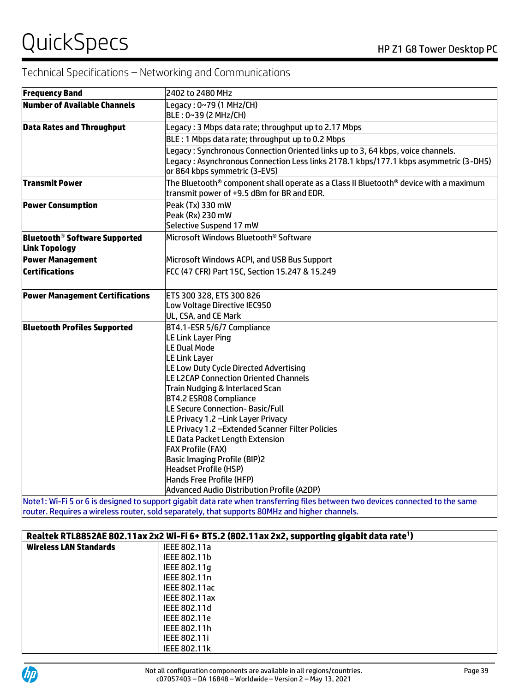| <b>Frequency Band</b>                                            | 2402 to 2480 MHz                                                                                                                                                                                                                                                                                                                                                                                                                                                                                                                                                                               |  |
|------------------------------------------------------------------|------------------------------------------------------------------------------------------------------------------------------------------------------------------------------------------------------------------------------------------------------------------------------------------------------------------------------------------------------------------------------------------------------------------------------------------------------------------------------------------------------------------------------------------------------------------------------------------------|--|
| Number of Available Channels                                     | Legacy: 0~79 (1 MHz/CH)<br>BLE: 0~39 (2 MHz/CH)                                                                                                                                                                                                                                                                                                                                                                                                                                                                                                                                                |  |
| <b>Data Rates and Throughput</b>                                 | Legacy: 3 Mbps data rate; throughput up to 2.17 Mbps                                                                                                                                                                                                                                                                                                                                                                                                                                                                                                                                           |  |
|                                                                  | BLE: 1 Mbps data rate; throughput up to 0.2 Mbps                                                                                                                                                                                                                                                                                                                                                                                                                                                                                                                                               |  |
|                                                                  | Legacy: Synchronous Connection Oriented links up to 3, 64 kbps, voice channels.<br>Legacy : Asynchronous Connection Less links 2178.1 kbps/177.1 kbps asymmetric (3-DH5)<br>or 864 kbps symmetric (3-EV5)                                                                                                                                                                                                                                                                                                                                                                                      |  |
| <b>Transmit Power</b>                                            | The Bluetooth® component shall operate as a Class II Bluetooth® device with a maximum<br>transmit power of +9.5 dBm for BR and EDR.                                                                                                                                                                                                                                                                                                                                                                                                                                                            |  |
| <b>Power Consumption</b>                                         | Peak (Tx) 330 mW<br>Peak (Rx) 230 mW<br>Selective Suspend 17 mW                                                                                                                                                                                                                                                                                                                                                                                                                                                                                                                                |  |
| <b>Bluetooth<sup>®</sup> Software Supported</b><br>Link Topology | Microsoft Windows Bluetooth® Software                                                                                                                                                                                                                                                                                                                                                                                                                                                                                                                                                          |  |
| <b>Power Management</b>                                          | Microsoft Windows ACPI, and USB Bus Support                                                                                                                                                                                                                                                                                                                                                                                                                                                                                                                                                    |  |
| <b>Certifications</b>                                            | FCC (47 CFR) Part 15C, Section 15.247 & 15.249                                                                                                                                                                                                                                                                                                                                                                                                                                                                                                                                                 |  |
| <b>Power Management Certifications</b>                           | ETS 300 328, ETS 300 826<br>Low Voltage Directive IEC950<br>UL, CSA, and CE Mark                                                                                                                                                                                                                                                                                                                                                                                                                                                                                                               |  |
| <b>Bluetooth Profiles Supported</b>                              | BT4.1-ESR 5/6/7 Compliance<br>LE Link Layer Ping<br><b>LE Dual Mode</b><br>LE Link Layer<br>LE Low Duty Cycle Directed Advertising<br>LE L2CAP Connection Oriented Channels<br>Train Nudging & Interlaced Scan<br><b>BT4.2 ESR08 Compliance</b><br>LE Secure Connection- Basic/Full<br>LE Privacy 1.2 -Link Layer Privacy<br>LE Privacy 1.2 - Extended Scanner Filter Policies<br>LE Data Packet Length Extension<br><b>FAX Profile (FAX)</b><br><b>Basic Imaging Profile (BIP)2</b><br><b>Headset Profile (HSP)</b><br>Hands Free Profile (HFP)<br>Advanced Audio Distribution Profile (A2DP) |  |

1: Wi-Fi 5 or 6 is designed to support gigabit data rate when transferring files between two devices connected to the same router. Requires a wireless router, sold separately, that supports 80MHz and higher channels.

| Realtek RTL8852AE 802.11ax 2x2 Wi-Fi 6+ BT5.2 (802.11ax 2x2, supporting gigabit data rate <sup>1</sup> ) |                      |
|----------------------------------------------------------------------------------------------------------|----------------------|
| <b>Wireless LAN Standards</b>                                                                            | IEEE 802.11a         |
|                                                                                                          | IEEE 802.11b         |
|                                                                                                          | IEEE 802.11q         |
|                                                                                                          | IEEE 802.11n         |
|                                                                                                          | IEEE 802.11ac        |
|                                                                                                          | <b>IEEE 802.11ax</b> |
|                                                                                                          | IEEE 802.11d         |
|                                                                                                          | IEEE 802.11e         |
|                                                                                                          | IEEE 802.11h         |
|                                                                                                          | <b>IEEE 802.11i</b>  |
|                                                                                                          | <b>IEEE 802.11k</b>  |

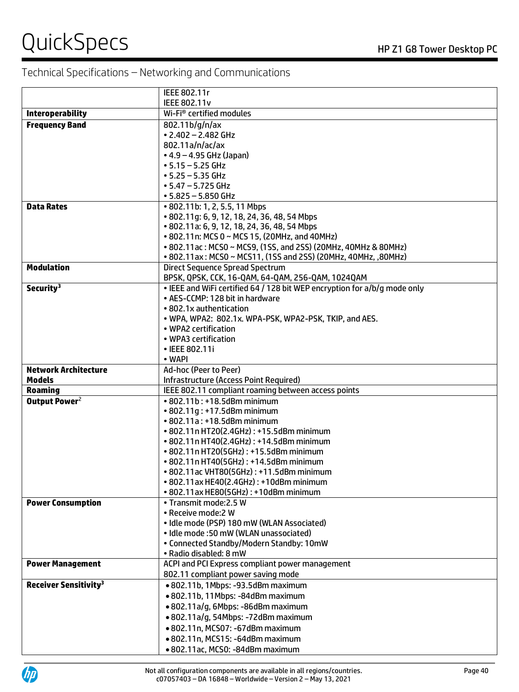|                                         | IEEE 802.11r                                                                       |
|-----------------------------------------|------------------------------------------------------------------------------------|
|                                         | <b>IEEE 802.11v</b>                                                                |
| <b>Interoperability</b>                 | Wi-Fi <sup>®</sup> certified modules                                               |
| <b>Frequency Band</b>                   | 802.11b/g/n/ax                                                                     |
|                                         | $\cdot$ 2.402 - 2.482 GHz                                                          |
|                                         | 802.11a/n/ac/ax                                                                    |
|                                         | $\bullet$ 4.9 – 4.95 GHz (Japan)                                                   |
|                                         | $• 5.15 - 5.25$ GHz                                                                |
|                                         | $• 5.25 - 5.35$ GHz                                                                |
|                                         | $\cdot$ 5.47 - 5.725 GHz                                                           |
|                                         | $• 5.825 - 5.850$ GHz                                                              |
| <b>Data Rates</b>                       | • 802.11b: 1, 2, 5.5, 11 Mbps                                                      |
|                                         | • 802.11g: 6, 9, 12, 18, 24, 36, 48, 54 Mbps                                       |
|                                         | • 802.11a: 6, 9, 12, 18, 24, 36, 48, 54 Mbps                                       |
|                                         | • 802.11n: MCS 0 ~ MCS 15, (20MHz, and 40MHz)                                      |
|                                         | • 802.11 ac: MCS0 ~ MCS9, (1SS, and 2SS) (20MHz, 40MHz & 80MHz)                    |
|                                         | • 802.11ax: MCS0 ~ MCS11, (1SS and 2SS) (20MHz, 40MHz, ,80MHz)                     |
| <b>Modulation</b>                       | Direct Sequence Spread Spectrum                                                    |
|                                         | BPSK, QPSK, CCK, 16-QAM, 64-QAM, 256-QAM, 1024QAM                                  |
| Security <sup>3</sup>                   | . IEEE and WiFi certified 64 / 128 bit WEP encryption for a/b/g mode only          |
|                                         | • AES-CCMP: 128 bit in hardware                                                    |
|                                         | • 802.1x authentication                                                            |
|                                         | . WPA, WPA2: 802.1x. WPA-PSK, WPA2-PSK, TKIP, and AES.                             |
|                                         | • WPA2 certification                                                               |
|                                         | • WPA3 certification                                                               |
|                                         | • IEEE 802.11i                                                                     |
|                                         | • WAPI                                                                             |
| <b>Network Architecture</b>             | Ad-hoc (Peer to Peer)                                                              |
| <b>Models</b>                           | Infrastructure (Access Point Required)                                             |
| <b>Roaming</b>                          | IEEE 802.11 compliant roaming between access points                                |
| Output Power <sup>2</sup>               | • 802.11b: +18.5dBm minimum                                                        |
|                                         | $\cdot$ 802.11q: +17.5dBm minimum                                                  |
|                                         | $\cdot$ 802.11a: $\cdot$ 18.5dBm minimum                                           |
|                                         | • 802.11n HT20(2.4GHz): +15.5dBm minimum                                           |
|                                         | • 802.11n HT40(2.4GHz): +14.5dBm minimum                                           |
|                                         | • 802.11n HT20(5GHz): +15.5dBm minimum                                             |
|                                         | • 802.11n HT40(5GHz): +14.5dBm minimum                                             |
|                                         | • 802.11 ac VHT80(5GHz): +11.5dBm minimum                                          |
|                                         | • 802.11 ax HE40(2.4GHz): +10dBm minimum                                           |
|                                         | • 802.11 ax HE80(5GHz): +10dBm minimum                                             |
| <b>Power Consumption</b>                | • Transmit mode: 2.5 W                                                             |
|                                         | • Receive mode:2 W                                                                 |
|                                         | · Idle mode (PSP) 180 mW (WLAN Associated)                                         |
|                                         | • Idle mode: 50 mW (WLAN unassociated)<br>• Connected Standby/Modern Standby: 10mW |
|                                         | • Radio disabled: 8 mW                                                             |
| <b>Power Management</b>                 | ACPI and PCI Express compliant power management                                    |
|                                         |                                                                                    |
| <b>Receiver Sensitivity<sup>3</sup></b> | 802.11 compliant power saving mode<br>· 802.11b, 1Mbps: -93.5dBm maximum           |
|                                         |                                                                                    |
|                                         | · 802.11b, 11Mbps: -84dBm maximum                                                  |
|                                         | · 802.11a/g, 6Mbps: -86dBm maximum                                                 |
|                                         | · 802.11a/g, 54Mbps: -72dBm maximum                                                |
|                                         | • 802.11n, MCS07: -67dBm maximum                                                   |
|                                         | • 802.11n, MCS15: -64dBm maximum                                                   |
|                                         | • 802.11ac, MCS0: -84dBm maximum                                                   |

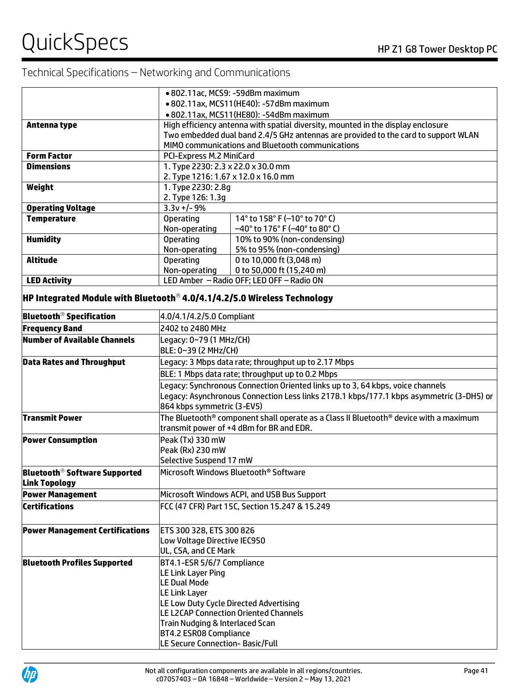|                                                                                         | • 802.11ac, MCS9: -59dBm maximum                                                      |                                                                                         |  |  |
|-----------------------------------------------------------------------------------------|---------------------------------------------------------------------------------------|-----------------------------------------------------------------------------------------|--|--|
|                                                                                         | • 802.11ax, MCS11(HE40): -57dBm maximum                                               |                                                                                         |  |  |
|                                                                                         | • 802.11ax, MCS11(HE80): -54dBm maximum                                               |                                                                                         |  |  |
| Antenna type                                                                            | High efficiency antenna with spatial diversity, mounted in the display enclosure      |                                                                                         |  |  |
|                                                                                         |                                                                                       | Two embedded dual band 2.4/5 GHz antennas are provided to the card to support WLAN      |  |  |
|                                                                                         |                                                                                       | MIMO communications and Bluetooth communications                                        |  |  |
| <b>Form Factor</b>                                                                      | PCI-Express M.2 MiniCard                                                              |                                                                                         |  |  |
| <b>Dimensions</b>                                                                       | 1. Type 2230: 2.3 x 22.0 x 30.0 mm                                                    |                                                                                         |  |  |
|                                                                                         | 2. Type 1216: 1.67 x 12.0 x 16.0 mm                                                   |                                                                                         |  |  |
| Weight                                                                                  | 1. Type 2230: 2.8g                                                                    |                                                                                         |  |  |
|                                                                                         | 2. Type 126: 1.3g                                                                     |                                                                                         |  |  |
| <b>Operating Voltage</b>                                                                | $3.3v + -9%$                                                                          |                                                                                         |  |  |
| <b>Temperature</b>                                                                      | <b>Operating</b>                                                                      | 14° to 158° F (-10° to 70° C)                                                           |  |  |
|                                                                                         | Non-operating                                                                         | -40° to 176° F (-40° to 80° C)                                                          |  |  |
| <b>Humidity</b>                                                                         | <b>Operating</b>                                                                      | 10% to 90% (non-condensing)                                                             |  |  |
|                                                                                         | Non-operating                                                                         | 5% to 95% (non-condensing)                                                              |  |  |
| <b>Altitude</b>                                                                         | <b>Operating</b>                                                                      | 0 to 10,000 ft (3,048 m)                                                                |  |  |
|                                                                                         | Non-operating                                                                         | 0 to 50,000 ft (15,240 m)                                                               |  |  |
| <b>LED Activity</b>                                                                     |                                                                                       | LED Amber - Radio OFF; LED OFF - Radio ON                                               |  |  |
| $\,$ HP Integrated Module with Bluetooth $^{\circ}$ 4.0/4.1/4.2/5.0 Wireless Technology |                                                                                       |                                                                                         |  |  |
| <b>Bluetooth<sup>®</sup> Specification</b>                                              |                                                                                       | 4.0/4.1/4.2/5.0 Compliant                                                               |  |  |
| <b>Frequency Band</b>                                                                   | 2402 to 2480 MHz                                                                      |                                                                                         |  |  |
| Number of Available Channels                                                            | Legacy: 0~79 (1 MHz/CH)                                                               |                                                                                         |  |  |
|                                                                                         | BLE: 0~39 (2 MHz/CH)                                                                  |                                                                                         |  |  |
| <b>Data Rates and Throughput</b>                                                        | Legacy: 3 Mbps data rate; throughput up to 2.17 Mbps                                  |                                                                                         |  |  |
|                                                                                         | BLE: 1 Mbps data rate; throughput up to 0.2 Mbps                                      |                                                                                         |  |  |
|                                                                                         | Legacy: Synchronous Connection Oriented links up to 3, 64 kbps, voice channels        |                                                                                         |  |  |
|                                                                                         |                                                                                       | Legacy: Asynchronous Connection Less links 2178.1 kbps/177.1 kbps asymmetric (3-DH5) or |  |  |
|                                                                                         | 864 kbps symmetric (3-EV5)                                                            |                                                                                         |  |  |
| Transmit Power                                                                          | The Bluetooth® component shall operate as a Class II Bluetooth® device with a maximum |                                                                                         |  |  |
|                                                                                         |                                                                                       | transmit power of +4 dBm for BR and EDR.                                                |  |  |
| <b>Power Consumption</b>                                                                |                                                                                       |                                                                                         |  |  |
|                                                                                         | Peak (Tx) 330 mW<br>Peak (Rx) 230 mW                                                  |                                                                                         |  |  |
|                                                                                         | Selective Suspend 17 mW                                                               |                                                                                         |  |  |
|                                                                                         |                                                                                       | Microsoft Windows Bluetooth® Software                                                   |  |  |
| <b>Bluetooth<sup>®</sup> Software Supported</b><br><b>Link Topology</b>                 |                                                                                       |                                                                                         |  |  |
|                                                                                         |                                                                                       |                                                                                         |  |  |
| <b>Power Management</b>                                                                 |                                                                                       | Microsoft Windows ACPI, and USB Bus Support                                             |  |  |
| <b>Certifications</b>                                                                   |                                                                                       | FCC (47 CFR) Part 15C, Section 15.247 & 15.249                                          |  |  |
|                                                                                         |                                                                                       |                                                                                         |  |  |
| <b>Power Management Certifications</b>                                                  | ETS 300 328, ETS 300 826                                                              |                                                                                         |  |  |
|                                                                                         | Low Voltage Directive IEC950                                                          |                                                                                         |  |  |
|                                                                                         | UL, CSA, and CE Mark                                                                  |                                                                                         |  |  |
| <b>Bluetooth Profiles Supported</b>                                                     | BT4.1-ESR 5/6/7 Compliance                                                            |                                                                                         |  |  |
|                                                                                         | LE Link Layer Ping                                                                    |                                                                                         |  |  |
|                                                                                         | LE Dual Mode                                                                          |                                                                                         |  |  |
|                                                                                         | LE Link Layer                                                                         |                                                                                         |  |  |
|                                                                                         |                                                                                       | LE Low Duty Cycle Directed Advertising                                                  |  |  |
|                                                                                         |                                                                                       | LE L2CAP Connection Oriented Channels                                                   |  |  |
|                                                                                         | Train Nudging & Interlaced Scan                                                       |                                                                                         |  |  |
|                                                                                         | BT4.2 ESR08 Compliance                                                                |                                                                                         |  |  |
|                                                                                         | LE Secure Connection- Basic/Full                                                      |                                                                                         |  |  |

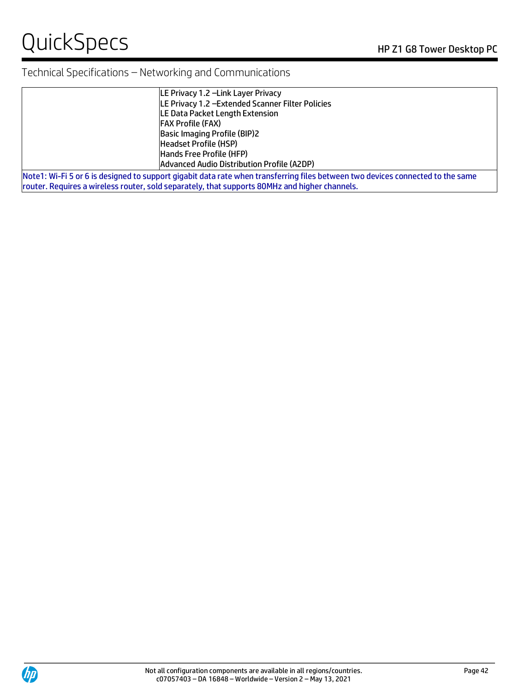# QuickSpecs HP Z1 G8 Tower Desktop PC

# Technical Specifications – Networking and Communications

| LE Privacy 1.2 - Link Layer Privacy                                                                                                   |
|---------------------------------------------------------------------------------------------------------------------------------------|
| LE Privacy 1.2 - Extended Scanner Filter Policies                                                                                     |
| LE Data Packet Length Extension                                                                                                       |
| <b>FAX Profile (FAX)</b>                                                                                                              |
| <b>Basic Imaging Profile (BIP)2</b>                                                                                                   |
| Headset Profile (HSP)                                                                                                                 |
| Hands Free Profile (HFP)                                                                                                              |
| Advanced Audio Distribution Profile (A2DP)                                                                                            |
| 11.4.50  11.45  12.45  12.45  12.5  12.5  12.5  12.5  12.5  12.5  12.5  12.45  12.45  12.45  12.5  12.5  12.5  12.5  12.5  12.5  12.5 |

Note1: Wi-Fi 5 or 6 is designed to support gigabit data rate when transferring files between two devices connected to the same router. Requires a wireless router, sold separately, that supports 80MHz and higher channels.

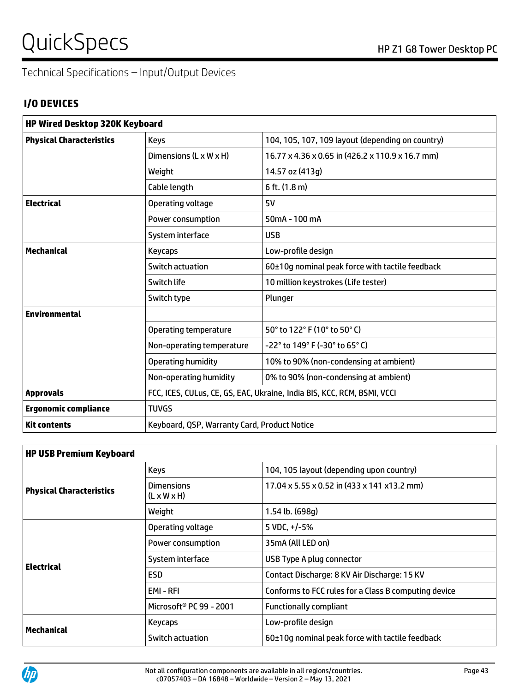# QuickSpecs
Band Company of the Company of the Company of the Company of the Company of the Company of the Company of the Company of the Company of the Company of the Company of the Company of the Company of the Company of

Technical Specifications – Input/Output Devices

# **I/O DEVICES**

| <b>HP Wired Desktop 320K Keyboard</b> |                                              |                                                                         |  |  |
|---------------------------------------|----------------------------------------------|-------------------------------------------------------------------------|--|--|
| <b>Physical Characteristics</b>       | <b>Keys</b>                                  | 104, 105, 107, 109 layout (depending on country)                        |  |  |
|                                       | Dimensions $(L \times W \times H)$           | 16.77 x 4.36 x 0.65 in (426.2 x 110.9 x 16.7 mm)                        |  |  |
|                                       | Weight                                       | 14.57 oz (413g)                                                         |  |  |
|                                       | Cable length                                 | 6 ft. (1.8 m)                                                           |  |  |
| <b>Electrical</b>                     | Operating voltage                            | 5V                                                                      |  |  |
|                                       | Power consumption                            | $50mA - 100mA$                                                          |  |  |
|                                       | System interface                             | <b>USB</b>                                                              |  |  |
| <b>Mechanical</b>                     | <b>Keycaps</b>                               | Low-profile design                                                      |  |  |
|                                       | Switch actuation                             | 60±10g nominal peak force with tactile feedback                         |  |  |
|                                       | Switch life                                  | 10 million keystrokes (Life tester)                                     |  |  |
|                                       | Switch type                                  | Plunger                                                                 |  |  |
| <b>Environmental</b>                  |                                              |                                                                         |  |  |
|                                       | Operating temperature                        | 50° to 122° F (10° to 50° C)                                            |  |  |
|                                       | Non-operating temperature                    | -22° to 149° F (-30° to 65° C)                                          |  |  |
|                                       | <b>Operating humidity</b>                    | 10% to 90% (non-condensing at ambient)                                  |  |  |
|                                       | Non-operating humidity                       | 0% to 90% (non-condensing at ambient)                                   |  |  |
| <b>Approvals</b>                      |                                              | FCC, ICES, CULus, CE, GS, EAC, Ukraine, India BIS, KCC, RCM, BSMI, VCCI |  |  |
| <b>Ergonomic compliance</b>           | <b>TUVGS</b>                                 |                                                                         |  |  |
| <b>Kit contents</b>                   | Keyboard, QSP, Warranty Card, Product Notice |                                                                         |  |  |

| <b>HP USB Premium Keyboard</b>  |                                              |                                                      |  |  |
|---------------------------------|----------------------------------------------|------------------------------------------------------|--|--|
| <b>Physical Characteristics</b> | <b>Keys</b>                                  | 104, 105 layout (depending upon country)             |  |  |
|                                 | <b>Dimensions</b><br>$(L \times W \times H)$ | 17.04 x 5.55 x 0.52 in (433 x 141 x 13.2 mm)         |  |  |
|                                 | Weight                                       | $1.54$ lb. (698q)                                    |  |  |
| <b>Electrical</b>               | Operating voltage                            | 5 VDC, $+/-5%$                                       |  |  |
|                                 | Power consumption                            | 35mA (All LED on)                                    |  |  |
|                                 | System interface                             | USB Type A plug connector                            |  |  |
|                                 | <b>ESD</b>                                   | Contact Discharge: 8 KV Air Discharge: 15 KV         |  |  |
|                                 | EMI-RFI                                      | Conforms to FCC rules for a Class B computing device |  |  |
|                                 | Microsoft <sup>®</sup> PC 99 - 2001          | <b>Functionally compliant</b>                        |  |  |
| <b>Mechanical</b>               | <b>Keycaps</b>                               | Low-profile design                                   |  |  |
|                                 | Switch actuation                             | 60±10q nominal peak force with tactile feedback      |  |  |

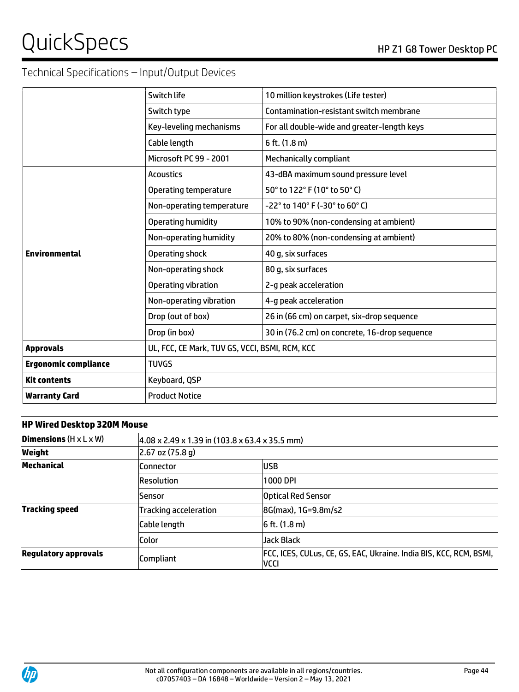# QuickSpecs Notes Alternative Contract the Contract of the Z1 G8 Tower Desktop PC

# Technical Specifications – Input/Output Devices

| Switch life                                                    | 10 million keystrokes (Life tester)         |  |  |
|----------------------------------------------------------------|---------------------------------------------|--|--|
| Switch type                                                    | Contamination-resistant switch membrane     |  |  |
| Key-leveling mechanisms                                        | For all double-wide and greater-length keys |  |  |
| Cable length                                                   | 6 ft. (1.8 m)                               |  |  |
| Microsoft PC 99 - 2001                                         | Mechanically compliant                      |  |  |
| <b>Acoustics</b>                                               | 43-dBA maximum sound pressure level         |  |  |
| Operating temperature                                          | 50° to 122° F (10° to 50° C)                |  |  |
| Non-operating temperature                                      | -22° to 140° F (-30° to 60° C)              |  |  |
| Operating humidity                                             | 10% to 90% (non-condensing at ambient)      |  |  |
| Non-operating humidity                                         | 20% to 80% (non-condensing at ambient)      |  |  |
| Operating shock                                                | 40 g, six surfaces                          |  |  |
| Non-operating shock                                            | 80 g, six surfaces                          |  |  |
| Operating vibration                                            | 2-g peak acceleration                       |  |  |
| Non-operating vibration                                        | 4-g peak acceleration                       |  |  |
| Drop (out of box)                                              | 26 in (66 cm) on carpet, six-drop sequence  |  |  |
| Drop (in box)<br>30 in (76.2 cm) on concrete, 16-drop sequence |                                             |  |  |
| UL, FCC, CE Mark, TUV GS, VCCI, BSMI, RCM, KCC                 |                                             |  |  |
| <b>TUVGS</b>                                                   |                                             |  |  |
| Keyboard, QSP                                                  |                                             |  |  |
| <b>Product Notice</b>                                          |                                             |  |  |
|                                                                |                                             |  |  |

# **HP Wired Desktop 320M Mouse Dimensions** (H x L x W)  $4.08 \times 2.49 \times 1.39$  in (103.8 x 63.4 x 35.5 mm) **Weight** 2.67 oz (75.8 g) **Mechanical Connector** Connector **USB** Resolution 1000 DPI Sensor Optical Red Sensor **Tracking speed** Tracking acceleration **8G(max), 1G=9.8m/s2** Cable length  $\vert$  6 ft. (1.8 m) Color Jack Black **Regulatory approvals**<br> **Regulatory approvals**<br>
Compliant VCCI

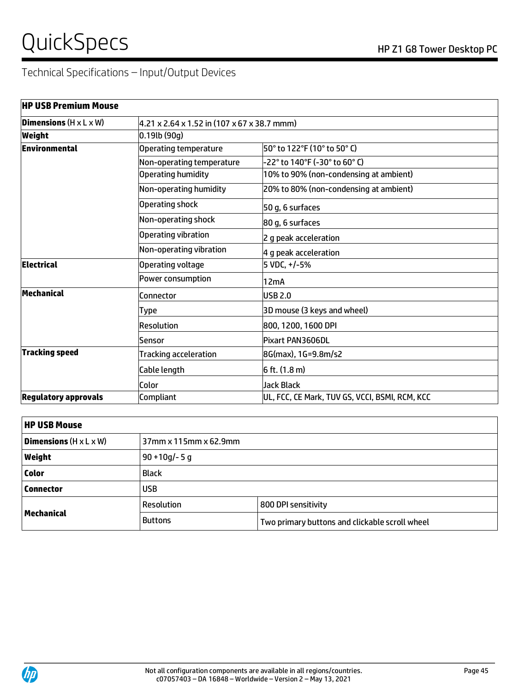# Technical Specifications – Input/Output Devices

| <b>HP USB Premium Mouse</b>               |                              |                                                |  |  |
|-------------------------------------------|------------------------------|------------------------------------------------|--|--|
| <b>Dimensions</b> $(H \times L \times W)$ |                              | 4.21 x 2.64 x 1.52 in (107 x 67 x 38.7 mmm)    |  |  |
| Weight                                    | $0.19$ lb (90g)              |                                                |  |  |
| Environmental                             | Operating temperature        | l50° to 122°F (10° to 50° C)                   |  |  |
|                                           | Non-operating temperature    | -22° to 140°F (-30° to 60° C)                  |  |  |
|                                           | <b>Operating humidity</b>    | 10% to 90% (non-condensing at ambient)         |  |  |
|                                           | Non-operating humidity       | 20% to 80% (non-condensing at ambient)         |  |  |
|                                           | Operating shock              | 50 g, 6 surfaces                               |  |  |
|                                           | Non-operating shock          | 80 g, 6 surfaces                               |  |  |
|                                           | Operating vibration          | 2 g peak acceleration                          |  |  |
|                                           | Non-operating vibration      | 4 g peak acceleration                          |  |  |
| <b>Electrical</b>                         | Operating voltage            | 5 VDC, +/-5%                                   |  |  |
|                                           | Power consumption            | 12mA                                           |  |  |
| <b>Mechanical</b>                         | Connector                    | <b>USB 2.0</b>                                 |  |  |
|                                           | Type                         | 3D mouse (3 keys and wheel)                    |  |  |
|                                           | Resolution                   | 800, 1200, 1600 DPI                            |  |  |
|                                           | Sensor                       | Pixart PAN3606DL                               |  |  |
| <b>Tracking speed</b>                     | <b>Tracking acceleration</b> | 8G(max), 1G=9.8m/s2                            |  |  |
|                                           | Cable length                 | 6 ft. (1.8 m)                                  |  |  |
|                                           | Color                        | <b>Jack Black</b>                              |  |  |
| <b>Regulatory approvals</b>               | Compliant                    | UL, FCC, CE Mark, TUV GS, VCCI, BSMI, RCM, KCC |  |  |

| <b>HP USB Mouse</b>                       |                 |                                                |  |  |
|-------------------------------------------|-----------------|------------------------------------------------|--|--|
| <b>Dimensions</b> $(H \times L \times W)$ |                 | 37mm x 115mm x 62.9mm                          |  |  |
| Weight                                    | $90 + 10g/- 5g$ |                                                |  |  |
| <b>Color</b>                              | <b>Black</b>    |                                                |  |  |
| <b>Connector</b>                          | <b>USB</b>      |                                                |  |  |
|                                           | Resolution      | 800 DPI sensitivity                            |  |  |
| Mechanical                                | <b>Buttons</b>  | Two primary buttons and clickable scroll wheel |  |  |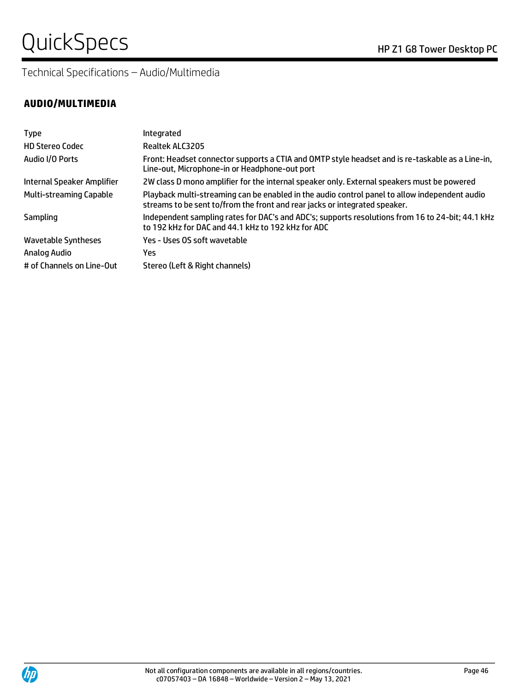Technical Specifications – Audio/Multimedia

### **AUDIO/MULTIMEDIA**

| <b>Type</b>                    | Integrated                                                                                                                                                                  |
|--------------------------------|-----------------------------------------------------------------------------------------------------------------------------------------------------------------------------|
| <b>HD Stereo Codec</b>         | Realtek ALC3205                                                                                                                                                             |
| Audio I/O Ports                | Front: Headset connector supports a CTIA and OMTP style headset and is re-taskable as a Line-in,<br>Line-out, Microphone-in or Headphone-out port                           |
| Internal Speaker Amplifier     | 2W class D mono amplifier for the internal speaker only. External speakers must be powered                                                                                  |
| <b>Multi-streaming Capable</b> | Playback multi-streaming can be enabled in the audio control panel to allow independent audio<br>streams to be sent to/from the front and rear jacks or integrated speaker. |
| Sampling                       | Independent sampling rates for DAC's and ADC's; supports resolutions from 16 to 24-bit; 44.1 kHz<br>to 192 kHz for DAC and 44.1 kHz to 192 kHz for ADC                      |
| <b>Wavetable Syntheses</b>     | Yes - Uses OS soft wavetable                                                                                                                                                |
| Analog Audio                   | Yes                                                                                                                                                                         |
| # of Channels on Line-Out      | Stereo (Left & Right channels)                                                                                                                                              |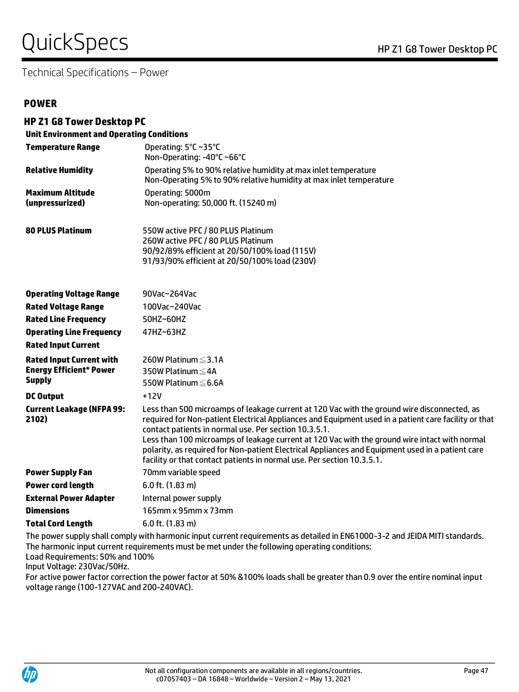# QuickSpecs Notes Alternative Contract the Contract of the Z1 G8 Tower Desktop PC

Technical Specifications – Power

#### **POWER**

**HP Z1 G8 Tower Desktop PC**

| <b>Unit Environment and Operating Conditions</b>                                   |                                                                                                                                                                                                                                                                                                                                                                                                                                                                                                                                             |  |  |  |
|------------------------------------------------------------------------------------|---------------------------------------------------------------------------------------------------------------------------------------------------------------------------------------------------------------------------------------------------------------------------------------------------------------------------------------------------------------------------------------------------------------------------------------------------------------------------------------------------------------------------------------------|--|--|--|
| <b>Temperature Range</b>                                                           | Operating: 5°C~35°C<br>Non-Operating: -40°C ~66°C                                                                                                                                                                                                                                                                                                                                                                                                                                                                                           |  |  |  |
| <b>Relative Humidity</b>                                                           | Operating 5% to 90% relative humidity at max inlet temperature<br>Non-Operating 5% to 90% relative humidity at max inlet temperature                                                                                                                                                                                                                                                                                                                                                                                                        |  |  |  |
| <b>Maximum Altitude</b><br>(unpressurized)                                         | Operating: 5000m<br>Non-operating: 50,000 ft. (15240 m)                                                                                                                                                                                                                                                                                                                                                                                                                                                                                     |  |  |  |
| <b>80 PLUS Platinum</b>                                                            | 550W active PFC / 80 PLUS Platinum<br>260W active PFC / 80 PLUS Platinum<br>90/92/89% efficient at 20/50/100% load (115V)<br>91/93/90% efficient at 20/50/100% load (230V)                                                                                                                                                                                                                                                                                                                                                                  |  |  |  |
| <b>Operating Voltage Range</b>                                                     | 90Vac~264Vac                                                                                                                                                                                                                                                                                                                                                                                                                                                                                                                                |  |  |  |
| <b>Rated Voltage Range</b>                                                         | 100Vac~240Vac                                                                                                                                                                                                                                                                                                                                                                                                                                                                                                                               |  |  |  |
| <b>Rated Line Frequency</b>                                                        | 50HZ~60HZ                                                                                                                                                                                                                                                                                                                                                                                                                                                                                                                                   |  |  |  |
| <b>Operating Line Frequency</b>                                                    | 47HZ~63HZ                                                                                                                                                                                                                                                                                                                                                                                                                                                                                                                                   |  |  |  |
| <b>Rated Input Current</b>                                                         |                                                                                                                                                                                                                                                                                                                                                                                                                                                                                                                                             |  |  |  |
| <b>Rated Input Current with</b><br><b>Energy Efficient* Power</b><br><b>Supply</b> | 260W Platinum ≤3.1A<br>350W Platinum ≤4A<br>550W Platinum ≤6.6A                                                                                                                                                                                                                                                                                                                                                                                                                                                                             |  |  |  |
| <b>DC Output</b>                                                                   | $+12V$                                                                                                                                                                                                                                                                                                                                                                                                                                                                                                                                      |  |  |  |
| <b>Current Leakage (NFPA 99:</b><br>2102)                                          | Less than 500 microamps of leakage current at 120 Vac with the ground wire disconnected, as<br>required for Non-patient Electrical Appliances and Equipment used in a patient care facility or that<br>contact patients in normal use. Per section 10.3.5.1.<br>Less than 100 microamps of leakage current at 120 Vac with the ground wire intact with normal<br>polarity, as required for Non-patient Electrical Appliances and Equipment used in a patient care<br>facility or that contact patients in normal use. Per section 10.3.5.1. |  |  |  |
| <b>Power Supply Fan</b>                                                            | 70mm variable speed                                                                                                                                                                                                                                                                                                                                                                                                                                                                                                                         |  |  |  |
| <b>Power cord length</b>                                                           | 6.0 ft. (1.83 m)                                                                                                                                                                                                                                                                                                                                                                                                                                                                                                                            |  |  |  |
| <b>External Power Adapter</b>                                                      | Internal power supply                                                                                                                                                                                                                                                                                                                                                                                                                                                                                                                       |  |  |  |
| <b>Dimensions</b>                                                                  | 165mm x 95mm x 73mm                                                                                                                                                                                                                                                                                                                                                                                                                                                                                                                         |  |  |  |
| <b>Total Cord Length</b>                                                           | 6.0 ft. (1.83 m)                                                                                                                                                                                                                                                                                                                                                                                                                                                                                                                            |  |  |  |
|                                                                                    | The power supply shall comply with harmonic input current requirements as detailed in EN61000-3-2 and JEIDA MITI standards.                                                                                                                                                                                                                                                                                                                                                                                                                 |  |  |  |

The harmonic input current requirements must be met under the following operating conditions:

Load Requirements: 50% and 100%

Input Voltage: 230Vac/50Hz.

For active power factor correction the power factor at 50% &100% loads shall be greater than 0.9 over the entire nominal input voltage range (100-127VAC and 200-240VAC).

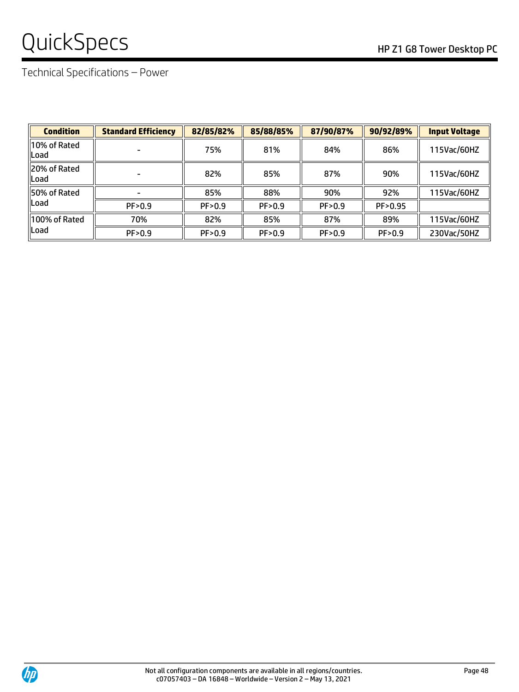# QuickSpecs
Band Company of the Company of the Company of the Company of the Company of the Company of the Company of the Company of the Company of the Company of the Company of the Company of the Company of the Company of

Technical Specifications – Power

| <b>Condition</b>         | <b>Standard Efficiency</b> | 82/85/82% | 85/88/85% | 87/90/87% | 90/92/89% | <b>Input Voltage</b> |
|--------------------------|----------------------------|-----------|-----------|-----------|-----------|----------------------|
| ll10% of Rated<br>llLoad |                            | 75%       | 81%       | 84%       | 86%       | 115Vac/60HZ          |
| 20% of Rated<br>llLoad   |                            | 82%       | 85%       | 87%       | 90%       | 115Vac/60HZ          |
| <b>150% of Rated</b>     |                            | 85%       | 88%       | 90%       | 92%       | 115Vac/60HZ          |
| llLoad                   | PF>0.9                     | PF>0.9    | PF>0.9    | PF>0.9    | PF > 0.95 |                      |
| 100% of Rated<br>llLoad  | 70%                        | 82%       | 85%       | 87%       | 89%       | 115Vac/60HZ          |
|                          | PF>0.9                     | PF>0.9    | PF>0.9    | PF>0.9    | PF>0.9    | 230Vac/50HZ          |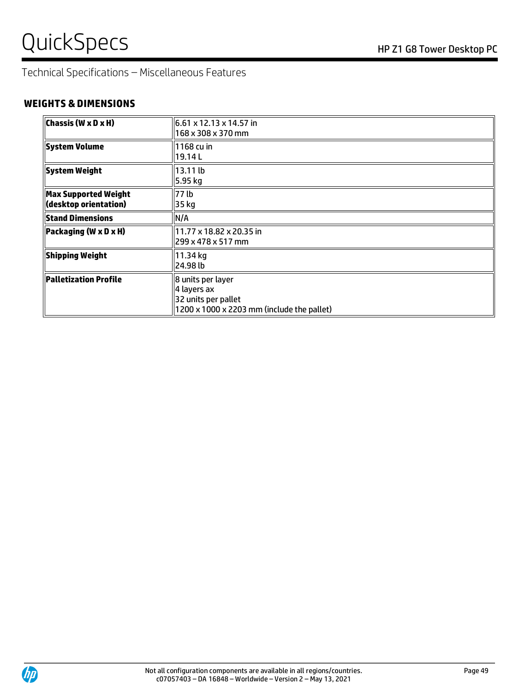Technical Specifications – Miscellaneous Features

## **WEIGHTS & DIMENSIONS**

| Chassis (W x D x H)                            | 6.61 x 12.13 x 14.57 in<br>168 x 308 x 370 mm                                                                     |
|------------------------------------------------|-------------------------------------------------------------------------------------------------------------------|
| <b>System Volume</b>                           | 1168 cu in<br>19.14 L                                                                                             |
| <b>System Weight</b>                           | 13.11 lb<br>5.95 kg                                                                                               |
| Max Supported Weight <br>(desktop orientation) | 77 lb<br>35 kg                                                                                                    |
| <b>Stand Dimensions</b>                        | N/A                                                                                                               |
| Packaging (W x D x H)                          | 11.77 x 18.82 x 20.35 in<br>299 x 478 x 517 mm                                                                    |
| <b>Shipping Weight</b>                         | 11.34 kg<br>l24.98 lb                                                                                             |
| Palletization Profile                          | 8 units per layer<br>4 layers ax<br>32 units per pallet<br>$1200 \times 1000 \times 2203$ mm (include the pallet) |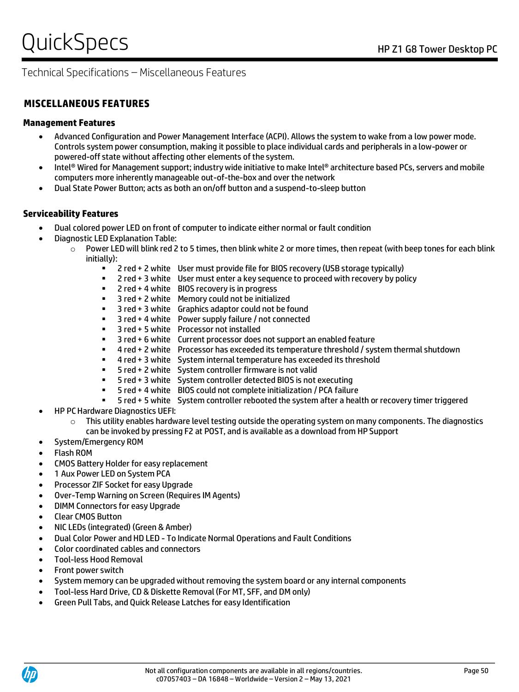# Technical Specifications – Miscellaneous Features

## **Management Features**

- Advanced Configuration and Power Management Interface (ACPI). Allows the system to wake from a low power mode. Controls system power consumption, making it possible to place individual cards and peripherals in a low-power or powered-off state without affecting other elements of the system.
- Intel® Wired for Management support; industry wide initiative to make Intel® architecture based PCs, servers and mobile computers more inherently manageable out-of-the-box and over the network
- Dual State Power Button; acts as both an on/off button and a suspend-to-sleep button

# **Serviceability Features**

- Dual colored power LED on front of computer to indicate either normal or fault condition
- Diagnostic LED Explanation Table:
	- $\circ$  Power LED will blink red 2 to 5 times, then blink white 2 or more times, then repeat (with beep tones for each blink initially):
		- 2 red + 2 white User must provide file for BIOS recovery (USB storage typically)
		- 2 red + 3 white User must enter a key sequence to proceed with recovery by policy
		- 2 red + 4 white BIOS recovery is in progress
		- 3 red + 2 white Memory could not be initialized
		- 3 red + 3 white Graphics adaptor could not be found
		- $3$  red + 4 white Power supply failure / not connected
		- 3 red + 5 white Processor not installed
		- 3 red + 6 white Current processor does not support an enabled feature
		- 4 red + 2 white Processor has exceeded its temperature threshold / system thermal shutdown
		- 4 red + 3 white System internal temperature has exceeded its threshold
		- 5 red + 2 white System controller firmware is not valid
		- 5 red + 3 white System controller detected BIOS is not executing
		- 5 red + 4 white BIOS could not complete initialization / PCA failure
		- 5 red + 5 white System controller rebooted the system after a health or recovery timer triggered
- HP PC Hardware Diagnostics UEFI:
	- $\circ$  This utility enables hardware level testing outside the operating system on many components. The diagnostics can be invoked by pressing F2 at POST, and is available as a download from HP Support
- System/Emergency ROM
- Flash ROM
- CMOS Battery Holder for easy replacement
- 1 Aux Power LED on System PCA
- Processor ZIF Socket for easy Upgrade
- Over-Temp Warning on Screen (Requires IM Agents)
- DIMM Connectors for easy Upgrade
- Clear CMOS Button
- NIC LEDs (integrated) (Green & Amber)
- Dual Color Power and HD LED To Indicate Normal Operations and Fault Conditions
- Color coordinated cables and connectors
- Tool-less Hood Removal
- Front power switch
- System memory can be upgraded without removing the system board or any internal components
- Tool-less Hard Drive, CD & Diskette Removal (For MT, SFF, and DM only)
- Green Pull Tabs, and Quick Release Latches for easy Identification

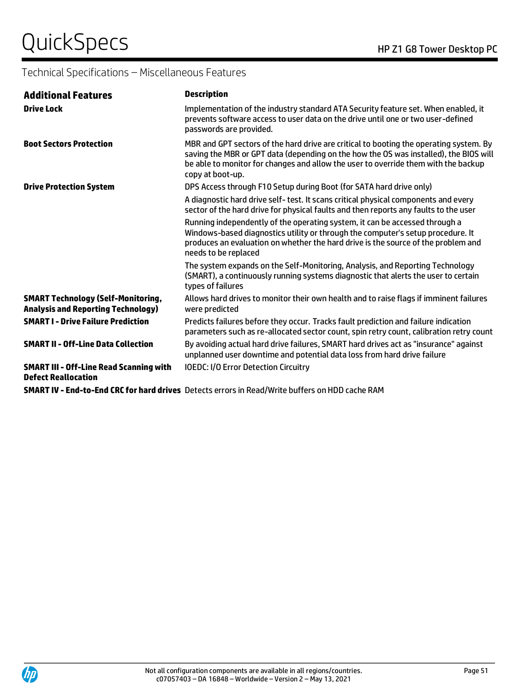# Technical Specifications – Miscellaneous Features

| <b>Additional Features</b>                                                             | <b>Description</b>                                                                                                                                                                                                                                                                        |
|----------------------------------------------------------------------------------------|-------------------------------------------------------------------------------------------------------------------------------------------------------------------------------------------------------------------------------------------------------------------------------------------|
| <b>Drive Lock</b>                                                                      | Implementation of the industry standard ATA Security feature set. When enabled, it<br>prevents software access to user data on the drive until one or two user-defined<br>passwords are provided.                                                                                         |
| <b>Boot Sectors Protection</b>                                                         | MBR and GPT sectors of the hard drive are critical to booting the operating system. By<br>saving the MBR or GPT data (depending on the how the OS was installed), the BIOS will<br>be able to monitor for changes and allow the user to override them with the backup<br>copy at boot-up. |
| <b>Drive Protection System</b>                                                         | DPS Access through F10 Setup during Boot (for SATA hard drive only)                                                                                                                                                                                                                       |
|                                                                                        | A diagnostic hard drive self-test. It scans critical physical components and every<br>sector of the hard drive for physical faults and then reports any faults to the user                                                                                                                |
|                                                                                        | Running independently of the operating system, it can be accessed through a<br>Windows-based diagnostics utility or through the computer's setup procedure. It<br>produces an evaluation on whether the hard drive is the source of the problem and<br>needs to be replaced               |
|                                                                                        | The system expands on the Self-Monitoring, Analysis, and Reporting Technology<br>(SMART), a continuously running systems diagnostic that alerts the user to certain<br>types of failures                                                                                                  |
| <b>SMART Technology (Self-Monitoring,</b><br><b>Analysis and Reporting Technology)</b> | Allows hard drives to monitor their own health and to raise flags if imminent failures<br>were predicted                                                                                                                                                                                  |
| <b>SMART I - Drive Failure Prediction</b>                                              | Predicts failures before they occur. Tracks fault prediction and failure indication<br>parameters such as re-allocated sector count, spin retry count, calibration retry count                                                                                                            |
| <b>SMART II - Off-Line Data Collection</b>                                             | By avoiding actual hard drive failures, SMART hard drives act as "insurance" against<br>unplanned user downtime and potential data loss from hard drive failure                                                                                                                           |
| <b>SMART III - Off-Line Read Scanning with</b><br><b>Defect Reallocation</b>           | <b>IOEDC: I/O Error Detection Circuitry</b>                                                                                                                                                                                                                                               |
|                                                                                        | SMART IV - End-to-End CRC for hard drives Detects errors in Read/Write buffers on HDD cache RAM                                                                                                                                                                                           |

**SMART IV - End-to-End CRC for hard drives** Detects errors in Read/Write buffers on HDD cache RAM

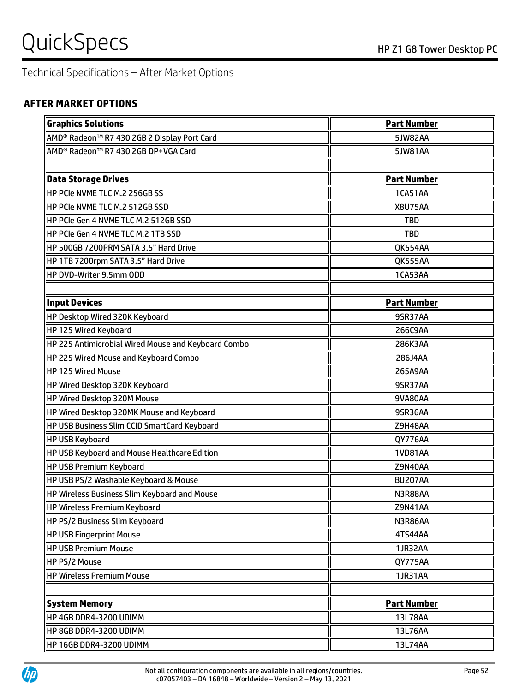# Technical Specifications – After Market Options

### **AFTER MARKET OPTIONS**

| <b>Graphics Solutions</b>                                           | <b>Part Number</b> |
|---------------------------------------------------------------------|--------------------|
| AMD <sup>®</sup> Radeon <sup>™</sup> R7 430 2GB 2 Display Port Card | <b>5JW82AA</b>     |
| AMD® Radeon™ R7 430 2GB DP+VGA Card                                 | 5JW81AA            |
|                                                                     |                    |
| <b>Data Storage Drives</b>                                          | <b>Part Number</b> |
| HP PCIe NVME TLC M.2 256GB SS                                       | 1CA51AA            |
| HP PCIe NVME TLC M.2 512GB SSD                                      | <b>X8U75AA</b>     |
| HP PCIe Gen 4 NVME TLC M.2 512GB SSD                                | <b>TBD</b>         |
| HP PCIe Gen 4 NVME TLC M.2 1TB SSD                                  | <b>TBD</b>         |
| HP 500GB 7200PRM SATA 3.5" Hard Drive                               | <b>QK554AA</b>     |
| HP 1TB 7200rpm SATA 3.5" Hard Drive                                 | <b>QK555AA</b>     |
| HP DVD-Writer 9.5mm ODD                                             | 1CA53AA            |
|                                                                     |                    |
| <b>Input Devices</b>                                                | <b>Part Number</b> |
| HP Desktop Wired 320K Keyboard                                      | 9SR37AA            |
| HP 125 Wired Keyboard                                               | 266C9AA            |
| HP 225 Antimicrobial Wired Mouse and Keyboard Combo                 | 286K3AA            |
| HP 225 Wired Mouse and Keyboard Combo                               | 286J4AA            |
| <b>HP 125 Wired Mouse</b>                                           | 265A9AA            |
| HP Wired Desktop 320K Keyboard                                      | 9SR37AA            |
| HP Wired Desktop 320M Mouse                                         | 9VA80AA            |
| HP Wired Desktop 320MK Mouse and Keyboard                           | 9SR36AA            |
| HP USB Business Slim CCID SmartCard Keyboard                        | Z9H48AA            |
| <b>HP USB Keyboard</b>                                              | QY776AA            |
| HP USB Keyboard and Mouse Healthcare Edition                        | <b>1VD81AA</b>     |
| HP USB Premium Keyboard                                             | <b>Z9N40AA</b>     |
| HP USB PS/2 Washable Keyboard & Mouse                               | <b>BU207AA</b>     |
| HP Wireless Business Slim Keyboard and Mouse                        | N3R88AA            |
| HP Wireless Premium Keyboard                                        | Z9N41AA            |
| HP PS/2 Business Slim Keyboard                                      | N3R86AA            |
| <b>HP USB Fingerprint Mouse</b>                                     | 4TS44AA            |
| <b>HP USB Premium Mouse</b>                                         | 1JR32AA            |
| HP PS/2 Mouse                                                       | QY775AA            |
| <b>HP Wireless Premium Mouse</b>                                    | 1JR31AA            |
|                                                                     |                    |
| <b>System Memory</b>                                                | <b>Part Number</b> |
| HP 4GB DDR4-3200 UDIMM                                              | 13L78AA            |
| HP 8GB DDR4-3200 UDIMM                                              | 13L76AA            |
| HP 16GB DDR4-3200 UDIMM                                             | 13L74AA            |

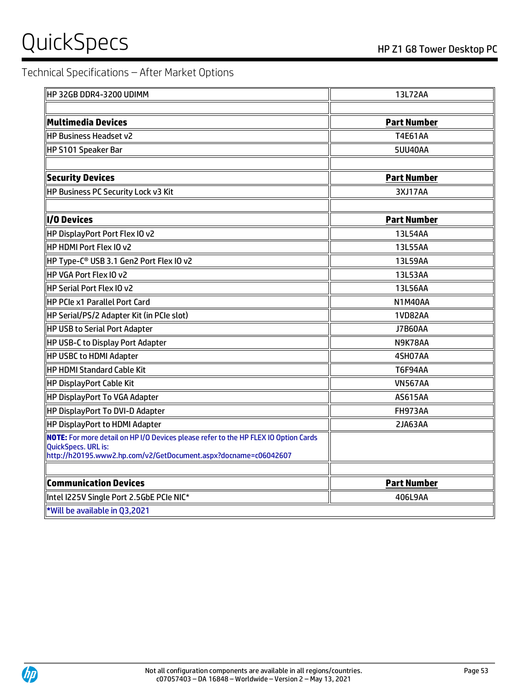# Technical Specifications – After Market Options

| HP32GBDDR4-3200 UDIMM                                                                                                                                                         | 13L72AA            |
|-------------------------------------------------------------------------------------------------------------------------------------------------------------------------------|--------------------|
|                                                                                                                                                                               |                    |
| Multimedia Devices                                                                                                                                                            | <b>Part Number</b> |
| <b>HP Business Headset v2</b>                                                                                                                                                 | <b>T4E61AA</b>     |
| HP S101 Speaker Bar                                                                                                                                                           | 5UU40AA            |
|                                                                                                                                                                               |                    |
| <b>Security Devices</b>                                                                                                                                                       | <b>Part Number</b> |
| <b>HP Business PC Security Lock v3 Kit</b>                                                                                                                                    | 3XJ17AA            |
|                                                                                                                                                                               |                    |
| <b>I/O Devices</b>                                                                                                                                                            | <b>Part Number</b> |
| HP DisplayPort Port Flex IO v2                                                                                                                                                | 13L54AA            |
| <b>HP HDMI Port Flex IO v2</b>                                                                                                                                                | 13L55AA            |
| HP Type-C <sup>®</sup> USB 3.1 Gen2 Port Flex IO v2                                                                                                                           | 13L59AA            |
| HP VGA Port Flex IO v2                                                                                                                                                        | 13L53AA            |
| HP Serial Port Flex IO v2                                                                                                                                                     | 13L56AA            |
| <b>HP PCIe x1 Parallel Port Card</b>                                                                                                                                          | N1M40AA            |
| HP Serial/PS/2 Adapter Kit (in PCIe slot)                                                                                                                                     | <b>1VD82AA</b>     |
| <b>HP USB to Serial Port Adapter</b>                                                                                                                                          | <b>J7B60AA</b>     |
| <b>HP USB-C to Display Port Adapter</b>                                                                                                                                       | N9K78AA            |
| <b>HP USBC to HDMI Adapter</b>                                                                                                                                                | 4SH07AA            |
| <b>HP HDMI Standard Cable Kit</b>                                                                                                                                             | <b>T6F94AA</b>     |
| <b>HP DisplayPort Cable Kit</b>                                                                                                                                               | <b>VN567AA</b>     |
| HP DisplayPort To VGA Adapter                                                                                                                                                 | <b>AS615AA</b>     |
| HP DisplayPort To DVI-D Adapter                                                                                                                                               | FH973AA            |
| <b>HP DisplayPort to HDMI Adapter</b>                                                                                                                                         | 2JA63AA            |
| NOTE: For more detail on HP I/O Devices please refer to the HP FLEX IO Option Cards<br>QuickSpecs. URL is:<br>http://h20195.www2.hp.com/v2/GetDocument.aspx?docname=c06042607 |                    |
| <b>Communication Devices</b>                                                                                                                                                  | <b>Part Number</b> |
| Intel I225V Single Port 2.5GbE PCIe NIC*                                                                                                                                      | 406L9AA            |
| *Will be available in Q3,2021                                                                                                                                                 |                    |